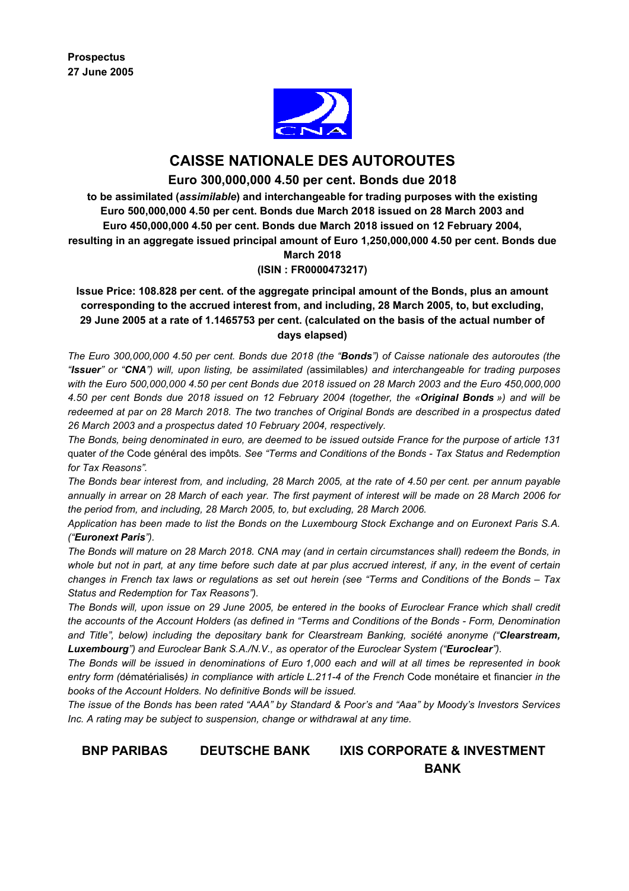

# **CAISSE NATIONALE DES AUTOROUTES**

# **Euro 300,000,000 4.50 per cent. Bonds due 2018**

**to be assimilated (***assimilable***) and interchangeable for trading purposes with the existing Euro 500,000,000 4.50 per cent. Bonds due March 2018 issued on 28 March 2003 and Euro 450,000,000 4.50 per cent. Bonds due March 2018 issued on 12 February 2004, resulting in an aggregate issued principal amount of Euro 1,250,000,000 4.50 per cent. Bonds due March 2018** 

# **(ISIN : FR0000473217)**

**Issue Price: 108.828 per cent. of the aggregate principal amount of the Bonds, plus an amount corresponding to the accrued interest from, and including, 28 March 2005, to, but excluding, 29 June 2005 at a rate of 1.1465753 per cent. (calculated on the basis of the actual number of days elapsed)** 

*The Euro 300,000,000 4.50 per cent. Bonds due 2018 (the "Bonds") of Caisse nationale des autoroutes (the "Issuer" or "CNA") will, upon listing, be assimilated (*assimilables*) and interchangeable for trading purposes with the Euro 500,000,000 4.50 per cent Bonds due 2018 issued on 28 March 2003 and the Euro 450,000,000 4.50 per cent Bonds due 2018 issued on 12 February 2004 (together, the «Original Bonds ») and will be redeemed at par on 28 March 2018. The two tranches of Original Bonds are described in a prospectus dated 26 March 2003 and a prospectus dated 10 February 2004, respectively.* 

*The Bonds, being denominated in euro, are deemed to be issued outside France for the purpose of article 131*  quater *of the* Code général des impôts*. See "Terms and Conditions of the Bonds - Tax Status and Redemption for Tax Reasons".* 

*The Bonds bear interest from, and including, 28 March 2005, at the rate of 4.50 per cent. per annum payable annually in arrear on 28 March of each year. The first payment of interest will be made on 28 March 2006 for the period from, and including, 28 March 2005, to, but excluding, 28 March 2006.* 

*Application has been made to list the Bonds on the Luxembourg Stock Exchange and on Euronext Paris S.A. ("Euronext Paris").* 

*The Bonds will mature on 28 March 2018. CNA may (and in certain circumstances shall) redeem the Bonds, in whole but not in part, at any time before such date at par plus accrued interest, if any, in the event of certain changes in French tax laws or regulations as set out herein (see "Terms and Conditions of the Bonds – Tax Status and Redemption for Tax Reasons").* 

*The Bonds will, upon issue on 29 June 2005, be entered in the books of Euroclear France which shall credit the accounts of the Account Holders (as defined in "Terms and Conditions of the Bonds - Form, Denomination and Title", below) including the depositary bank for Clearstream Banking, société anonyme ("Clearstream, Luxembourg") and Euroclear Bank S.A./N.V., as operator of the Euroclear System ("Euroclear").* 

*The Bonds will be issued in denominations of Euro 1,000 each and will at all times be represented in book entry form (*dématérialisés*) in compliance with article L.211-4 of the French* Code monétaire et financier *in the books of the Account Holders. No definitive Bonds will be issued.* 

*The issue of the Bonds has been rated "AAA" by Standard & Poor's and "Aaa" by Moody's Investors Services Inc. A rating may be subject to suspension, change or withdrawal at any time.*

# **BNP PARIBAS DEUTSCHE BANK IXIS CORPORATE & INVESTMENT BANK**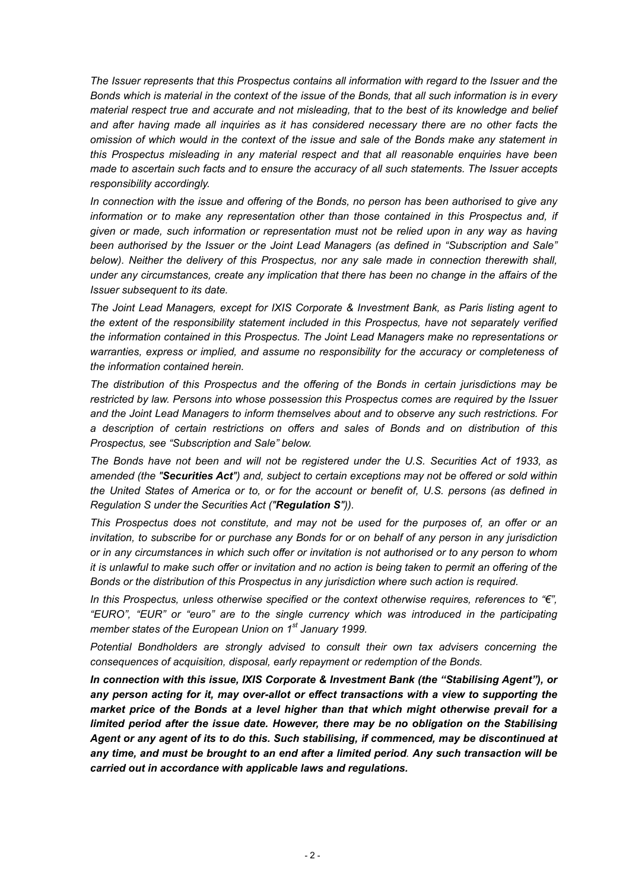*The Issuer represents that this Prospectus contains all information with regard to the Issuer and the Bonds which is material in the context of the issue of the Bonds, that all such information is in every material respect true and accurate and not misleading, that to the best of its knowledge and belief and after having made all inquiries as it has considered necessary there are no other facts the omission of which would in the context of the issue and sale of the Bonds make any statement in this Prospectus misleading in any material respect and that all reasonable enquiries have been made to ascertain such facts and to ensure the accuracy of all such statements. The Issuer accepts responsibility accordingly.* 

*In connection with the issue and offering of the Bonds, no person has been authorised to give any information or to make any representation other than those contained in this Prospectus and, if given or made, such information or representation must not be relied upon in any way as having been authorised by the Issuer or the Joint Lead Managers (as defined in "Subscription and Sale" below). Neither the delivery of this Prospectus, nor any sale made in connection therewith shall, under any circumstances, create any implication that there has been no change in the affairs of the Issuer subsequent to its date.* 

*The Joint Lead Managers, except for IXIS Corporate & Investment Bank, as Paris listing agent to the extent of the responsibility statement included in this Prospectus, have not separately verified the information contained in this Prospectus. The Joint Lead Managers make no representations or warranties, express or implied, and assume no responsibility for the accuracy or completeness of the information contained herein.* 

*The distribution of this Prospectus and the offering of the Bonds in certain jurisdictions may be restricted by law. Persons into whose possession this Prospectus comes are required by the Issuer and the Joint Lead Managers to inform themselves about and to observe any such restrictions. For a description of certain restrictions on offers and sales of Bonds and on distribution of this Prospectus, see "Subscription and Sale" below.* 

*The Bonds have not been and will not be registered under the U.S. Securities Act of 1933, as amended (the "Securities Act") and, subject to certain exceptions may not be offered or sold within the United States of America or to, or for the account or benefit of, U.S. persons (as defined in Regulation S under the Securities Act ("Regulation S")).* 

*This Prospectus does not constitute, and may not be used for the purposes of, an offer or an invitation, to subscribe for or purchase any Bonds for or on behalf of any person in any jurisdiction or in any circumstances in which such offer or invitation is not authorised or to any person to whom it is unlawful to make such offer or invitation and no action is being taken to permit an offering of the Bonds or the distribution of this Prospectus in any jurisdiction where such action is required.* 

*In this Prospectus, unless otherwise specified or the context otherwise requires, references to "€", "EURO", "EUR" or "euro" are to the single currency which was introduced in the participating member states of the European Union on 1st January 1999.* 

*Potential Bondholders are strongly advised to consult their own tax advisers concerning the consequences of acquisition, disposal, early repayment or redemption of the Bonds.* 

*In connection with this issue, IXIS Corporate & Investment Bank (the "Stabilising Agent"), or any person acting for it, may over-allot or effect transactions with a view to supporting the market price of the Bonds at a level higher than that which might otherwise prevail for a limited period after the issue date. However, there may be no obligation on the Stabilising Agent or any agent of its to do this. Such stabilising, if commenced, may be discontinued at any time, and must be brought to an end after a limited period. Any such transaction will be carried out in accordance with applicable laws and regulations.*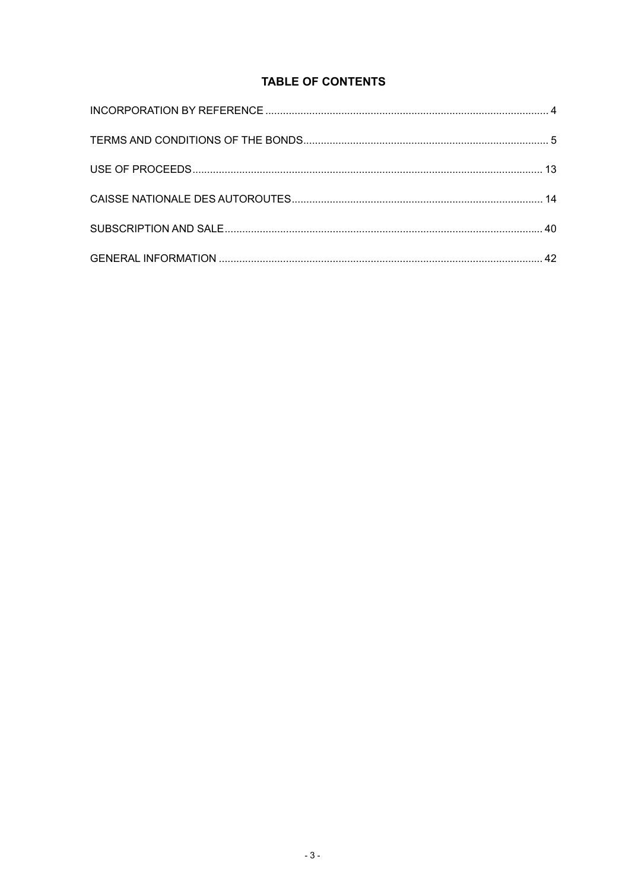# **TABLE OF CONTENTS**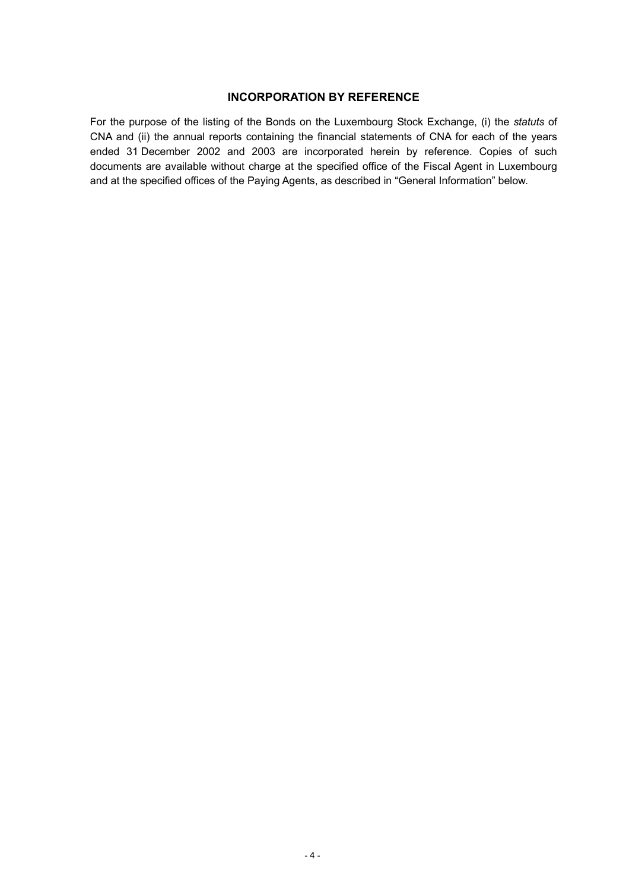# **INCORPORATION BY REFERENCE**

For the purpose of the listing of the Bonds on the Luxembourg Stock Exchange, (i) the *statuts* of CNA and (ii) the annual reports containing the financial statements of CNA for each of the years ended 31 December 2002 and 2003 are incorporated herein by reference. Copies of such documents are available without charge at the specified office of the Fiscal Agent in Luxembourg and at the specified offices of the Paying Agents, as described in "General Information" below.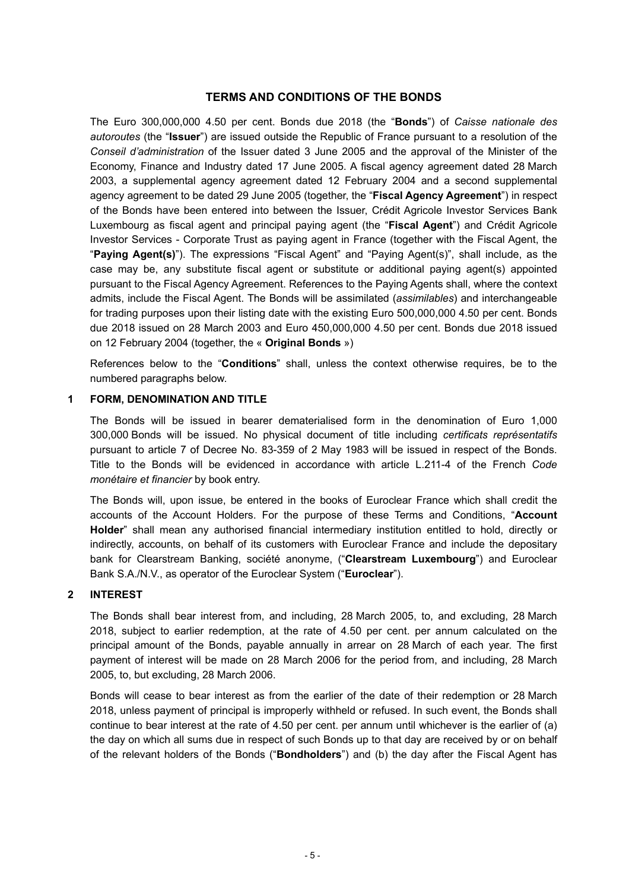### **TERMS AND CONDITIONS OF THE BONDS**

The Euro 300,000,000 4.50 per cent. Bonds due 2018 (the "**Bonds**") of *Caisse nationale des autoroutes* (the "**Issuer**") are issued outside the Republic of France pursuant to a resolution of the *Conseil d'administration* of the Issuer dated 3 June 2005 and the approval of the Minister of the Economy, Finance and Industry dated 17 June 2005. A fiscal agency agreement dated 28 March 2003, a supplemental agency agreement dated 12 February 2004 and a second supplemental agency agreement to be dated 29 June 2005 (together, the "**Fiscal Agency Agreement**") in respect of the Bonds have been entered into between the Issuer, Crédit Agricole Investor Services Bank Luxembourg as fiscal agent and principal paying agent (the "**Fiscal Agent**") and Crédit Agricole Investor Services - Corporate Trust as paying agent in France (together with the Fiscal Agent, the "**Paying Agent(s)**"). The expressions "Fiscal Agent" and "Paying Agent(s)", shall include, as the case may be, any substitute fiscal agent or substitute or additional paying agent(s) appointed pursuant to the Fiscal Agency Agreement. References to the Paying Agents shall, where the context admits, include the Fiscal Agent. The Bonds will be assimilated (*assimilables*) and interchangeable for trading purposes upon their listing date with the existing Euro 500,000,000 4.50 per cent. Bonds due 2018 issued on 28 March 2003 and Euro 450,000,000 4.50 per cent. Bonds due 2018 issued on 12 February 2004 (together, the « **Original Bonds** »)

References below to the "**Conditions**" shall, unless the context otherwise requires, be to the numbered paragraphs below.

#### **1 FORM, DENOMINATION AND TITLE**

The Bonds will be issued in bearer dematerialised form in the denomination of Euro 1,000 300,000 Bonds will be issued. No physical document of title including *certificats représentatifs* pursuant to article 7 of Decree No. 83-359 of 2 May 1983 will be issued in respect of the Bonds. Title to the Bonds will be evidenced in accordance with article L.211-4 of the French *Code monétaire et financier* by book entry.

The Bonds will, upon issue, be entered in the books of Euroclear France which shall credit the accounts of the Account Holders. For the purpose of these Terms and Conditions, "**Account Holder**" shall mean any authorised financial intermediary institution entitled to hold, directly or indirectly, accounts, on behalf of its customers with Euroclear France and include the depositary bank for Clearstream Banking, société anonyme, ("**Clearstream Luxembourg**") and Euroclear Bank S.A./N.V., as operator of the Euroclear System ("**Euroclear**").

# **2 INTEREST**

The Bonds shall bear interest from, and including, 28 March 2005, to, and excluding, 28 March 2018, subject to earlier redemption, at the rate of 4.50 per cent. per annum calculated on the principal amount of the Bonds, payable annually in arrear on 28 March of each year. The first payment of interest will be made on 28 March 2006 for the period from, and including, 28 March 2005, to, but excluding, 28 March 2006.

Bonds will cease to bear interest as from the earlier of the date of their redemption or 28 March 2018, unless payment of principal is improperly withheld or refused. In such event, the Bonds shall continue to bear interest at the rate of 4.50 per cent. per annum until whichever is the earlier of (a) the day on which all sums due in respect of such Bonds up to that day are received by or on behalf of the relevant holders of the Bonds ("**Bondholders**") and (b) the day after the Fiscal Agent has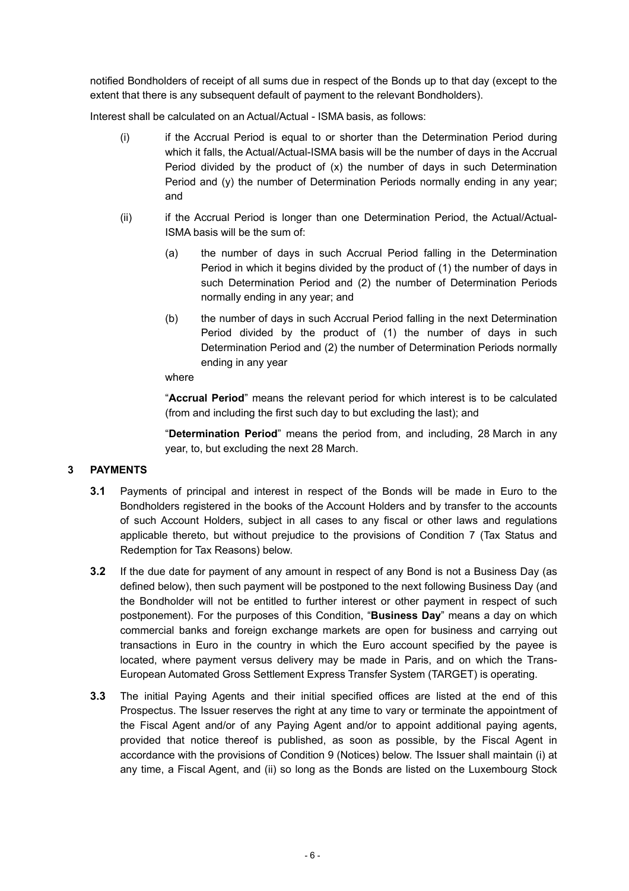notified Bondholders of receipt of all sums due in respect of the Bonds up to that day (except to the extent that there is any subsequent default of payment to the relevant Bondholders).

Interest shall be calculated on an Actual/Actual - ISMA basis, as follows:

- (i) if the Accrual Period is equal to or shorter than the Determination Period during which it falls, the Actual/Actual-ISMA basis will be the number of days in the Accrual Period divided by the product of (x) the number of days in such Determination Period and (y) the number of Determination Periods normally ending in any year; and
- (ii) if the Accrual Period is longer than one Determination Period, the Actual/Actual-ISMA basis will be the sum of:
	- (a) the number of days in such Accrual Period falling in the Determination Period in which it begins divided by the product of (1) the number of days in such Determination Period and (2) the number of Determination Periods normally ending in any year; and
	- (b) the number of days in such Accrual Period falling in the next Determination Period divided by the product of (1) the number of days in such Determination Period and (2) the number of Determination Periods normally ending in any year

#### where

"**Accrual Period**" means the relevant period for which interest is to be calculated (from and including the first such day to but excluding the last); and

"**Determination Period**" means the period from, and including, 28 March in any year, to, but excluding the next 28 March.

# **3 PAYMENTS**

- **3.1** Payments of principal and interest in respect of the Bonds will be made in Euro to the Bondholders registered in the books of the Account Holders and by transfer to the accounts of such Account Holders, subject in all cases to any fiscal or other laws and regulations applicable thereto, but without prejudice to the provisions of Condition 7 (Tax Status and Redemption for Tax Reasons) below.
- **3.2** If the due date for payment of any amount in respect of any Bond is not a Business Day (as defined below), then such payment will be postponed to the next following Business Day (and the Bondholder will not be entitled to further interest or other payment in respect of such postponement). For the purposes of this Condition, "**Business Day**" means a day on which commercial banks and foreign exchange markets are open for business and carrying out transactions in Euro in the country in which the Euro account specified by the payee is located, where payment versus delivery may be made in Paris, and on which the Trans-European Automated Gross Settlement Express Transfer System (TARGET) is operating.
- **3.3** The initial Paying Agents and their initial specified offices are listed at the end of this Prospectus. The Issuer reserves the right at any time to vary or terminate the appointment of the Fiscal Agent and/or of any Paying Agent and/or to appoint additional paying agents, provided that notice thereof is published, as soon as possible, by the Fiscal Agent in accordance with the provisions of Condition 9 (Notices) below. The Issuer shall maintain (i) at any time, a Fiscal Agent, and (ii) so long as the Bonds are listed on the Luxembourg Stock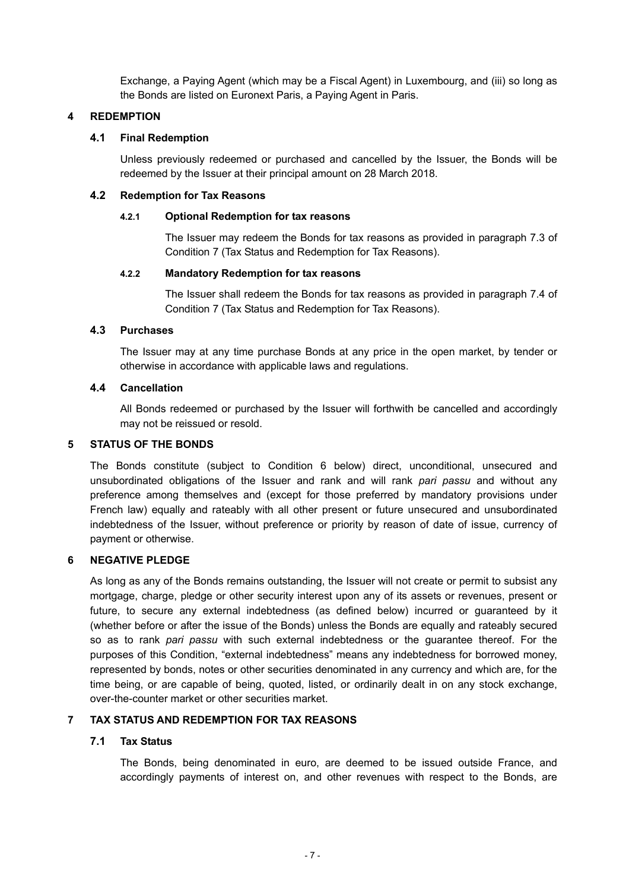Exchange, a Paying Agent (which may be a Fiscal Agent) in Luxembourg, and (iii) so long as the Bonds are listed on Euronext Paris, a Paying Agent in Paris.

# **4 REDEMPTION**

### **4.1 Final Redemption**

Unless previously redeemed or purchased and cancelled by the Issuer, the Bonds will be redeemed by the Issuer at their principal amount on 28 March 2018.

### **4.2 Redemption for Tax Reasons**

### **4.2.1 Optional Redemption for tax reasons**

The Issuer may redeem the Bonds for tax reasons as provided in paragraph 7.3 of Condition 7 (Tax Status and Redemption for Tax Reasons).

# **4.2.2 Mandatory Redemption for tax reasons**

The Issuer shall redeem the Bonds for tax reasons as provided in paragraph 7.4 of Condition 7 (Tax Status and Redemption for Tax Reasons).

# **4.3 Purchases**

The Issuer may at any time purchase Bonds at any price in the open market, by tender or otherwise in accordance with applicable laws and regulations.

# **4.4 Cancellation**

All Bonds redeemed or purchased by the Issuer will forthwith be cancelled and accordingly may not be reissued or resold.

### **5 STATUS OF THE BONDS**

The Bonds constitute (subject to Condition 6 below) direct, unconditional, unsecured and unsubordinated obligations of the Issuer and rank and will rank *pari passu* and without any preference among themselves and (except for those preferred by mandatory provisions under French law) equally and rateably with all other present or future unsecured and unsubordinated indebtedness of the Issuer, without preference or priority by reason of date of issue, currency of payment or otherwise.

#### **6 NEGATIVE PLEDGE**

As long as any of the Bonds remains outstanding, the Issuer will not create or permit to subsist any mortgage, charge, pledge or other security interest upon any of its assets or revenues, present or future, to secure any external indebtedness (as defined below) incurred or guaranteed by it (whether before or after the issue of the Bonds) unless the Bonds are equally and rateably secured so as to rank *pari passu* with such external indebtedness or the guarantee thereof. For the purposes of this Condition, "external indebtedness" means any indebtedness for borrowed money, represented by bonds, notes or other securities denominated in any currency and which are, for the time being, or are capable of being, quoted, listed, or ordinarily dealt in on any stock exchange, over-the-counter market or other securities market.

# **7 TAX STATUS AND REDEMPTION FOR TAX REASONS**

#### **7.1 Tax Status**

The Bonds, being denominated in euro, are deemed to be issued outside France, and accordingly payments of interest on, and other revenues with respect to the Bonds, are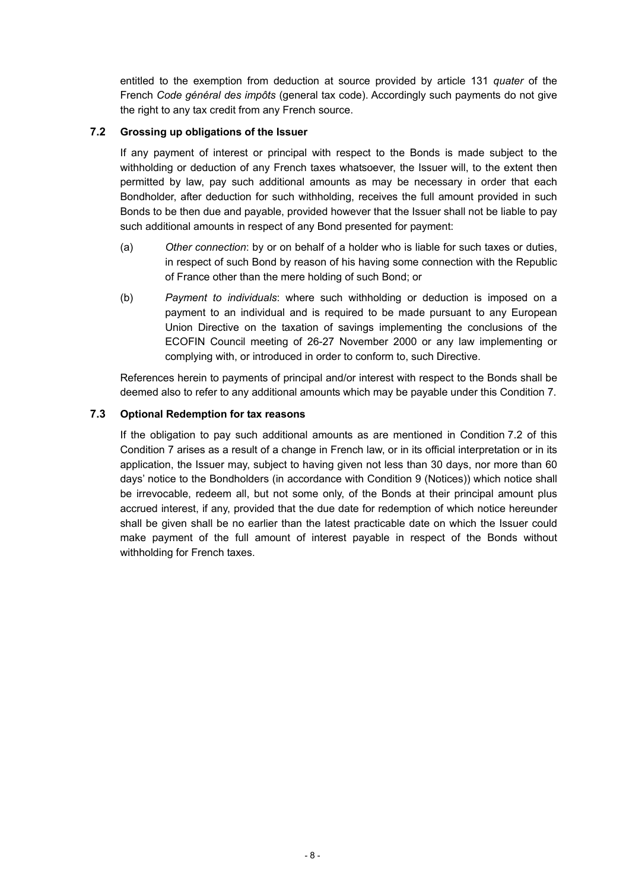entitled to the exemption from deduction at source provided by article 131 *quater* of the French *Code général des impôts* (general tax code). Accordingly such payments do not give the right to any tax credit from any French source.

# **7.2 Grossing up obligations of the Issuer**

If any payment of interest or principal with respect to the Bonds is made subject to the withholding or deduction of any French taxes whatsoever, the Issuer will, to the extent then permitted by law, pay such additional amounts as may be necessary in order that each Bondholder, after deduction for such withholding, receives the full amount provided in such Bonds to be then due and payable, provided however that the Issuer shall not be liable to pay such additional amounts in respect of any Bond presented for payment:

- (a) *Other connection*: by or on behalf of a holder who is liable for such taxes or duties, in respect of such Bond by reason of his having some connection with the Republic of France other than the mere holding of such Bond; or
- (b) *Payment to individuals*: where such withholding or deduction is imposed on a payment to an individual and is required to be made pursuant to any European Union Directive on the taxation of savings implementing the conclusions of the ECOFIN Council meeting of 26-27 November 2000 or any law implementing or complying with, or introduced in order to conform to, such Directive.

References herein to payments of principal and/or interest with respect to the Bonds shall be deemed also to refer to any additional amounts which may be payable under this Condition 7.

# **7.3 Optional Redemption for tax reasons**

If the obligation to pay such additional amounts as are mentioned in Condition 7.2 of this Condition 7 arises as a result of a change in French law, or in its official interpretation or in its application, the Issuer may, subject to having given not less than 30 days, nor more than 60 days' notice to the Bondholders (in accordance with Condition 9 (Notices)) which notice shall be irrevocable, redeem all, but not some only, of the Bonds at their principal amount plus accrued interest, if any, provided that the due date for redemption of which notice hereunder shall be given shall be no earlier than the latest practicable date on which the Issuer could make payment of the full amount of interest payable in respect of the Bonds without withholding for French taxes.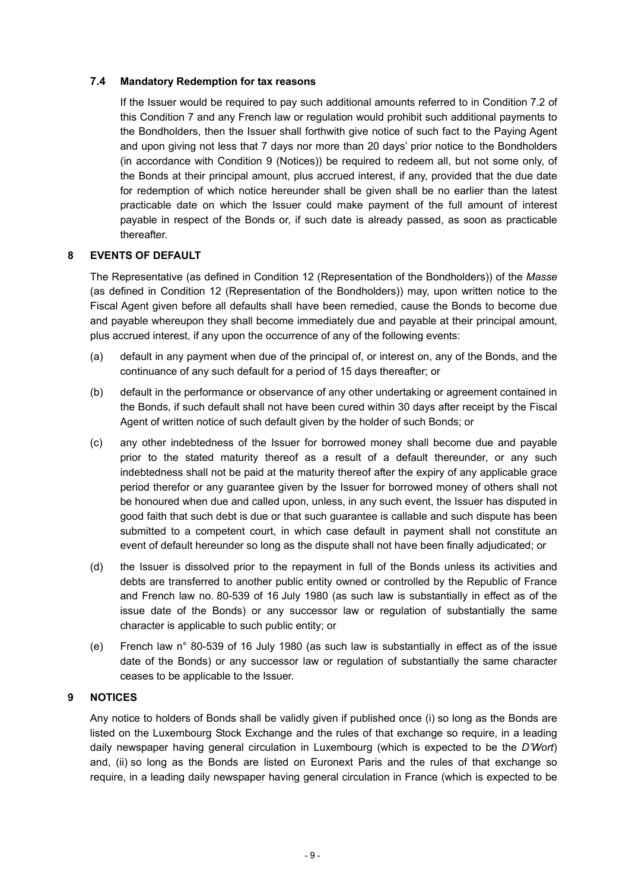# **7.4 Mandatory Redemption for tax reasons**

If the Issuer would be required to pay such additional amounts referred to in Condition 7.2 of this Condition 7 and any French law or regulation would prohibit such additional payments to the Bondholders, then the Issuer shall forthwith give notice of such fact to the Paying Agent and upon giving not less that 7 days nor more than 20 days' prior notice to the Bondholders (in accordance with Condition 9 (Notices)) be required to redeem all, but not some only, of the Bonds at their principal amount, plus accrued interest, if any, provided that the due date for redemption of which notice hereunder shall be given shall be no earlier than the latest practicable date on which the Issuer could make payment of the full amount of interest payable in respect of the Bonds or, if such date is already passed, as soon as practicable thereafter.

# **8 EVENTS OF DEFAULT**

The Representative (as defined in Condition 12 (Representation of the Bondholders)) of the *Masse* (as defined in Condition 12 (Representation of the Bondholders)) may, upon written notice to the Fiscal Agent given before all defaults shall have been remedied, cause the Bonds to become due and payable whereupon they shall become immediately due and payable at their principal amount, plus accrued interest, if any upon the occurrence of any of the following events:

- (a) default in any payment when due of the principal of, or interest on, any of the Bonds, and the continuance of any such default for a period of 15 days thereafter; or
- (b) default in the performance or observance of any other undertaking or agreement contained in the Bonds, if such default shall not have been cured within 30 days after receipt by the Fiscal Agent of written notice of such default given by the holder of such Bonds; or
- (c) any other indebtedness of the Issuer for borrowed money shall become due and payable prior to the stated maturity thereof as a result of a default thereunder, or any such indebtedness shall not be paid at the maturity thereof after the expiry of any applicable grace period therefor or any guarantee given by the Issuer for borrowed money of others shall not be honoured when due and called upon, unless, in any such event, the Issuer has disputed in good faith that such debt is due or that such guarantee is callable and such dispute has been submitted to a competent court, in which case default in payment shall not constitute an event of default hereunder so long as the dispute shall not have been finally adjudicated; or
- (d) the Issuer is dissolved prior to the repayment in full of the Bonds unless its activities and debts are transferred to another public entity owned or controlled by the Republic of France and French law no. 80-539 of 16 July 1980 (as such law is substantially in effect as of the issue date of the Bonds) or any successor law or regulation of substantially the same character is applicable to such public entity; or
- (e) French law n° 80-539 of 16 July 1980 (as such law is substantially in effect as of the issue date of the Bonds) or any successor law or regulation of substantially the same character ceases to be applicable to the Issuer.

# **9 NOTICES**

Any notice to holders of Bonds shall be validly given if published once (i) so long as the Bonds are listed on the Luxembourg Stock Exchange and the rules of that exchange so require, in a leading daily newspaper having general circulation in Luxembourg (which is expected to be the *D'Wort*) and, (ii) so long as the Bonds are listed on Euronext Paris and the rules of that exchange so require, in a leading daily newspaper having general circulation in France (which is expected to be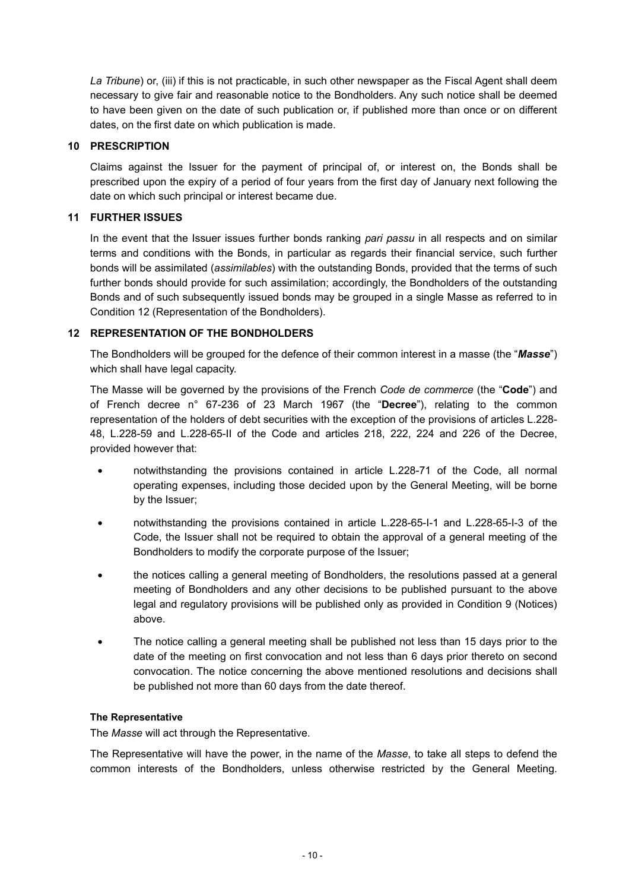*La Tribune*) or, (iii) if this is not practicable, in such other newspaper as the Fiscal Agent shall deem necessary to give fair and reasonable notice to the Bondholders. Any such notice shall be deemed to have been given on the date of such publication or, if published more than once or on different dates, on the first date on which publication is made.

### **10 PRESCRIPTION**

Claims against the Issuer for the payment of principal of, or interest on, the Bonds shall be prescribed upon the expiry of a period of four years from the first day of January next following the date on which such principal or interest became due.

### **11 FURTHER ISSUES**

In the event that the Issuer issues further bonds ranking *pari passu* in all respects and on similar terms and conditions with the Bonds, in particular as regards their financial service, such further bonds will be assimilated (*assimilables*) with the outstanding Bonds, provided that the terms of such further bonds should provide for such assimilation; accordingly, the Bondholders of the outstanding Bonds and of such subsequently issued bonds may be grouped in a single Masse as referred to in Condition 12 (Representation of the Bondholders).

# **12 REPRESENTATION OF THE BONDHOLDERS**

The Bondholders will be grouped for the defence of their common interest in a masse (the "*Masse*") which shall have legal capacity.

The Masse will be governed by the provisions of the French *Code de commerce* (the "**Code**") and of French decree n° 67-236 of 23 March 1967 (the "**Decree**"), relating to the common representation of the holders of debt securities with the exception of the provisions of articles L.228- 48, L.228-59 and L.228-65-II of the Code and articles 218, 222, 224 and 226 of the Decree, provided however that:

- notwithstanding the provisions contained in article L.228-71 of the Code, all normal operating expenses, including those decided upon by the General Meeting, will be borne by the Issuer;
- notwithstanding the provisions contained in article L.228-65-I-1 and L.228-65-I-3 of the Code, the Issuer shall not be required to obtain the approval of a general meeting of the Bondholders to modify the corporate purpose of the Issuer;
- the notices calling a general meeting of Bondholders, the resolutions passed at a general meeting of Bondholders and any other decisions to be published pursuant to the above legal and regulatory provisions will be published only as provided in Condition 9 (Notices) above.
- The notice calling a general meeting shall be published not less than 15 days prior to the date of the meeting on first convocation and not less than 6 days prior thereto on second convocation. The notice concerning the above mentioned resolutions and decisions shall be published not more than 60 days from the date thereof.

#### **The Representative**

The *Masse* will act through the Representative.

The Representative will have the power, in the name of the *Masse*, to take all steps to defend the common interests of the Bondholders, unless otherwise restricted by the General Meeting.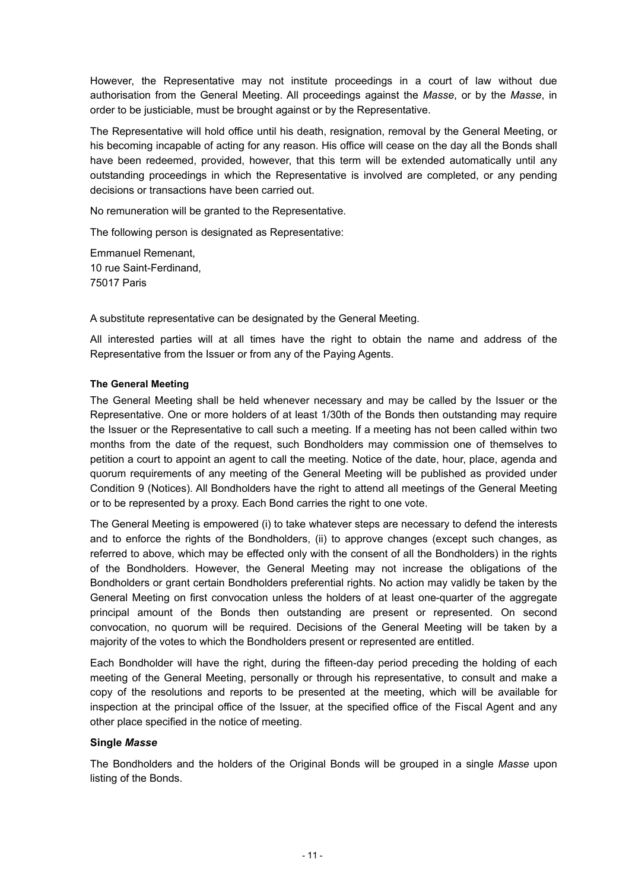However, the Representative may not institute proceedings in a court of law without due authorisation from the General Meeting. All proceedings against the *Masse*, or by the *Masse*, in order to be justiciable, must be brought against or by the Representative.

The Representative will hold office until his death, resignation, removal by the General Meeting, or his becoming incapable of acting for any reason. His office will cease on the day all the Bonds shall have been redeemed, provided, however, that this term will be extended automatically until any outstanding proceedings in which the Representative is involved are completed, or any pending decisions or transactions have been carried out.

No remuneration will be granted to the Representative.

The following person is designated as Representative:

Emmanuel Remenant, 10 rue Saint-Ferdinand, 75017 Paris

A substitute representative can be designated by the General Meeting.

All interested parties will at all times have the right to obtain the name and address of the Representative from the Issuer or from any of the Paying Agents.

# **The General Meeting**

The General Meeting shall be held whenever necessary and may be called by the Issuer or the Representative. One or more holders of at least 1/30th of the Bonds then outstanding may require the Issuer or the Representative to call such a meeting. If a meeting has not been called within two months from the date of the request, such Bondholders may commission one of themselves to petition a court to appoint an agent to call the meeting. Notice of the date, hour, place, agenda and quorum requirements of any meeting of the General Meeting will be published as provided under Condition 9 (Notices). All Bondholders have the right to attend all meetings of the General Meeting or to be represented by a proxy. Each Bond carries the right to one vote.

The General Meeting is empowered (i) to take whatever steps are necessary to defend the interests and to enforce the rights of the Bondholders, (ii) to approve changes (except such changes, as referred to above, which may be effected only with the consent of all the Bondholders) in the rights of the Bondholders. However, the General Meeting may not increase the obligations of the Bondholders or grant certain Bondholders preferential rights. No action may validly be taken by the General Meeting on first convocation unless the holders of at least one-quarter of the aggregate principal amount of the Bonds then outstanding are present or represented. On second convocation, no quorum will be required. Decisions of the General Meeting will be taken by a majority of the votes to which the Bondholders present or represented are entitled.

Each Bondholder will have the right, during the fifteen-day period preceding the holding of each meeting of the General Meeting, personally or through his representative, to consult and make a copy of the resolutions and reports to be presented at the meeting, which will be available for inspection at the principal office of the Issuer, at the specified office of the Fiscal Agent and any other place specified in the notice of meeting.

#### **Single** *Masse*

The Bondholders and the holders of the Original Bonds will be grouped in a single *Masse* upon listing of the Bonds.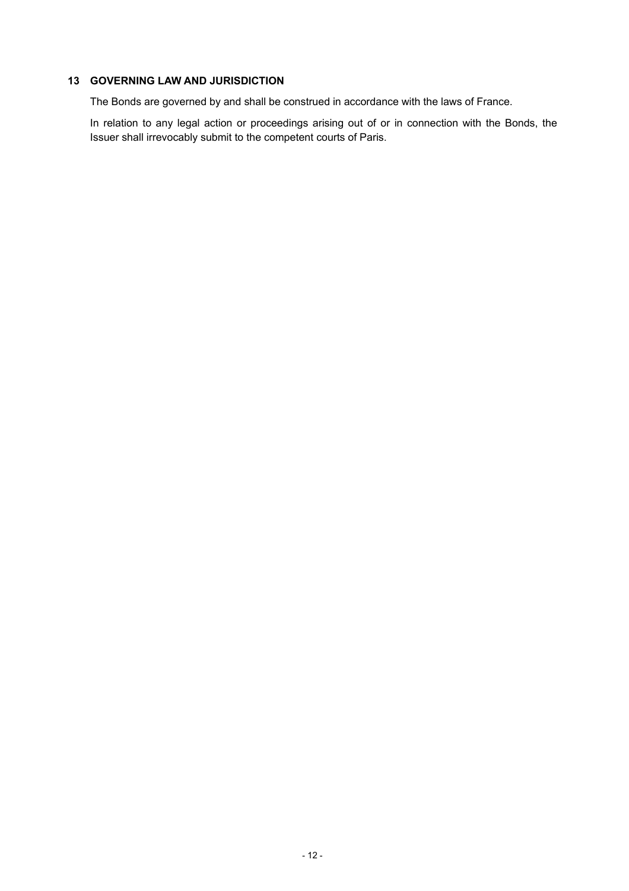# **13 GOVERNING LAW AND JURISDICTION**

The Bonds are governed by and shall be construed in accordance with the laws of France.

In relation to any legal action or proceedings arising out of or in connection with the Bonds, the Issuer shall irrevocably submit to the competent courts of Paris.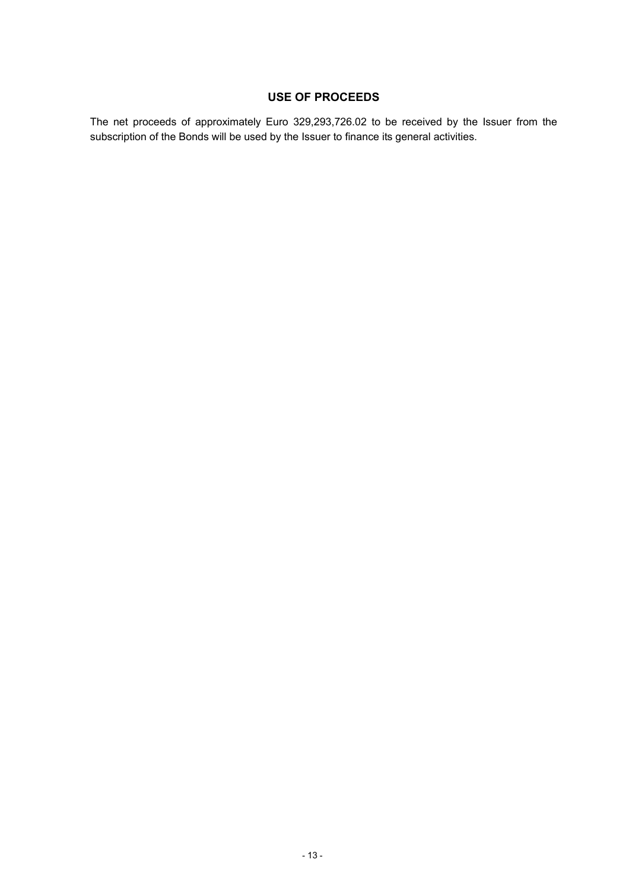# **USE OF PROCEEDS**

The net proceeds of approximately Euro 329,293,726.02 to be received by the Issuer from the subscription of the Bonds will be used by the Issuer to finance its general activities.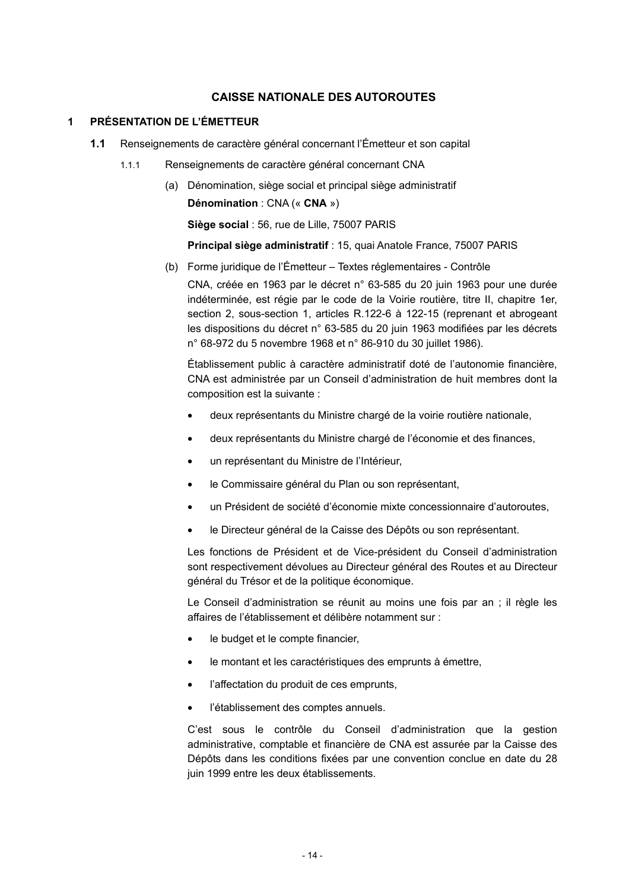# **CAISSE NATIONALE DES AUTOROUTES**

# **1 PRÉSENTATION DE L'ÉMETTEUR**

- **1.1** Renseignements de caractère général concernant l'Émetteur et son capital
	- 1.1.1 Renseignements de caractère général concernant CNA
		- (a) Dénomination, siège social et principal siège administratif **Dénomination** : CNA (« **CNA** »)

**Siège social** : 56, rue de Lille, 75007 PARIS

**Principal siège administratif** : 15, quai Anatole France, 75007 PARIS

(b) Forme juridique de l'Émetteur – Textes réglementaires - Contrôle CNA, créée en 1963 par le décret n° 63-585 du 20 juin 1963 pour une durée indéterminée, est régie par le code de la Voirie routière, titre II, chapitre 1er, section 2, sous-section 1, articles R.122-6 à 122-15 (reprenant et abrogeant les dispositions du décret n° 63-585 du 20 juin 1963 modifiées par les décrets n° 68-972 du 5 novembre 1968 et n° 86-910 du 30 juillet 1986).

Établissement public à caractère administratif doté de l'autonomie financière, CNA est administrée par un Conseil d'administration de huit membres dont la composition est la suivante :

- deux représentants du Ministre chargé de la voirie routière nationale,
- deux représentants du Ministre chargé de l'économie et des finances,
- un représentant du Ministre de l'Intérieur,
- le Commissaire général du Plan ou son représentant,
- un Président de société d'économie mixte concessionnaire d'autoroutes,
- le Directeur général de la Caisse des Dépôts ou son représentant.

Les fonctions de Président et de Vice-président du Conseil d'administration sont respectivement dévolues au Directeur général des Routes et au Directeur général du Trésor et de la politique économique.

Le Conseil d'administration se réunit au moins une fois par an ; il règle les affaires de l'établissement et délibère notamment sur :

- le budget et le compte financier,
- le montant et les caractéristiques des emprunts à émettre,
- l'affectation du produit de ces emprunts,
- l'établissement des comptes annuels.

C'est sous le contrôle du Conseil d'administration que la gestion administrative, comptable et financière de CNA est assurée par la Caisse des Dépôts dans les conditions fixées par une convention conclue en date du 28 juin 1999 entre les deux établissements.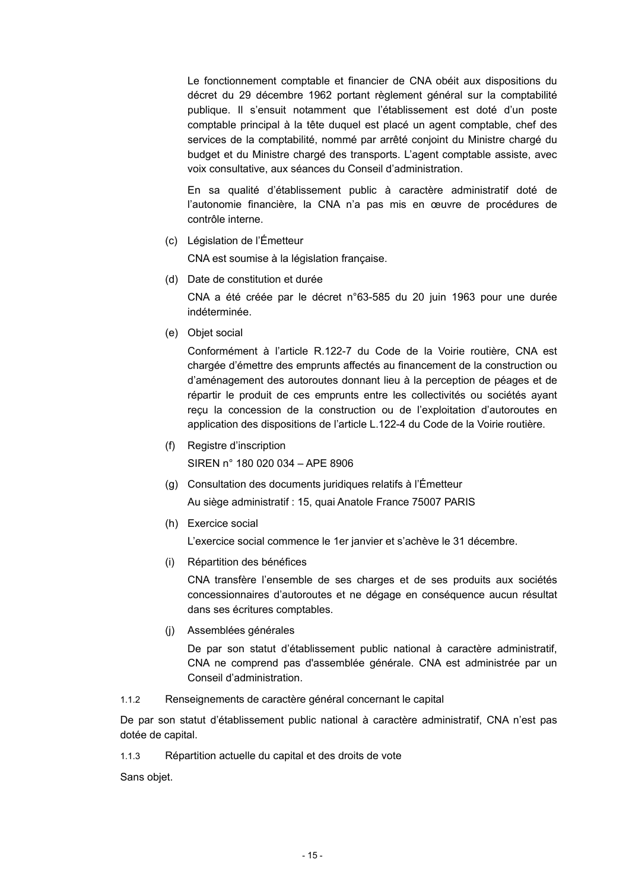Le fonctionnement comptable et financier de CNA obéit aux dispositions du décret du 29 décembre 1962 portant règlement général sur la comptabilité publique. Il s'ensuit notamment que l'établissement est doté d'un poste comptable principal à la tête duquel est placé un agent comptable, chef des services de la comptabilité, nommé par arrêté conjoint du Ministre chargé du budget et du Ministre chargé des transports. L'agent comptable assiste, avec voix consultative, aux séances du Conseil d'administration.

En sa qualité d'établissement public à caractère administratif doté de l'autonomie financière, la CNA n'a pas mis en œuvre de procédures de contrôle interne.

(c) Législation de l'Émetteur

CNA est soumise à la législation française.

(d) Date de constitution et durée

CNA a été créée par le décret n°63-585 du 20 juin 1963 pour une durée indéterminée.

(e) Objet social

Conformément à l'article R.122-7 du Code de la Voirie routière, CNA est chargée d'émettre des emprunts affectés au financement de la construction ou d'aménagement des autoroutes donnant lieu à la perception de péages et de répartir le produit de ces emprunts entre les collectivités ou sociétés ayant reçu la concession de la construction ou de l'exploitation d'autoroutes en application des dispositions de l'article L.122-4 du Code de la Voirie routière.

(f) Registre d'inscription

SIREN n° 180 020 034 – APE 8906

- (g) Consultation des documents juridiques relatifs à l'Émetteur Au siège administratif : 15, quai Anatole France 75007 PARIS
- (h) Exercice social

L'exercice social commence le 1er janvier et s'achève le 31 décembre.

(i) Répartition des bénéfices

CNA transfère l'ensemble de ses charges et de ses produits aux sociétés concessionnaires d'autoroutes et ne dégage en conséquence aucun résultat dans ses écritures comptables.

(j) Assemblées générales

De par son statut d'établissement public national à caractère administratif, CNA ne comprend pas d'assemblée générale. CNA est administrée par un Conseil d'administration.

1.1.2 Renseignements de caractère général concernant le capital

De par son statut d'établissement public national à caractère administratif, CNA n'est pas dotée de capital.

1.1.3 Répartition actuelle du capital et des droits de vote

Sans objet.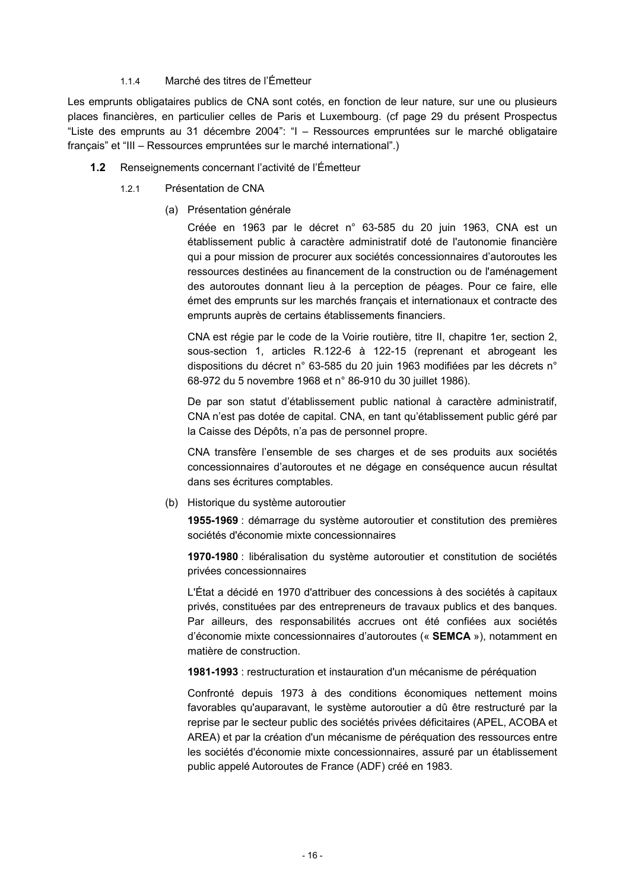#### 1.1.4 Marché des titres de l'Émetteur

Les emprunts obligataires publics de CNA sont cotés, en fonction de leur nature, sur une ou plusieurs places financières, en particulier celles de Paris et Luxembourg. (cf page 29 du présent Prospectus "Liste des emprunts au 31 décembre 2004": "I – Ressources empruntées sur le marché obligataire français" et "III – Ressources empruntées sur le marché international".)

- **1.2** Renseignements concernant l'activité de l'Émetteur
	- 1.2.1 Présentation de CNA
		- (a) Présentation générale

Créée en 1963 par le décret n° 63-585 du 20 juin 1963, CNA est un établissement public à caractère administratif doté de l'autonomie financière qui a pour mission de procurer aux sociétés concessionnaires d'autoroutes les ressources destinées au financement de la construction ou de l'aménagement des autoroutes donnant lieu à la perception de péages. Pour ce faire, elle émet des emprunts sur les marchés français et internationaux et contracte des emprunts auprès de certains établissements financiers.

CNA est régie par le code de la Voirie routière, titre II, chapitre 1er, section 2, sous-section 1, articles R.122-6 à 122-15 (reprenant et abrogeant les dispositions du décret n° 63-585 du 20 juin 1963 modifiées par les décrets n° 68-972 du 5 novembre 1968 et n° 86-910 du 30 juillet 1986).

De par son statut d'établissement public national à caractère administratif, CNA n'est pas dotée de capital. CNA, en tant qu'établissement public géré par la Caisse des Dépôts, n'a pas de personnel propre.

CNA transfère l'ensemble de ses charges et de ses produits aux sociétés concessionnaires d'autoroutes et ne dégage en conséquence aucun résultat dans ses écritures comptables.

(b) Historique du système autoroutier

**1955-1969** : démarrage du système autoroutier et constitution des premières sociétés d'économie mixte concessionnaires

**1970-1980** : libéralisation du système autoroutier et constitution de sociétés privées concessionnaires

L'État a décidé en 1970 d'attribuer des concessions à des sociétés à capitaux privés, constituées par des entrepreneurs de travaux publics et des banques. Par ailleurs, des responsabilités accrues ont été confiées aux sociétés d'économie mixte concessionnaires d'autoroutes (« **SEMCA** »), notamment en matière de construction.

**1981-1993** : restructuration et instauration d'un mécanisme de péréquation

Confronté depuis 1973 à des conditions économiques nettement moins favorables qu'auparavant, le système autoroutier a dû être restructuré par la reprise par le secteur public des sociétés privées déficitaires (APEL, ACOBA et AREA) et par la création d'un mécanisme de péréquation des ressources entre les sociétés d'économie mixte concessionnaires, assuré par un établissement public appelé Autoroutes de France (ADF) créé en 1983.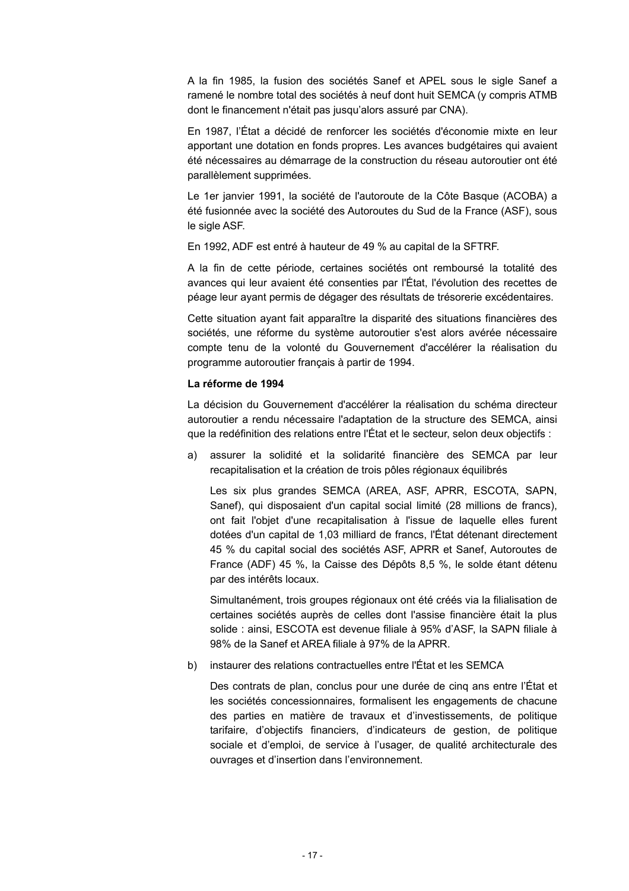A la fin 1985, la fusion des sociétés Sanef et APEL sous le sigle Sanef a ramené le nombre total des sociétés à neuf dont huit SEMCA (y compris ATMB dont le financement n'était pas jusqu'alors assuré par CNA).

En 1987, l'État a décidé de renforcer les sociétés d'économie mixte en leur apportant une dotation en fonds propres. Les avances budgétaires qui avaient été nécessaires au démarrage de la construction du réseau autoroutier ont été parallèlement supprimées.

Le 1er janvier 1991, la société de l'autoroute de la Côte Basque (ACOBA) a été fusionnée avec la société des Autoroutes du Sud de la France (ASF), sous le sigle ASF.

En 1992, ADF est entré à hauteur de 49 % au capital de la SFTRF.

A la fin de cette période, certaines sociétés ont remboursé la totalité des avances qui leur avaient été consenties par l'État, l'évolution des recettes de péage leur ayant permis de dégager des résultats de trésorerie excédentaires.

Cette situation ayant fait apparaître la disparité des situations financières des sociétés, une réforme du système autoroutier s'est alors avérée nécessaire compte tenu de la volonté du Gouvernement d'accélérer la réalisation du programme autoroutier français à partir de 1994.

#### **La réforme de 1994**

La décision du Gouvernement d'accélérer la réalisation du schéma directeur autoroutier a rendu nécessaire l'adaptation de la structure des SEMCA, ainsi que la redéfinition des relations entre l'État et le secteur, selon deux objectifs :

a) assurer la solidité et la solidarité financière des SEMCA par leur recapitalisation et la création de trois pôles régionaux équilibrés

Les six plus grandes SEMCA (AREA, ASF, APRR, ESCOTA, SAPN, Sanef), qui disposaient d'un capital social limité (28 millions de francs), ont fait l'objet d'une recapitalisation à l'issue de laquelle elles furent dotées d'un capital de 1,03 milliard de francs, l'État détenant directement 45 % du capital social des sociétés ASF, APRR et Sanef, Autoroutes de France (ADF) 45 %, la Caisse des Dépôts 8,5 %, le solde étant détenu par des intérêts locaux.

Simultanément, trois groupes régionaux ont été créés via la filialisation de certaines sociétés auprès de celles dont l'assise financière était la plus solide : ainsi, ESCOTA est devenue filiale à 95% d'ASF, la SAPN filiale à 98% de la Sanef et AREA filiale à 97% de la APRR.

b) instaurer des relations contractuelles entre l'État et les SEMCA

Des contrats de plan, conclus pour une durée de cinq ans entre l'État et les sociétés concessionnaires, formalisent les engagements de chacune des parties en matière de travaux et d'investissements, de politique tarifaire, d'objectifs financiers, d'indicateurs de gestion, de politique sociale et d'emploi, de service à l'usager, de qualité architecturale des ouvrages et d'insertion dans l'environnement.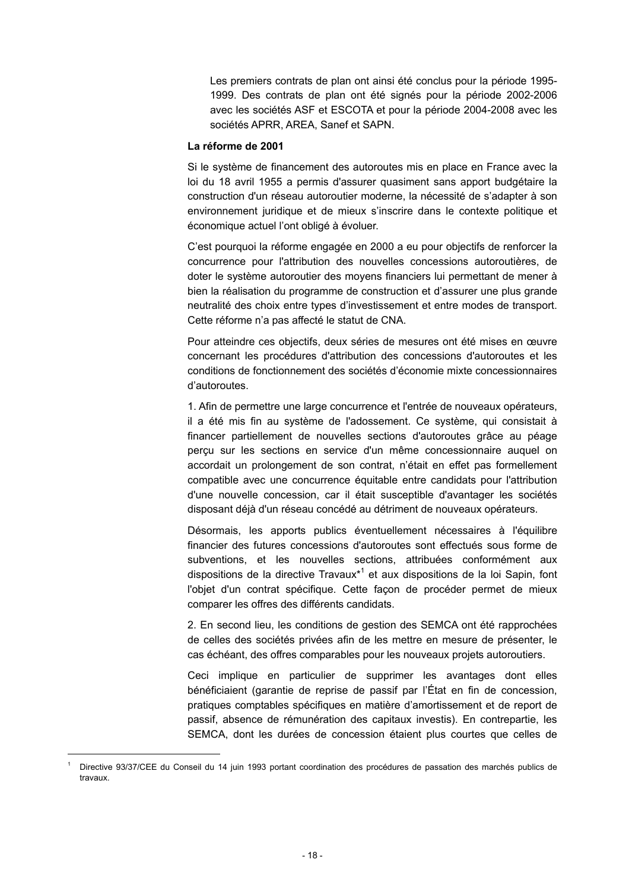Les premiers contrats de plan ont ainsi été conclus pour la période 1995- 1999. Des contrats de plan ont été signés pour la période 2002-2006 avec les sociétés ASF et ESCOTA et pour la période 2004-2008 avec les sociétés APRR, AREA, Sanef et SAPN.

#### **La réforme de 2001**

Si le système de financement des autoroutes mis en place en France avec la loi du 18 avril 1955 a permis d'assurer quasiment sans apport budgétaire la construction d'un réseau autoroutier moderne, la nécessité de s'adapter à son environnement juridique et de mieux s'inscrire dans le contexte politique et économique actuel l'ont obligé à évoluer.

C'est pourquoi la réforme engagée en 2000 a eu pour objectifs de renforcer la concurrence pour l'attribution des nouvelles concessions autoroutières, de doter le système autoroutier des moyens financiers lui permettant de mener à bien la réalisation du programme de construction et d'assurer une plus grande neutralité des choix entre types d'investissement et entre modes de transport. Cette réforme n'a pas affecté le statut de CNA.

Pour atteindre ces objectifs, deux séries de mesures ont été mises en œuvre concernant les procédures d'attribution des concessions d'autoroutes et les conditions de fonctionnement des sociétés d'économie mixte concessionnaires d'autoroutes.

1. Afin de permettre une large concurrence et l'entrée de nouveaux opérateurs, il a été mis fin au système de l'adossement. Ce système, qui consistait à financer partiellement de nouvelles sections d'autoroutes grâce au péage perçu sur les sections en service d'un même concessionnaire auquel on accordait un prolongement de son contrat, n'était en effet pas formellement compatible avec une concurrence équitable entre candidats pour l'attribution d'une nouvelle concession, car il était susceptible d'avantager les sociétés disposant déjà d'un réseau concédé au détriment de nouveaux opérateurs.

Désormais, les apports publics éventuellement nécessaires à l'équilibre financier des futures concessions d'autoroutes sont effectués sous forme de subventions, et les nouvelles sections, attribuées conformément aux dispositions de la directive Travaux<sup>\*1</sup> et aux dispositions de la loi Sapin, font l'objet d'un contrat spécifique. Cette façon de procéder permet de mieux comparer les offres des différents candidats.

2. En second lieu, les conditions de gestion des SEMCA ont été rapprochées de celles des sociétés privées afin de les mettre en mesure de présenter, le cas échéant, des offres comparables pour les nouveaux projets autoroutiers.

Ceci implique en particulier de supprimer les avantages dont elles bénéficiaient (garantie de reprise de passif par l'État en fin de concession, pratiques comptables spécifiques en matière d'amortissement et de report de passif, absence de rémunération des capitaux investis). En contrepartie, les SEMCA, dont les durées de concession étaient plus courtes que celles de

l

<sup>1</sup> Directive 93/37/CEE du Conseil du 14 juin 1993 portant coordination des procédures de passation des marchés publics de travaux.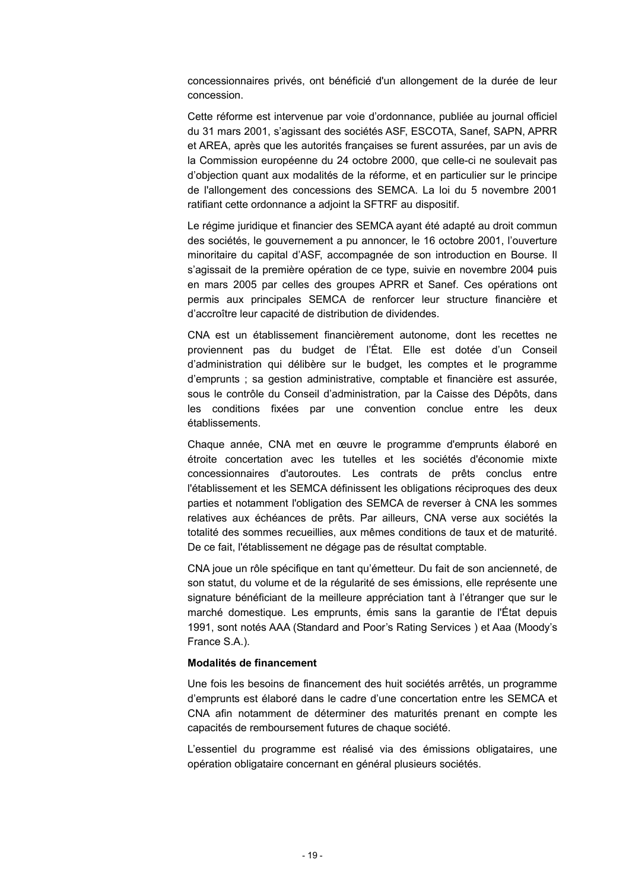concessionnaires privés, ont bénéficié d'un allongement de la durée de leur concession.

Cette réforme est intervenue par voie d'ordonnance, publiée au journal officiel du 31 mars 2001, s'agissant des sociétés ASF, ESCOTA, Sanef, SAPN, APRR et AREA, après que les autorités françaises se furent assurées, par un avis de la Commission européenne du 24 octobre 2000, que celle-ci ne soulevait pas d'objection quant aux modalités de la réforme, et en particulier sur le principe de l'allongement des concessions des SEMCA. La loi du 5 novembre 2001 ratifiant cette ordonnance a adjoint la SFTRF au dispositif.

Le régime juridique et financier des SEMCA ayant été adapté au droit commun des sociétés, le gouvernement a pu annoncer, le 16 octobre 2001, l'ouverture minoritaire du capital d'ASF, accompagnée de son introduction en Bourse. Il s'agissait de la première opération de ce type, suivie en novembre 2004 puis en mars 2005 par celles des groupes APRR et Sanef. Ces opérations ont permis aux principales SEMCA de renforcer leur structure financière et d'accroître leur capacité de distribution de dividendes.

CNA est un établissement financièrement autonome, dont les recettes ne proviennent pas du budget de l'État. Elle est dotée d'un Conseil d'administration qui délibère sur le budget, les comptes et le programme d'emprunts ; sa gestion administrative, comptable et financière est assurée, sous le contrôle du Conseil d'administration, par la Caisse des Dépôts, dans les conditions fixées par une convention conclue entre les deux établissements.

Chaque année, CNA met en œuvre le programme d'emprunts élaboré en étroite concertation avec les tutelles et les sociétés d'économie mixte concessionnaires d'autoroutes. Les contrats de prêts conclus entre l'établissement et les SEMCA définissent les obligations réciproques des deux parties et notamment l'obligation des SEMCA de reverser à CNA les sommes relatives aux échéances de prêts. Par ailleurs, CNA verse aux sociétés la totalité des sommes recueillies, aux mêmes conditions de taux et de maturité. De ce fait, l'établissement ne dégage pas de résultat comptable.

CNA joue un rôle spécifique en tant qu'émetteur. Du fait de son ancienneté, de son statut, du volume et de la régularité de ses émissions, elle représente une signature bénéficiant de la meilleure appréciation tant à l'étranger que sur le marché domestique. Les emprunts, émis sans la garantie de l'État depuis 1991, sont notés AAA (Standard and Poor's Rating Services ) et Aaa (Moody's France S.A.).

#### **Modalités de financement**

Une fois les besoins de financement des huit sociétés arrêtés, un programme d'emprunts est élaboré dans le cadre d'une concertation entre les SEMCA et CNA afin notamment de déterminer des maturités prenant en compte les capacités de remboursement futures de chaque société.

L'essentiel du programme est réalisé via des émissions obligataires, une opération obligataire concernant en général plusieurs sociétés.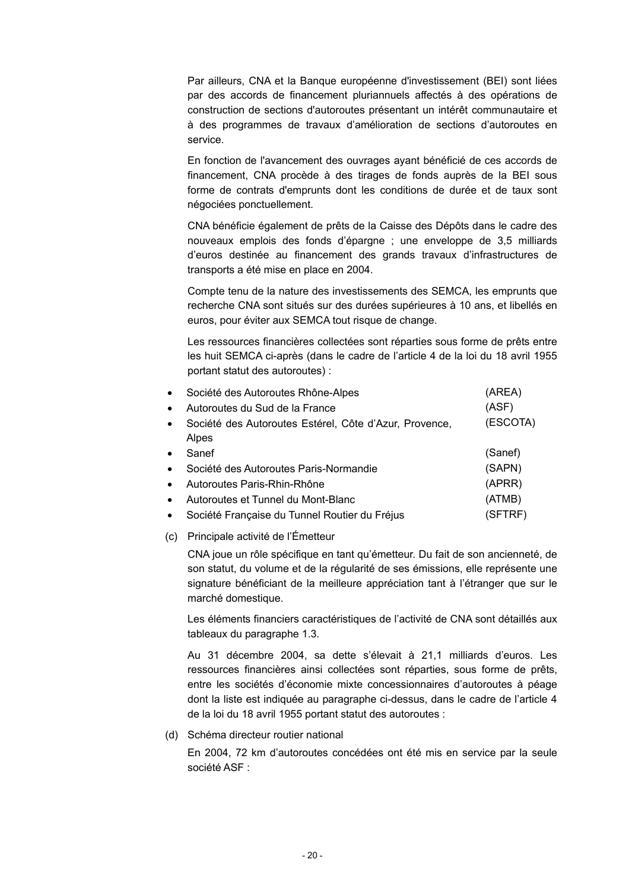Par ailleurs, CNA et la Banque européenne d'investissement (BEI) sont liées par des accords de financement pluriannuels affectés à des opérations de construction de sections d'autoroutes présentant un intérêt communautaire et à des programmes de travaux d'amélioration de sections d'autoroutes en service.

En fonction de l'avancement des ouvrages ayant bénéficié de ces accords de financement, CNA procède à des tirages de fonds auprès de la BEI sous forme de contrats d'emprunts dont les conditions de durée et de taux sont négociées ponctuellement.

CNA bénéficie également de prêts de la Caisse des Dépôts dans le cadre des nouveaux emplois des fonds d'épargne ; une enveloppe de 3,5 milliards d'euros destinée au financement des grands travaux d'infrastructures de transports a été mise en place en 2004.

Compte tenu de la nature des investissements des SEMCA, les emprunts que recherche CNA sont situés sur des durées supérieures à 10 ans, et libellés en euros, pour éviter aux SEMCA tout risque de change.

Les ressources financières collectées sont réparties sous forme de prêts entre les huit SEMCA ci-après (dans le cadre de l'article 4 de la loi du 18 avril 1955 portant statut des autoroutes) :

| $\bullet$ | Société des Autoroutes Rhône-Alpes                     | (AREA)   |
|-----------|--------------------------------------------------------|----------|
| $\bullet$ | Autoroutes du Sud de la France                         | (ASF)    |
| $\bullet$ | Société des Autoroutes Estérel, Côte d'Azur, Provence, | (ESCOTA) |
|           | Alpes                                                  |          |
| $\bullet$ | Sanef                                                  | (Sanef)  |
| $\bullet$ | Société des Autoroutes Paris-Normandie                 | (SAPN)   |
| $\bullet$ | Autoroutes Paris-Rhin-Rhône                            | (APRR)   |
| $\bullet$ | Autoroutes et Tunnel du Mont-Blanc                     | (ATMB)   |
| $\bullet$ | Société Française du Tunnel Routier du Fréjus          | (SFTRF)  |

(c) Principale activité de l'Émetteur

CNA joue un rôle spécifique en tant qu'émetteur. Du fait de son ancienneté, de son statut, du volume et de la régularité de ses émissions, elle représente une signature bénéficiant de la meilleure appréciation tant à l'étranger que sur le marché domestique.

Les éléments financiers caractéristiques de l'activité de CNA sont détaillés aux tableaux du paragraphe 1.3.

Au 31 décembre 2004, sa dette s'élevait à 21,1 milliards d'euros. Les ressources financières ainsi collectées sont réparties, sous forme de prêts, entre les sociétés d'économie mixte concessionnaires d'autoroutes à péage dont la liste est indiquée au paragraphe ci-dessus, dans le cadre de l'article 4 de la loi du 18 avril 1955 portant statut des autoroutes :

(d) Schéma directeur routier national

En 2004, 72 km d'autoroutes concédées ont été mis en service par la seule société ASF :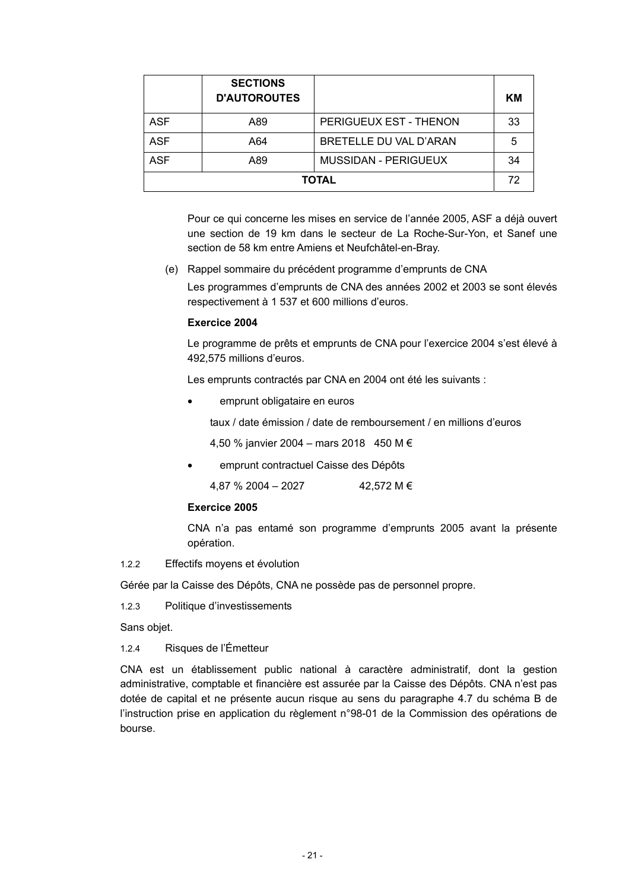|              | <b>SECTIONS</b><br><b>D'AUTOROUTES</b> |                        | KМ  |  |
|--------------|----------------------------------------|------------------------|-----|--|
| <b>ASF</b>   | A89                                    | PERIGUEUX EST - THENON | -33 |  |
| <b>ASF</b>   | A64                                    | BRETELLE DU VAL D'ARAN | 5   |  |
| <b>ASF</b>   | A89                                    | MUSSIDAN - PERIGUEUX   | 34  |  |
| <b>TOTAL</b> |                                        |                        |     |  |

Pour ce qui concerne les mises en service de l'année 2005, ASF a déjà ouvert une section de 19 km dans le secteur de La Roche-Sur-Yon, et Sanef une section de 58 km entre Amiens et Neufchâtel-en-Bray.

(e) Rappel sommaire du précédent programme d'emprunts de CNA

Les programmes d'emprunts de CNA des années 2002 et 2003 se sont élevés respectivement à 1 537 et 600 millions d'euros.

#### **Exercice 2004**

Le programme de prêts et emprunts de CNA pour l'exercice 2004 s'est élevé à 492,575 millions d'euros.

Les emprunts contractés par CNA en 2004 ont été les suivants :

• emprunt obligataire en euros

taux / date émission / date de remboursement / en millions d'euros

4,50 % janvier 2004 – mars 2018 450 M €

• emprunt contractuel Caisse des Dépôts

4,87 % 2004 – 2027 42,572 M €

#### **Exercice 2005**

CNA n'a pas entamé son programme d'emprunts 2005 avant la présente opération.

1.2.2 Effectifs moyens et évolution

Gérée par la Caisse des Dépôts, CNA ne possède pas de personnel propre.

1.2.3 Politique d'investissements

Sans objet.

1.2.4 Risques de l'Émetteur

CNA est un établissement public national à caractère administratif, dont la gestion administrative, comptable et financière est assurée par la Caisse des Dépôts. CNA n'est pas dotée de capital et ne présente aucun risque au sens du paragraphe 4.7 du schéma B de l'instruction prise en application du règlement n°98-01 de la Commission des opérations de bourse.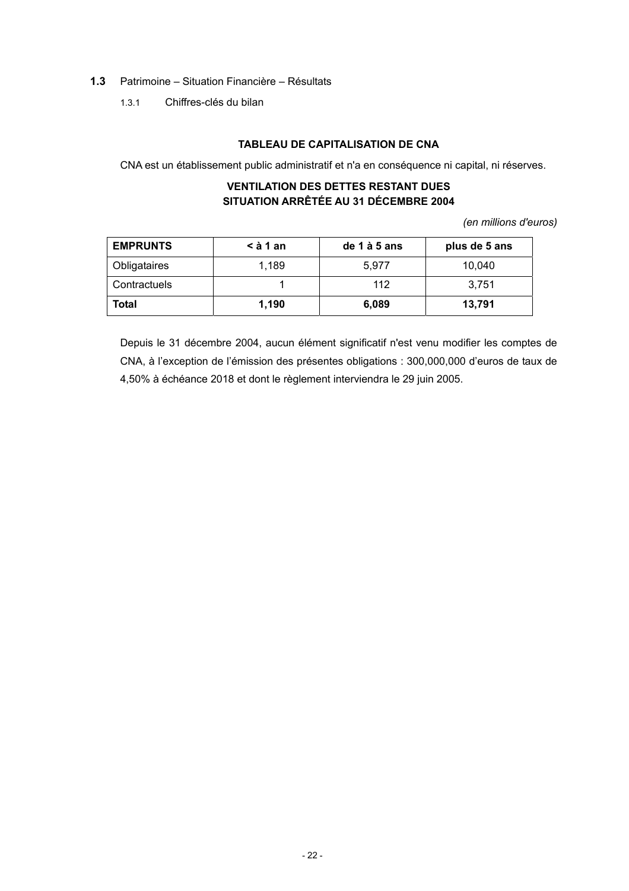# **1.3** Patrimoine – Situation Financière – Résultats

1.3.1 Chiffres-clés du bilan

# **TABLEAU DE CAPITALISATION DE CNA**

CNA est un établissement public administratif et n'a en conséquence ni capital, ni réserves.

### **VENTILATION DES DETTES RESTANT DUES SITUATION ARRÊTÉE AU 31 DÉCEMBRE 2004**

*(en millions d'euros)* 

| <b>EMPRUNTS</b> | $\leq$ à 1 an | de 1 à 5 ans | plus de 5 ans |
|-----------------|---------------|--------------|---------------|
| Obligataires    | 1.189         | 5.977        | 10,040        |
| Contractuels    |               | 112          | 3.751         |
| <b>Total</b>    | 1.190         | 6,089        | 13,791        |

Depuis le 31 décembre 2004, aucun élément significatif n'est venu modifier les comptes de CNA, à l'exception de l'émission des présentes obligations : 300,000,000 d'euros de taux de 4,50% à échéance 2018 et dont le règlement interviendra le 29 juin 2005.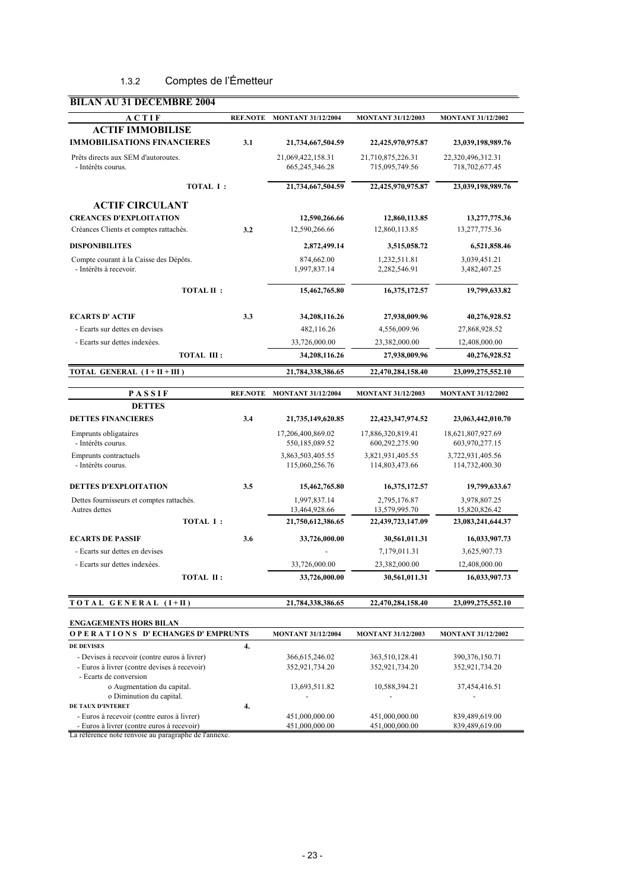# 1.3.2 Comptes de l'Émetteur

| ACTIF                                                                    | <b>REF.NOTE</b> | <b>MONTANT 31/12/2004</b>           | <b>MONTANT 31/12/2003</b>           | <b>MONTANT 31/12/2002</b>           |
|--------------------------------------------------------------------------|-----------------|-------------------------------------|-------------------------------------|-------------------------------------|
| <b>ACTIF IMMOBILISE</b>                                                  |                 |                                     |                                     |                                     |
| <b>IMMOBILISATIONS FINANCIERES</b>                                       | 3.1             | 21,734,667,504.59                   | 22,425,970,975.87                   | 23,039,198,989.76                   |
| Prêts directs aux SEM d'autoroutes.                                      |                 | 21,069,422,158.31                   | 21,710,875,226.31                   | 22,320,496,312.31                   |
| - Intérêts courus.                                                       |                 | 665,245,346.28                      | 715,095,749.56                      | 718,702,677.45                      |
| <b>TOTAL I:</b>                                                          |                 | 21,734,667,504.59                   | 22,425,970,975.87                   | 23,039,198,989.76                   |
| <b>ACTIF CIRCULANT</b>                                                   |                 |                                     |                                     |                                     |
| <b>CREANCES D'EXPLOITATION</b>                                           |                 | 12,590,266.66                       | 12,860,113.85                       | 13,277,775.36                       |
| Créances Clients et comptes rattachés.                                   | 3.2             | 12,590,266.66                       | 12,860,113.85                       | 13,277,775.36                       |
| <b>DISPONIBILITES</b>                                                    |                 | 2,872,499.14                        | 3,515,058.72                        | 6,521,858.46                        |
| Compte courant à la Caisse des Dépôts.                                   |                 | 874,662.00                          | 1,232,511.81                        | 3,039,451.21                        |
| - Intérêts à recevoir.                                                   |                 | 1,997,837.14                        | 2,282,546.91                        | 3,482,407.25                        |
| <b>TOTAL II:</b>                                                         |                 | 15,462,765.80                       | 16,375,172.57                       | 19,799,633.82                       |
| <b>ECARTS D' ACTIF</b>                                                   |                 |                                     |                                     |                                     |
| - Ecarts sur dettes en devises                                           | 3.3             | 34,208,116.26<br>482,116.26         | 27,938,009.96<br>4,556,009.96       | 40,276,928.52<br>27,868,928.52      |
| - Ecarts sur dettes indexées.                                            |                 | 33,726,000.00                       | 23,382,000.00                       | 12,408,000.00                       |
| <b>TOTAL III:</b>                                                        |                 | 34,208,116.26                       | 27,938,009.96                       | 40,276,928.52                       |
|                                                                          |                 |                                     |                                     |                                     |
| TOTAL GENERAL (I + II + III)                                             |                 | 21,784,338,386.65                   | 22,470,284,158.40                   | 23,099,275,552.10                   |
| PASSIF                                                                   | <b>REF.NOTE</b> | <b>MONTANT 31/12/2004</b>           | <b>MONTANT 31/12/2003</b>           | <b>MONTANT 31/12/2002</b>           |
| <b>DETTES</b>                                                            |                 |                                     |                                     |                                     |
| <b>DETTES FINANCIERES</b>                                                | 3.4             | 21,735,149,620.85                   | 22,423,347,974.52                   | 23,063,442,010.70                   |
| Emprunts obligataires<br>- Intérêts courus.                              |                 | 17,206,400,869.02<br>550,185,089.52 | 17,886,320,819.41<br>600,292,275.90 | 18,621,807,927.69<br>603,970,277.15 |
| Emprunts contractuels                                                    |                 | 3,863,503,405.55                    | 3,821,931,405.55                    | 3,722,931,405.56                    |
| - Intérêts courus.                                                       |                 | 115,060,256.76                      | 114,803,473.66                      | 114,732,400.30                      |
| <b>DETTES D'EXPLOITATION</b>                                             | 3.5             | 15,462,765.80                       | 16,375,172.57                       | 19,799,633.67                       |
| Dettes fournisseurs et comptes rattachés.                                |                 | 1,997,837.14                        | 2,795,176.87                        | 3,978,807.25                        |
| Autres dettes                                                            |                 | 13,464,928.66                       | 13,579,995.70                       | 15,820,826.42                       |
| <b>TOTAL I:</b>                                                          |                 | 21,750,612,386.65                   | 22,439,723,147.09                   | 23,083,241,644.37                   |
| <b>ECARTS DE PASSIF</b>                                                  | 3.6             | 33,726,000.00                       | 30,561,011.31                       | 16,033,907.73                       |
| - Ecarts sur dettes en devises                                           |                 |                                     | 7,179,011.31                        | 3,625,907.73                        |
| - Ecarts sur dettes indexées.                                            |                 | 33,726,000.00                       | 23,382,000.00                       | 12,408,000.00                       |
| TOTAL II:                                                                |                 | 33,726,000.00                       | 30,561,011.31                       | 16,033,907.73                       |
| TOTAL GENERAL (I+II)                                                     |                 | 21,784,338,386.65                   | 22,470,284,158.40                   | 23,099,275,552.10                   |
|                                                                          |                 |                                     |                                     |                                     |
| <b>ENGAGEMENTS HORS BILAN</b><br><b>OPERATIONS D'ECHANGES D'EMPRUNTS</b> |                 | <b>MONTANT 31/12/2004</b>           | <b>MONTANT 31/12/2003</b>           | <b>MONTANT 31/12/2002</b>           |
| <b>DE DEVISES</b>                                                        | 4.              |                                     |                                     |                                     |
| - Devises à recevoir (contre euros à livrer)                             |                 | 366, 615, 246.02                    | 363,510,128.41                      | 390, 376, 150. 71                   |
| - Euros à livrer (contre devises à recevoir)                             |                 | 352,921,734.20                      | 352,921,734.20                      | 352,921,734.20                      |
| - Ecarts de conversion<br>o Augmentation du capital.                     |                 | 13,693,511.82                       | 10,588,394.21                       | 37,454,416.51                       |
| o Diminution du capital.                                                 |                 |                                     |                                     |                                     |
| DE TAUX D'INTERET                                                        | 4.              |                                     |                                     |                                     |
| - Euros à recevoir (contre euros à livrer)                               |                 | 451,000,000.00                      | 451,000,000.00                      | 839,489,619.00                      |

La référence note renvoie au paragraphe de l'annexe.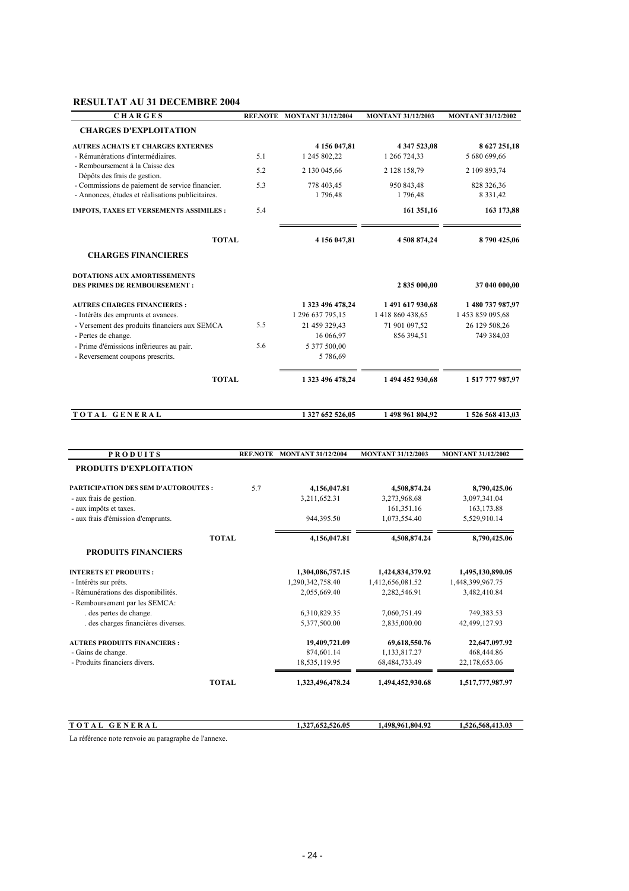# **RESULTAT AU 31 DECEMBRE 2004**

| <b>CHARGES</b>                                                  | <b>REF.NOTE</b> | <b>MONTANT 31/12/2004</b> | <b>MONTANT 31/12/2003</b> | <b>MONTANT 31/12/2002</b> |
|-----------------------------------------------------------------|-----------------|---------------------------|---------------------------|---------------------------|
| <b>CHARGES D'EXPLOITATION</b>                                   |                 |                           |                           |                           |
| <b>AUTRES ACHATS ET CHARGES EXTERNES</b>                        |                 | 4 156 047,81              | 4 347 523,08              | 8 627 251,18              |
| - Rémunérations d'intermédiaires.                               | 5.1             | 1 245 802,22              | 1 266 724,33              | 5 680 699,66              |
| - Remboursement à la Caisse des<br>Dépôts des frais de gestion. | 52              | 2 130 045,66              | 2 128 158,79              | 2 109 893,74              |
| - Commissions de paiement de service financier.                 | 5.3             | 778 403,45                | 950 843,48                | 828 326,36                |
| - Annonces, études et réalisations publicitaires.               |                 | 1796,48                   | 1796,48                   | 8 3 3 1 4 2               |
| IMPOTS, TAXES ET VERSEMENTS ASSIMILES :                         | 5.4             |                           | 161 351,16                | 163 173,88                |
| <b>TOTAL</b>                                                    |                 | 4 156 047,81              | 4508874,24                | 8790425,06                |
| <b>CHARGES FINANCIERES</b>                                      |                 |                           |                           |                           |
| <b>DOTATIONS AUX AMORTISSEMENTS</b>                             |                 |                           |                           |                           |
| <b>DES PRIMES DE REMBOURSEMENT:</b>                             |                 |                           | 2 835 000,00              | 37 040 000,00             |
| <b>AUTRES CHARGES FINANCIERES :</b>                             |                 | 1 323 496 478,24          | 1491617930,68             | 1 480 737 987,97          |
| - Intérêts des emprunts et avances.                             |                 | 1 296 637 795,15          | 1 418 860 438,65          | 1 453 859 095,68          |
| - Versement des produits financiers aux SEMCA                   | 5.5             | 21 459 329,43             | 71 901 097,52             | 26 129 508,26             |
| - Pertes de change.                                             |                 | 16 066,97                 | 856 394,51                | 749 384,03                |
| - Prime d'émissions infèrieures au pair.                        | 5.6             | 5 377 500,00              |                           |                           |
| - Reversement coupons prescrits.                                |                 | 5 786,69                  |                           |                           |
| <b>TOTAL</b>                                                    |                 | 1 323 496 478.24          | 1 494 452 930,68          | 1517777987,97             |
| TOTAL GENERAL                                                   |                 | 1 327 652 526,05          | 1 498 961 804,92          | 1526568413,03             |
|                                                                 |                 |                           |                           |                           |
| <b>PRODUITS</b>                                                 | <b>REF.NOTE</b> | <b>MONTANT 31/12/2004</b> | <b>MONTANT 31/12/2003</b> | <b>MONTANT 31/12/2002</b> |
| PRODUITS D'EXPLOITATION                                         |                 |                           |                           |                           |
| PARTICIPATION DES SEM D'AUTOROUTES :                            | 5.7             | 4,156,047.81              | 4,508,874.24              | 8,790,425.06              |
| - aux frais de gestion.                                         |                 | 3,211,652.31              | 3,273,968.68              | 3,097,341.04              |
| - aux impôts et taxes.                                          |                 |                           | 161,351.16                | 163,173.88                |
| - aux frais d'émission d'emprunts.                              |                 | 944,395.50                | 1,073,554.40              | 5,529,910.14              |
| <b>TOTAL</b>                                                    |                 | 4,156,047.81              | 4,508,874.24              | 8,790,425.06              |
| PRODUITS FINANCIERS                                             |                 |                           |                           |                           |
| <b>INTERETS ET PRODUITS:</b>                                    |                 | 1,304,086,757.15          | 1,424,834,379.92          | 1,495,130,890.05          |
| - Intérêts sur prêts.                                           |                 | 1,290,342,758.40          | 1,412,656,081.52          | 1,448,399,967.75          |

- Rémunérations des disponibilités. 2,055,669.40 2,282,546.91 3,482,410.84 - Remboursement par les SEMCA: des pertes de change. 6,310,829.35 7,060,751.49 749,383.53 . des charges financières diverses. 5,377,500.00 2,835,000.00 42,499,127.93 **AUTRES PRODUITS FINANCIERS : 19,409,721.09 69,618,550.76 22,647,097.92**<br> **19,409,721.09 69,618,550.76 22,647,097.92**<br> **19,133,817.27 468,444.86** - Gains de change.<br>
874,601.14 1,133,817.27 468,444.86<br>
18,535,119.95 68,484,733.49 22,178,653.06 - Produits financiers divers. 18,535,119.95 68,484,733.49 **TOTAL 1,323,496,478.24 1,494,452,930.68 1,517,777,987.97**

| $\mathbf{r}$<br>.,                                        | 1.327.652.526.05 | 1,961,804.92<br>$1.498$ <sup>o</sup> | 1.526.568.413.03 |
|-----------------------------------------------------------|------------------|--------------------------------------|------------------|
| I a natanan sa mata namarara arrasan sun shi da Bannasara |                  |                                      |                  |

La référence note renvoie au paragraphe de l'annexe.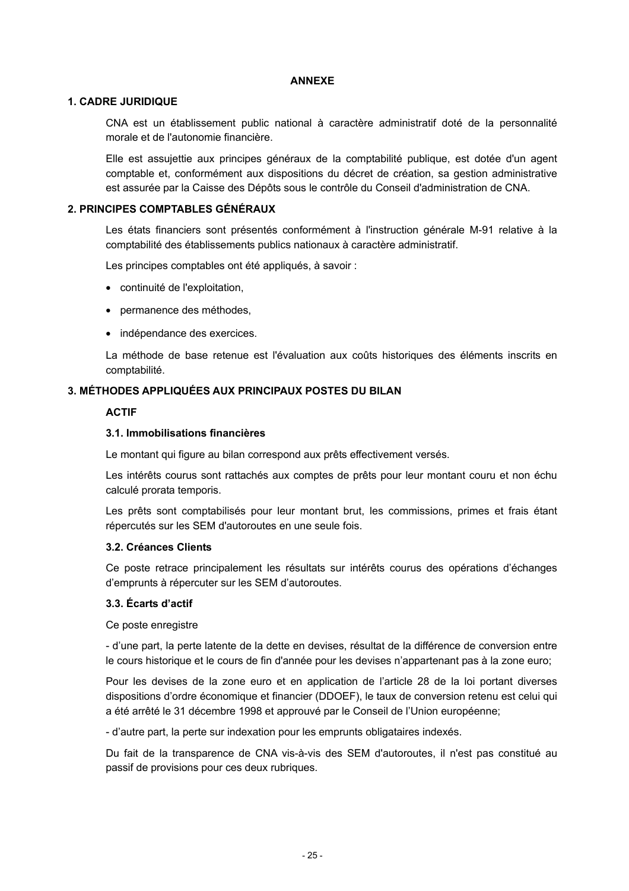#### **ANNEXE**

#### **1. CADRE JURIDIQUE**

CNA est un établissement public national à caractère administratif doté de la personnalité morale et de l'autonomie financière.

Elle est assujettie aux principes généraux de la comptabilité publique, est dotée d'un agent comptable et, conformément aux dispositions du décret de création, sa gestion administrative est assurée par la Caisse des Dépôts sous le contrôle du Conseil d'administration de CNA.

#### **2. PRINCIPES COMPTABLES GÉNÉRAUX**

Les états financiers sont présentés conformément à l'instruction générale M-91 relative à la comptabilité des établissements publics nationaux à caractère administratif.

Les principes comptables ont été appliqués, à savoir :

- continuité de l'exploitation,
- permanence des méthodes,
- indépendance des exercices.

La méthode de base retenue est l'évaluation aux coûts historiques des éléments inscrits en comptabilité.

#### **3. MÉTHODES APPLIQUÉES AUX PRINCIPAUX POSTES DU BILAN**

# **ACTIF**

#### **3.1. Immobilisations financières**

Le montant qui figure au bilan correspond aux prêts effectivement versés.

Les intérêts courus sont rattachés aux comptes de prêts pour leur montant couru et non échu calculé prorata temporis.

Les prêts sont comptabilisés pour leur montant brut, les commissions, primes et frais étant répercutés sur les SEM d'autoroutes en une seule fois.

#### **3.2. Créances Clients**

Ce poste retrace principalement les résultats sur intérêts courus des opérations d'échanges d'emprunts à répercuter sur les SEM d'autoroutes.

#### **3.3. Écarts d'actif**

Ce poste enregistre

- d'une part, la perte latente de la dette en devises, résultat de la différence de conversion entre le cours historique et le cours de fin d'année pour les devises n'appartenant pas à la zone euro;

Pour les devises de la zone euro et en application de l'article 28 de la loi portant diverses dispositions d'ordre économique et financier (DDOEF), le taux de conversion retenu est celui qui a été arrêté le 31 décembre 1998 et approuvé par le Conseil de l'Union européenne;

- d'autre part, la perte sur indexation pour les emprunts obligataires indexés.

Du fait de la transparence de CNA vis-à-vis des SEM d'autoroutes, il n'est pas constitué au passif de provisions pour ces deux rubriques.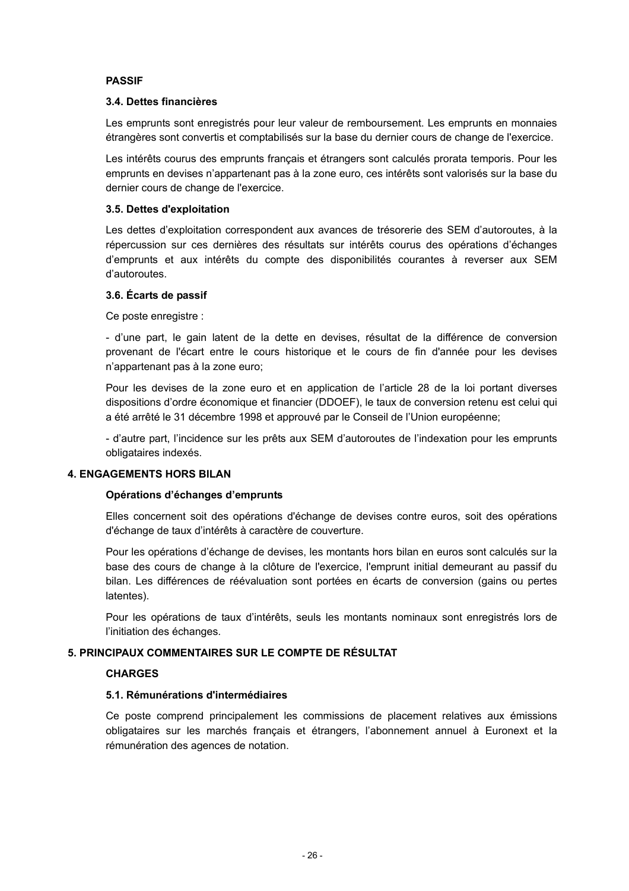#### **PASSIF**

#### **3.4. Dettes financières**

Les emprunts sont enregistrés pour leur valeur de remboursement. Les emprunts en monnaies étrangères sont convertis et comptabilisés sur la base du dernier cours de change de l'exercice.

Les intérêts courus des emprunts français et étrangers sont calculés prorata temporis. Pour les emprunts en devises n'appartenant pas à la zone euro, ces intérêts sont valorisés sur la base du dernier cours de change de l'exercice.

### **3.5. Dettes d'exploitation**

Les dettes d'exploitation correspondent aux avances de trésorerie des SEM d'autoroutes, à la répercussion sur ces dernières des résultats sur intérêts courus des opérations d'échanges d'emprunts et aux intérêts du compte des disponibilités courantes à reverser aux SEM d'autoroutes.

# **3.6. Écarts de passif**

Ce poste enregistre :

- d'une part, le gain latent de la dette en devises, résultat de la différence de conversion provenant de l'écart entre le cours historique et le cours de fin d'année pour les devises n'appartenant pas à la zone euro;

Pour les devises de la zone euro et en application de l'article 28 de la loi portant diverses dispositions d'ordre économique et financier (DDOEF), le taux de conversion retenu est celui qui a été arrêté le 31 décembre 1998 et approuvé par le Conseil de l'Union européenne;

- d'autre part, l'incidence sur les prêts aux SEM d'autoroutes de l'indexation pour les emprunts obligataires indexés.

#### **4. ENGAGEMENTS HORS BILAN**

#### **Opérations d'échanges d'emprunts**

Elles concernent soit des opérations d'échange de devises contre euros, soit des opérations d'échange de taux d'intérêts à caractère de couverture.

Pour les opérations d'échange de devises, les montants hors bilan en euros sont calculés sur la base des cours de change à la clôture de l'exercice, l'emprunt initial demeurant au passif du bilan. Les différences de réévaluation sont portées en écarts de conversion (gains ou pertes latentes).

Pour les opérations de taux d'intérêts, seuls les montants nominaux sont enregistrés lors de l'initiation des échanges.

# **5. PRINCIPAUX COMMENTAIRES SUR LE COMPTE DE RÉSULTAT**

#### **CHARGES**

#### **5.1. Rémunérations d'intermédiaires**

Ce poste comprend principalement les commissions de placement relatives aux émissions obligataires sur les marchés français et étrangers, l'abonnement annuel à Euronext et la rémunération des agences de notation.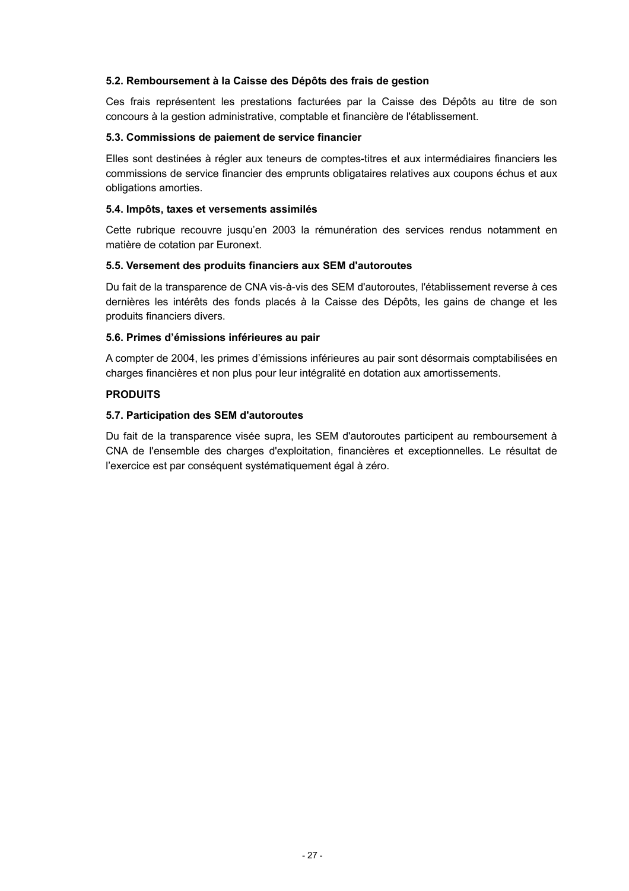#### **5.2. Remboursement à la Caisse des Dépôts des frais de gestion**

Ces frais représentent les prestations facturées par la Caisse des Dépôts au titre de son concours à la gestion administrative, comptable et financière de l'établissement.

### **5.3. Commissions de paiement de service financier**

Elles sont destinées à régler aux teneurs de comptes-titres et aux intermédiaires financiers les commissions de service financier des emprunts obligataires relatives aux coupons échus et aux obligations amorties.

### **5.4. Impôts, taxes et versements assimilés**

Cette rubrique recouvre jusqu'en 2003 la rémunération des services rendus notamment en matière de cotation par Euronext.

# **5.5. Versement des produits financiers aux SEM d'autoroutes**

Du fait de la transparence de CNA vis-à-vis des SEM d'autoroutes, l'établissement reverse à ces dernières les intérêts des fonds placés à la Caisse des Dépôts, les gains de change et les produits financiers divers.

# **5.6. Primes d'émissions inférieures au pair**

A compter de 2004, les primes d'émissions inférieures au pair sont désormais comptabilisées en charges financières et non plus pour leur intégralité en dotation aux amortissements.

# **PRODUITS**

# **5.7. Participation des SEM d'autoroutes**

Du fait de la transparence visée supra, les SEM d'autoroutes participent au remboursement à CNA de l'ensemble des charges d'exploitation, financières et exceptionnelles. Le résultat de l'exercice est par conséquent systématiquement égal à zéro.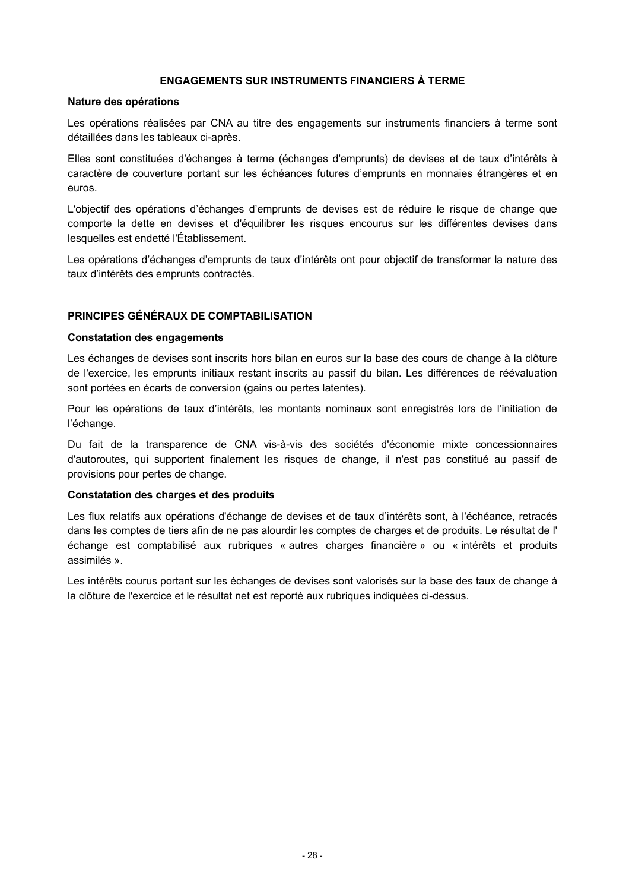#### **ENGAGEMENTS SUR INSTRUMENTS FINANCIERS À TERME**

#### **Nature des opérations**

Les opérations réalisées par CNA au titre des engagements sur instruments financiers à terme sont détaillées dans les tableaux ci-après.

Elles sont constituées d'échanges à terme (échanges d'emprunts) de devises et de taux d'intérêts à caractère de couverture portant sur les échéances futures d'emprunts en monnaies étrangères et en euros.

L'objectif des opérations d'échanges d'emprunts de devises est de réduire le risque de change que comporte la dette en devises et d'équilibrer les risques encourus sur les différentes devises dans lesquelles est endetté l'Établissement.

Les opérations d'échanges d'emprunts de taux d'intérêts ont pour objectif de transformer la nature des taux d'intérêts des emprunts contractés.

#### **PRINCIPES GÉNÉRAUX DE COMPTABILISATION**

#### **Constatation des engagements**

Les échanges de devises sont inscrits hors bilan en euros sur la base des cours de change à la clôture de l'exercice, les emprunts initiaux restant inscrits au passif du bilan. Les différences de réévaluation sont portées en écarts de conversion (gains ou pertes latentes).

Pour les opérations de taux d'intérêts, les montants nominaux sont enregistrés lors de l'initiation de l'échange.

Du fait de la transparence de CNA vis-à-vis des sociétés d'économie mixte concessionnaires d'autoroutes, qui supportent finalement les risques de change, il n'est pas constitué au passif de provisions pour pertes de change.

#### **Constatation des charges et des produits**

Les flux relatifs aux opérations d'échange de devises et de taux d'intérêts sont, à l'échéance, retracés dans les comptes de tiers afin de ne pas alourdir les comptes de charges et de produits. Le résultat de l' échange est comptabilisé aux rubriques « autres charges financière » ou « intérêts et produits assimilés ».

Les intérêts courus portant sur les échanges de devises sont valorisés sur la base des taux de change à la clôture de l'exercice et le résultat net est reporté aux rubriques indiquées ci-dessus.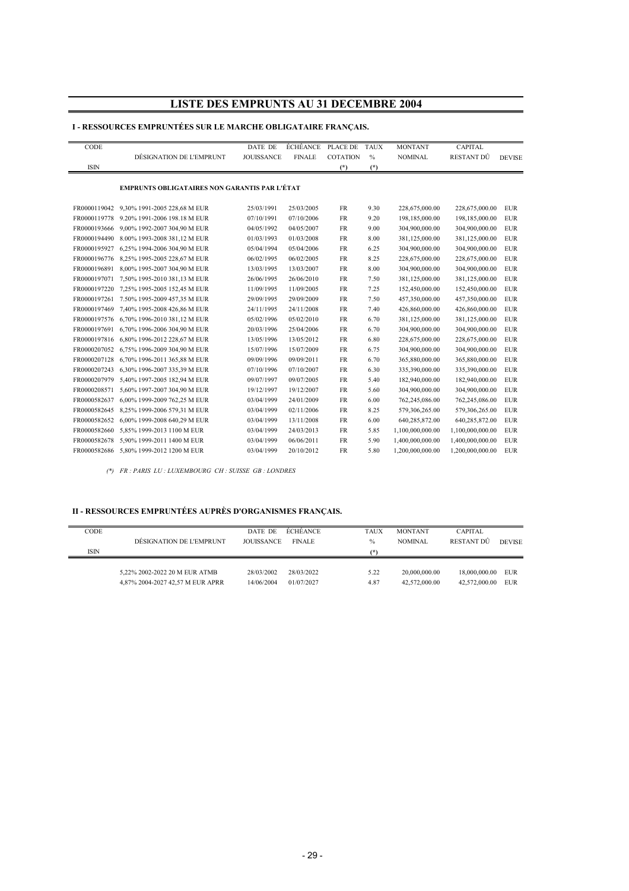# **LISTE DES EMPRUNTS AU 31 DECEMBRE 2004**

#### **I - RESSOURCES EMPRUNTÉES SUR LE MARCHE OBLIGATAIRE FRANÇAIS.**

| CODE         |                                                      | DATE DE           | ÉCHÉANCE PLACE DE |                 | <b>TAUX</b> | <b>MONTANT</b>   | <b>CAPITAL</b>   |               |
|--------------|------------------------------------------------------|-------------------|-------------------|-----------------|-------------|------------------|------------------|---------------|
|              | DÉSIGNATION DE L'EMPRUNT                             | <b>JOUISSANCE</b> | <b>FINALE</b>     | <b>COTATION</b> | $\%$        | <b>NOMINAL</b>   | RESTANT DÛ       | <b>DEVISE</b> |
| <b>ISIN</b>  |                                                      |                   |                   | $(*)$           | $(*)$       |                  |                  |               |
|              | <b>EMPRUNTS OBLIGATAIRES NON GARANTIS PAR L'ÉTAT</b> |                   |                   |                 |             |                  |                  |               |
| FR0000119042 | 9,30% 1991-2005 228,68 M EUR                         | 25/03/1991        | 25/03/2005        | <b>FR</b>       | 9.30        | 228,675,000.00   | 228,675,000.00   | <b>EUR</b>    |
| FR0000119778 | 9.20% 1991-2006 198.18 M EUR                         | 07/10/1991        | 07/10/2006        | <b>FR</b>       | 9.20        | 198,185,000.00   | 198,185,000.00   | EUR           |
| FR0000193666 | 9,00% 1992-2007 304,90 M EUR                         | 04/05/1992        | 04/05/2007        | <b>FR</b>       | 9.00        | 304,900,000.00   | 304,900,000.00   | <b>EUR</b>    |
|              | FR0000194490 8.00% 1993-2008 381,12 M EUR            | 01/03/1993        | 01/03/2008        | <b>FR</b>       | 8.00        | 381,125,000.00   | 381,125,000.00   | <b>EUR</b>    |
| FR0000195927 | 6,25% 1994-2006 304,90 M EUR                         | 05/04/1994        | 05/04/2006        | <b>FR</b>       | 6.25        | 304,900,000.00   | 304,900,000.00   | <b>EUR</b>    |
|              | FR0000196776 8,25% 1995-2005 228,67 M EUR            | 06/02/1995        | 06/02/2005        | <b>FR</b>       | 8.25        | 228,675,000.00   | 228,675,000.00   | <b>EUR</b>    |
| FR0000196891 | 8,00% 1995-2007 304,90 M EUR                         | 13/03/1995        | 13/03/2007        | <b>FR</b>       | 8.00        | 304,900,000.00   | 304,900,000.00   | <b>EUR</b>    |
|              | FR0000197071 7.50% 1995-2010 381,13 M EUR            | 26/06/1995        | 26/06/2010        | <b>FR</b>       | 7.50        | 381,125,000.00   | 381,125,000.00   | <b>EUR</b>    |
|              | FR0000197220 7,25% 1995-2005 152,45 M EUR            | 11/09/1995        | 11/09/2005        | <b>FR</b>       | 7.25        | 152,450,000.00   | 152,450,000.00   | <b>EUR</b>    |
|              | FR0000197261 7.50% 1995-2009 457,35 M EUR            | 29/09/1995        | 29/09/2009        | <b>FR</b>       | 7.50        | 457,350,000.00   | 457,350,000.00   | <b>EUR</b>    |
|              | FR0000197469 7,40% 1995-2008 426,86 M EUR            | 24/11/1995        | 24/11/2008        | <b>FR</b>       | 7.40        | 426,860,000.00   | 426,860,000.00   | <b>EUR</b>    |
| FR0000197576 | 6,70% 1996-2010 381,12 M EUR                         | 05/02/1996        | 05/02/2010        | <b>FR</b>       | 6.70        | 381,125,000.00   | 381,125,000.00   | <b>EUR</b>    |
| FR0000197691 | 6,70% 1996-2006 304,90 M EUR                         | 20/03/1996        | 25/04/2006        | <b>FR</b>       | 6.70        | 304,900,000.00   | 304,900,000.00   | <b>EUR</b>    |
| FR0000197816 | 6,80% 1996-2012 228,67 M EUR                         | 13/05/1996        | 13/05/2012        | <b>FR</b>       | 6.80        | 228,675,000.00   | 228,675,000.00   | <b>EUR</b>    |
| FR0000207052 | 6,75% 1996-2009 304,90 M EUR                         | 15/07/1996        | 15/07/2009        | <b>FR</b>       | 6.75        | 304,900,000.00   | 304,900,000.00   | <b>EUR</b>    |
| FR0000207128 | 6,70% 1996-2011 365,88 M EUR                         | 09/09/1996        | 09/09/2011        | <b>FR</b>       | 6.70        | 365,880,000.00   | 365,880,000.00   | <b>EUR</b>    |
| FR0000207243 | 6,30% 1996-2007 335,39 M EUR                         | 07/10/1996        | 07/10/2007        | <b>FR</b>       | 6.30        | 335,390,000.00   | 335,390,000.00   | <b>EUR</b>    |
| FR0000207979 | 5,40% 1997-2005 182,94 M EUR                         | 09/07/1997        | 09/07/2005        | <b>FR</b>       | 5.40        | 182,940,000.00   | 182,940,000.00   | <b>EUR</b>    |
| FR0000208571 | 5,60% 1997-2007 304,90 M EUR                         | 19/12/1997        | 19/12/2007        | <b>FR</b>       | 5.60        | 304,900,000.00   | 304,900,000.00   | <b>EUR</b>    |
| FR0000582637 | 6,00% 1999-2009 762,25 M EUR                         | 03/04/1999        | 24/01/2009        | <b>FR</b>       | 6.00        | 762,245,086.00   | 762,245,086.00   | <b>EUR</b>    |
| FR0000582645 | 8,25% 1999-2006 579,31 M EUR                         | 03/04/1999        | 02/11/2006        | <b>FR</b>       | 8.25        | 579,306,265.00   | 579,306,265.00   | <b>EUR</b>    |
| FR0000582652 | 6,00% 1999-2008 640,29 M EUR                         | 03/04/1999        | 13/11/2008        | <b>FR</b>       | 6.00        | 640,285,872.00   | 640,285,872.00   | <b>EUR</b>    |
|              | FR0000582660 5.85% 1999-2013 1100 M EUR              | 03/04/1999        | 24/03/2013        | <b>FR</b>       | 5.85        | 1,100,000,000.00 | 1,100,000,000.00 | <b>EUR</b>    |
|              | FR0000582678 5,90% 1999-2011 1400 M EUR              | 03/04/1999        | 06/06/2011        | <b>FR</b>       | 5.90        | 1,400,000,000.00 | 1,400,000,000.00 | <b>EUR</b>    |
|              | FR0000582686 5.80% 1999-2012 1200 M EUR              | 03/04/1999        | 20/10/2012        | <b>FR</b>       | 5.80        | 1,200,000,000.00 | 1,200,000,000.00 | <b>EUR</b>    |

*(\*) FR : PARIS LU : LUXEMBOURG CH : SUISSE GB : LONDRES*

#### **II - RESSOURCES EMPRUNTÉES AUPRÈS D'ORGANISMES FRANÇAIS.**

| CODE | DESIGNATION DE L'EMPRUNT         | DATE DE<br><b>JOUISSANCE</b> | <b>ECHEANCE</b><br><b>FINALE</b> | <b>TAUX</b><br>$\frac{0}{0}$ | <b>MONTANT</b><br>NOMINAL | <b>CAPITAL</b><br><b>RESTANT DU</b> |               |
|------|----------------------------------|------------------------------|----------------------------------|------------------------------|---------------------------|-------------------------------------|---------------|
| ISIN |                                  |                              |                                  | $(*)$                        |                           |                                     | <b>DEVISE</b> |
|      |                                  |                              |                                  |                              |                           |                                     |               |
|      | 5.22% 2002-2022 20 M EUR ATMB    | 28/03/2002                   | 28/03/2022                       | 5.22                         | 20.000.000.00             | 18.000.000.00                       | <b>EUR</b>    |
|      | 4,87% 2004-2027 42,57 M EUR APRR | 14/06/2004                   | 01/07/2027                       | 4.87                         | 42.572.000.00             | 42.572.000.00                       | <b>EUR</b>    |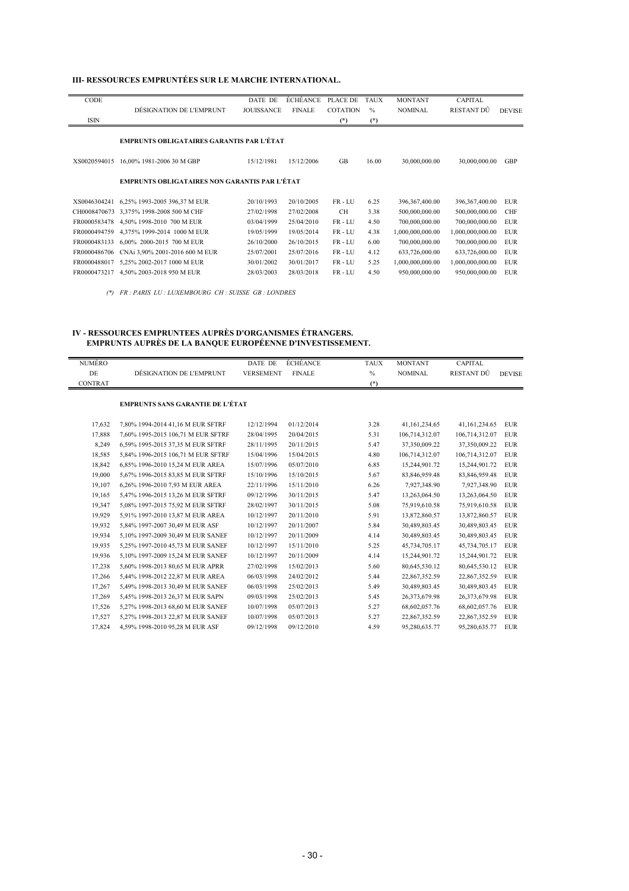#### **III- RESSOURCES EMPRUNTÉES SUR LE MARCHE INTERNATIONAL.**

| CODE                                             |                                                      | DATE DE           | ÉCHÉANCE      | PLACE DE        | <b>TAUX</b> | <b>MONTANT</b>   | <b>CAPITAL</b>   |               |
|--------------------------------------------------|------------------------------------------------------|-------------------|---------------|-----------------|-------------|------------------|------------------|---------------|
|                                                  | DÉSIGNATION DE L'EMPRUNT                             | <b>JOUISSANCE</b> | <b>FINALE</b> | <b>COTATION</b> | $\%$        | <b>NOMINAL</b>   | RESTANT DÛ       | <b>DEVISE</b> |
| ISIN                                             |                                                      |                   |               | $(*)$           | $(*)$       |                  |                  |               |
|                                                  |                                                      |                   |               |                 |             |                  |                  |               |
| <b>EMPRUNTS OBLIGATAIRES GARANTIS PAR L'ÉTAT</b> |                                                      |                   |               |                 |             |                  |                  |               |
|                                                  |                                                      |                   |               |                 |             |                  |                  |               |
| XS0020594015                                     | 16,00% 1981-2006 30 M GBP                            | 15/12/1981        | 15/12/2006    | <b>GB</b>       | 16.00       | 30,000,000.00    | 30,000,000.00    | <b>GBP</b>    |
|                                                  |                                                      |                   |               |                 |             |                  |                  |               |
|                                                  | <b>EMPRUNTS OBLIGATAIRES NON GARANTIS PAR L'ÉTAT</b> |                   |               |                 |             |                  |                  |               |
|                                                  |                                                      |                   |               |                 |             |                  |                  |               |
| XS0046304241                                     |                                                      | 20/10/1993        | 20/10/2005    | FR-LU           | 6.25        |                  |                  | <b>EUR</b>    |
|                                                  | 6,25% 1993-2005 396,37 M EUR                         |                   |               |                 |             | 396, 367, 400.00 | 396, 367, 400.00 |               |
|                                                  | CH0008470673 3,375% 1998-2008 500 M CHF              | 27/02/1998        | 27/02/2008    | <b>CH</b>       | 3.38        | 500,000,000.00   | 500,000,000.00   | <b>CHF</b>    |
| FR0000583478                                     | 4,50% 1998-2010 700 M EUR                            | 03/04/1999        | 25/04/2010    | FR-LU           | 4.50        | 700,000,000.00   | 700,000,000.00   | <b>EUR</b>    |
| FR0000494759                                     | 4,375% 1999-2014 1000 M EUR                          | 19/05/1999        | 19/05/2014    | FR-LU           | 4.38        | 1,000,000,000.00 | 1,000,000,000.00 | <b>EUR</b>    |
| FR0000483133                                     | 6,00% 2000-2015 700 M EUR                            | 26/10/2000        | 26/10/2015    | FR-LU           | 6.00        | 700,000,000.00   | 700,000,000.00   | <b>EUR</b>    |
| FR0000486706                                     | CNAi 3,90% 2001-2016 600 M EUR                       | 25/07/2001        | 25/07/2016    | FR-LU           | 4.12        | 633,726,000.00   | 633,726,000.00   | <b>EUR</b>    |
| FR0000488017                                     | 5,25% 2002-2017 1000 M EUR                           | 30/01/2002        | 30/01/2017    | FR-LU           | 5.25        | 1,000,000,000.00 | 1,000,000,000.00 | <b>EUR</b>    |
| FR0000473217                                     | 4,50% 2003-2018 950 M EUR                            | 28/03/2003        | 28/03/2018    | FR-LU           | 4.50        | 950,000,000.00   | 950,000,000.00   | <b>EUR</b>    |
|                                                  |                                                      |                   |               |                 |             |                  |                  |               |

*(\*) FR : PARIS LU : LUXEMBOURG CH : SUISSE GB : LONDRES*

#### **IV - RESSOURCES EMPRUNTEES AUPRÈS D'ORGANISMES ÉTRANGERS. EMPRUNTS AUPRÈS DE LA BANQUE EUROPÉENNE D'INVESTISSEMENT.**

| NUMÉRO         |                                         | DATE DE          | ÉCHÉANCE      | <b>TAUX</b> | <b>MONTANT</b> | <b>CAPITAL</b> |               |
|----------------|-----------------------------------------|------------------|---------------|-------------|----------------|----------------|---------------|
| DE             | DÉSIGNATION DE L'EMPRUNT                | <b>VERSEMENT</b> | <b>FINALE</b> | $\%$        | <b>NOMINAL</b> | RESTANT DÛ     | <b>DEVISE</b> |
| <b>CONTRAT</b> |                                         |                  |               | $(*)$       |                |                |               |
|                |                                         |                  |               |             |                |                |               |
|                | <b>EMPRUNTS SANS GARANTIE DE L'ÉTAT</b> |                  |               |             |                |                |               |
| 17,632         | 7,80% 1994-2014 41,16 M EUR SFTRF       | 12/12/1994       | 01/12/2014    | 3.28        | 41,161,234.65  | 41,161,234.65  | <b>EUR</b>    |
| 17,888         | 7,60% 1995-2015 106,71 M EUR SFTRF      | 28/04/1995       | 20/04/2015    | 5.31        | 106,714,312.07 | 106,714,312.07 | <b>EUR</b>    |
| 8,249          | 6,59% 1995-2015 37,35 M EUR SFTRF       | 28/11/1995       | 20/11/2015    | 5.47        | 37,350,009.22  | 37,350,009.22  | <b>EUR</b>    |
| 18,585         | 5,84% 1996-2015 106,71 M EUR SFTRF      | 15/04/1996       | 15/04/2015    | 4.80        | 106,714,312.07 | 106,714,312.07 | <b>EUR</b>    |
| 18,842         | 6,85% 1996-2010 15,24 M EUR AREA        | 15/07/1996       | 05/07/2010    | 6.85        | 15,244,901.72  | 15,244,901.72  | <b>EUR</b>    |
| 19,000         | 5,67% 1996-2015 83,85 M EUR SFTRF       | 15/10/1996       | 15/10/2015    | 5.67        | 83,846,959.48  | 83,846,959.48  | <b>EUR</b>    |
| 19,107         | 6,26% 1996-2010 7,93 M EUR AREA         | 22/11/1996       | 15/11/2010    | 6.26        | 7,927,348.90   | 7,927,348.90   | <b>EUR</b>    |
| 19,165         | 5,47% 1996-2015 13,26 M EUR SFTRF       | 09/12/1996       | 30/11/2015    | 5.47        | 13,263,064.50  | 13,263,064.50  | <b>EUR</b>    |
| 19,347         | 5,08% 1997-2015 75,92 M EUR SFTRF       | 28/02/1997       | 30/11/2015    | 5.08        | 75,919,610.58  | 75,919,610.58  | EUR           |
| 19,929         | 5,91% 1997-2010 13,87 M EUR AREA        | 10/12/1997       | 20/11/2010    | 5.91        | 13,872,860.57  | 13,872,860.57  | <b>EUR</b>    |
| 19,932         | 5,84% 1997-2007 30,49 M EUR ASF         | 10/12/1997       | 20/11/2007    | 5.84        | 30,489,803.45  | 30,489,803.45  | <b>EUR</b>    |
| 19.934         | 5.10% 1997-2009 30.49 M EUR SANEF       | 10/12/1997       | 20/11/2009    | 4.14        | 30.489.803.45  | 30,489,803.45  | <b>EUR</b>    |
| 19,935         | 5,25% 1997-2010 45,73 M EUR SANEF       | 10/12/1997       | 15/11/2010    | 5.25        | 45,734,705.17  | 45,734,705.17  | <b>EUR</b>    |
| 19,936         | 5,10% 1997-2009 15,24 M EUR SANEF       | 10/12/1997       | 20/11/2009    | 4.14        | 15,244,901.72  | 15,244,901.72  | EUR           |
| 17,238         | 5,60% 1998-2013 80,65 M EUR APRR        | 27/02/1998       | 15/02/2013    | 5.60        | 80,645,530.12  | 80,645,530.12  | <b>EUR</b>    |
| 17,266         | 5.44% 1998-2012 22.87 M EUR AREA        | 06/03/1998       | 24/02/2012    | 5.44        | 22.867.352.59  | 22,867,352.59  | <b>EUR</b>    |
| 17,267         | 5,49% 1998-2013 30,49 M EUR SANEF       | 06/03/1998       | 25/02/2013    | 5.49        | 30,489,803.45  | 30,489,803.45  | EUR           |
| 17,269         | 5,45% 1998-2013 26,37 M EUR SAPN        | 09/03/1998       | 25/02/2013    | 5.45        | 26,373,679.98  | 26,373,679.98  | <b>EUR</b>    |
| 17,526         | 5,27% 1998-2013 68,60 M EUR SANEF       | 10/07/1998       | 05/07/2013    | 5.27        | 68,602,057.76  | 68,602,057.76  | <b>EUR</b>    |
| 17,527         | 5,27% 1998-2013 22,87 M EUR SANEF       | 10/07/1998       | 05/07/2013    | 5.27        | 22,867,352.59  | 22,867,352.59  | <b>EUR</b>    |
| 17,824         | 4,59% 1998-2010 95,28 M EUR ASF         | 09/12/1998       | 09/12/2010    | 4.59        | 95,280,635.77  | 95,280,635.77  | <b>EUR</b>    |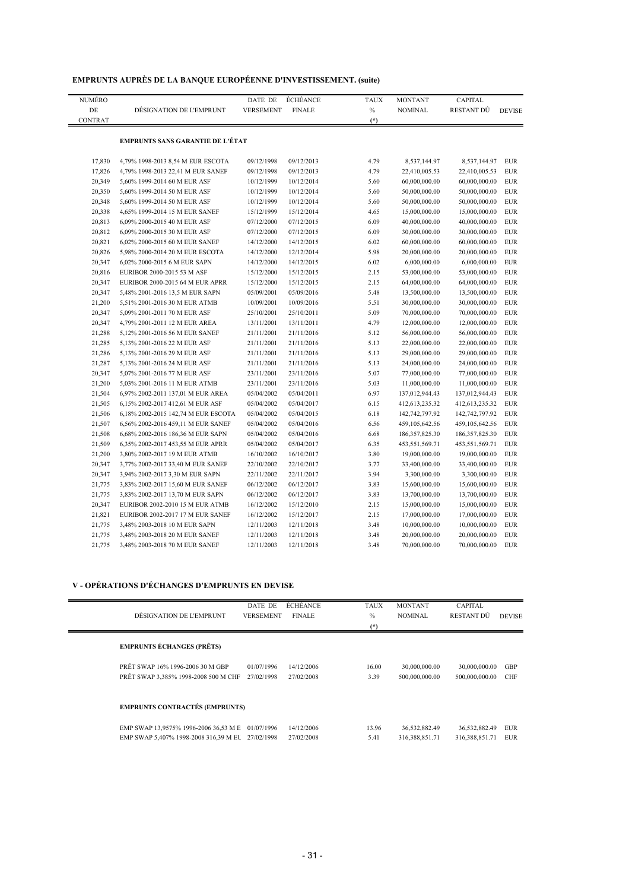| <b>EMPRUNTS AUPRES DE LA BANQUE EUROPEENNE D'INVESTISSEMENT. (suite)</b> |  |  |  |
|--------------------------------------------------------------------------|--|--|--|
|--------------------------------------------------------------------------|--|--|--|

| NUMÉRO         |                                         | DATE DE          | <b>ÉCHÉANCE</b> | <b>TAUX</b> | <b>MONTANT</b>    | CAPITAL           |               |
|----------------|-----------------------------------------|------------------|-----------------|-------------|-------------------|-------------------|---------------|
| DE             | DÉSIGNATION DE L'EMPRUNT                | <b>VERSEMENT</b> | <b>FINALE</b>   | $\%$        | <b>NOMINAL</b>    | RESTANT DÛ        | <b>DEVISE</b> |
| <b>CONTRAT</b> |                                         |                  |                 | $(*)$       |                   |                   |               |
|                | <b>EMPRUNTS SANS GARANTIE DE L'ÉTAT</b> |                  |                 |             |                   |                   |               |
|                |                                         |                  |                 |             |                   |                   |               |
| 17,830         | 4,79% 1998-2013 8,54 M EUR ESCOTA       | 09/12/1998       | 09/12/2013      | 4.79        | 8,537,144.97      | 8,537,144.97      | <b>EUR</b>    |
| 17,826         | 4,79% 1998-2013 22,41 M EUR SANEF       | 09/12/1998       | 09/12/2013      | 4.79        | 22,410,005.53     | 22,410,005.53     | <b>EUR</b>    |
| 20,349         | 5,60% 1999-2014 60 M EUR ASF            | 10/12/1999       | 10/12/2014      | 5.60        | 60,000,000.00     | 60,000,000.00     | <b>EUR</b>    |
| 20,350         | 5,60% 1999-2014 50 M EUR ASF            | 10/12/1999       | 10/12/2014      | 5.60        | 50,000,000.00     | 50,000,000.00     | <b>EUR</b>    |
| 20,348         | 5,60% 1999-2014 50 M EUR ASF            | 10/12/1999       | 10/12/2014      | 5.60        | 50,000,000.00     | 50,000,000.00     | <b>EUR</b>    |
| 20,338         | 4,65% 1999-2014 15 M EUR SANEF          | 15/12/1999       | 15/12/2014      | 4.65        | 15,000,000.00     | 15,000,000.00     | <b>EUR</b>    |
| 20,813         | 6,09% 2000-2015 40 M EUR ASF            | 07/12/2000       | 07/12/2015      | 6.09        | 40,000,000.00     | 40,000,000.00     | <b>EUR</b>    |
| 20,812         | 6,09% 2000-2015 30 M EUR ASF            | 07/12/2000       | 07/12/2015      | 6.09        | 30,000,000.00     | 30,000,000.00     | <b>EUR</b>    |
| 20,821         | 6,02% 2000-2015 60 M EUR SANEF          | 14/12/2000       | 14/12/2015      | 6.02        | 60,000,000.00     | 60,000,000.00     | <b>EUR</b>    |
| 20,826         | 5,98% 2000-2014 20 M EUR ESCOTA         | 14/12/2000       | 12/12/2014      | 5.98        | 20,000,000.00     | 20,000,000.00     | <b>EUR</b>    |
| 20,347         | 6,02% 2000-2015 6 M EUR SAPN            | 14/12/2000       | 14/12/2015      | 6.02        | 6,000,000.00      | 6,000,000.00      | <b>EUR</b>    |
| 20,816         | EURIBOR 2000-2015 53 M ASF              | 15/12/2000       | 15/12/2015      | 2.15        | 53,000,000.00     | 53,000,000.00     | <b>EUR</b>    |
| 20,347         | EURIBOR 2000-2015 64 M EUR APRR         | 15/12/2000       | 15/12/2015      | 2.15        | 64,000,000.00     | 64,000,000.00     | <b>EUR</b>    |
| 20,347         | 5,48% 2001-2016 13,5 M EUR SAPN         | 05/09/2001       | 05/09/2016      | 5.48        | 13,500,000.00     | 13,500,000.00     | <b>EUR</b>    |
| 21,200         | 5,51% 2001-2016 30 M EUR ATMB           | 10/09/2001       | 10/09/2016      | 5.51        | 30,000,000.00     | 30,000,000.00     | <b>EUR</b>    |
| 20,347         | 5,09% 2001-2011 70 M EUR ASF            | 25/10/2001       | 25/10/2011      | 5.09        | 70,000,000.00     | 70,000,000.00     | <b>EUR</b>    |
| 20,347         | 4,79% 2001-2011 12 M EUR AREA           | 13/11/2001       | 13/11/2011      | 4.79        | 12,000,000.00     | 12,000,000.00     | <b>EUR</b>    |
| 21,288         | 5,12% 2001-2016 56 M EUR SANEF          | 21/11/2001       | 21/11/2016      | 5.12        | 56,000,000.00     | 56,000,000.00     | <b>EUR</b>    |
| 21,285         | 5,13% 2001-2016 22 M EUR ASF            | 21/11/2001       | 21/11/2016      | 5.13        | 22,000,000.00     | 22,000,000.00     | <b>EUR</b>    |
| 21,286         | 5,13% 2001-2016 29 M EUR ASF            | 21/11/2001       | 21/11/2016      | 5.13        | 29,000,000.00     | 29,000,000.00     | <b>EUR</b>    |
| 21,287         | 5,13% 2001-2016 24 M EUR ASF            | 21/11/2001       | 21/11/2016      | 5.13        | 24,000,000.00     | 24,000,000.00     | <b>EUR</b>    |
| 20,347         | 5,07% 2001-2016 77 M EUR ASF            | 23/11/2001       | 23/11/2016      | 5.07        | 77,000,000.00     | 77,000,000.00     | <b>EUR</b>    |
| 21,200         | 5,03% 2001-2016 11 M EUR ATMB           | 23/11/2001       | 23/11/2016      | 5.03        | 11,000,000.00     | 11,000,000.00     | <b>EUR</b>    |
| 21,504         | 6,97% 2002-2011 137,01 M EUR AREA       | 05/04/2002       | 05/04/2011      | 6.97        | 137,012,944.43    | 137,012,944.43    | <b>EUR</b>    |
| 21,505         | 6,15% 2002-2017 412,61 M EUR ASF        | 05/04/2002       | 05/04/2017      | 6.15        | 412,613,235.32    | 412,613,235.32    | <b>EUR</b>    |
| 21,506         | 6,18% 2002-2015 142,74 M EUR ESCOTA     | 05/04/2002       | 05/04/2015      | 6.18        | 142,742,797.92    | 142,742,797.92    | <b>EUR</b>    |
| 21,507         | 6,56% 2002-2016 459,11 M EUR SANEF      | 05/04/2002       | 05/04/2016      | 6.56        | 459,105,642.56    | 459,105,642.56    | <b>EUR</b>    |
| 21,508         | 6,68% 2002-2016 186,36 M EUR SAPN       | 05/04/2002       | 05/04/2016      | 6.68        | 186, 357, 825. 30 | 186, 357, 825. 30 | <b>EUR</b>    |
| 21,509         | 6,35% 2002-2017 453,55 M EUR APRR       | 05/04/2002       | 05/04/2017      | 6.35        | 453,551,569.71    | 453,551,569.71    | <b>EUR</b>    |
| 21,200         | 3,80% 2002-2017 19 M EUR ATMB           | 16/10/2002       | 16/10/2017      | 3.80        | 19,000,000.00     | 19,000,000.00     | <b>EUR</b>    |
| 20,347         | 3,77% 2002-2017 33,40 M EUR SANEF       | 22/10/2002       | 22/10/2017      | 3.77        | 33,400,000.00     | 33,400,000.00     | <b>EUR</b>    |
| 20,347         | 3,94% 2002-2017 3,30 M EUR SAPN         | 22/11/2002       | 22/11/2017      | 3.94        | 3,300,000.00      | 3,300,000.00      | <b>EUR</b>    |
| 21,775         | 3,83% 2002-2017 15,60 M EUR SANEF       | 06/12/2002       | 06/12/2017      | 3.83        | 15,600,000.00     | 15,600,000.00     | <b>EUR</b>    |
| 21,775         | 3,83% 2002-2017 13,70 M EUR SAPN        | 06/12/2002       | 06/12/2017      | 3.83        | 13,700,000.00     | 13,700,000.00     | <b>EUR</b>    |
| 20,347         | EURIBOR 2002-2010 15 M EUR ATMB         | 16/12/2002       | 15/12/2010      | 2.15        | 15,000,000.00     | 15,000,000.00     | <b>EUR</b>    |
| 21,821         | EURIBOR 2002-2017 17 M EUR SANEF        | 16/12/2002       | 15/12/2017      | 2.15        | 17,000,000.00     | 17,000,000.00     | <b>EUR</b>    |
| 21,775         | 3,48% 2003-2018 10 M EUR SAPN           | 12/11/2003       | 12/11/2018      | 3.48        | 10,000,000.00     | 10,000,000.00     | <b>EUR</b>    |
| 21,775         | 3,48% 2003-2018 20 M EUR SANEF          | 12/11/2003       | 12/11/2018      | 3.48        | 20,000,000.00     | 20,000,000.00     | <b>EUR</b>    |
| 21,775         | 3,48% 2003-2018 70 M EUR SANEF          | 12/11/2003       | 12/11/2018      | 3.48        | 70,000,000.00     | 70,000,000.00     | <b>EUR</b>    |
|                |                                         |                  |                 |             |                   |                   |               |

#### **V - OPÉRATIONS D'ÉCHANGES D'EMPRUNTS EN DEVISE**

|                                                  | DATE DE          | ÉCHÉANCE      | <b>TAUX</b> | <b>MONTANT</b> | <b>CAPITAL</b> |               |
|--------------------------------------------------|------------------|---------------|-------------|----------------|----------------|---------------|
| DÉSIGNATION DE L'EMPRUNT                         | <b>VERSEMENT</b> | <b>FINALE</b> | $\%$        | <b>NOMINAL</b> | RESTANT DÛ     | <b>DEVISE</b> |
|                                                  |                  |               | $(*)$       |                |                |               |
| <b>EMPRUNTS ÉCHANGES (PRÊTS)</b>                 |                  |               |             |                |                |               |
| PRÊT SWAP 16% 1996-2006 30 M GBP                 | 01/07/1996       | 14/12/2006    | 16.00       | 30,000,000.00  | 30,000,000.00  | <b>GBP</b>    |
| PRÊT SWAP 3,385% 1998-2008 500 M CHF             | 27/02/1998       | 27/02/2008    | 3.39        | 500,000,000.00 | 500,000,000.00 | <b>CHF</b>    |
| <b>EMPRUNTS CONTRACTÉS (EMPRUNTS)</b>            |                  |               |             |                |                |               |
|                                                  |                  |               |             |                |                |               |
| EMP SWAP 13,9575% 1996-2006 36,53 M E            | 01/07/1996       | 14/12/2006    | 13.96       | 36,532,882.49  | 36,532,882.49  | <b>EUR</b>    |
| EMP SWAP 5.407% 1998-2008 316.39 M EU 27/02/1998 |                  | 27/02/2008    | 5.41        | 316,388,851.71 | 316,388,851.71 | <b>EUR</b>    |
|                                                  |                  |               |             |                |                |               |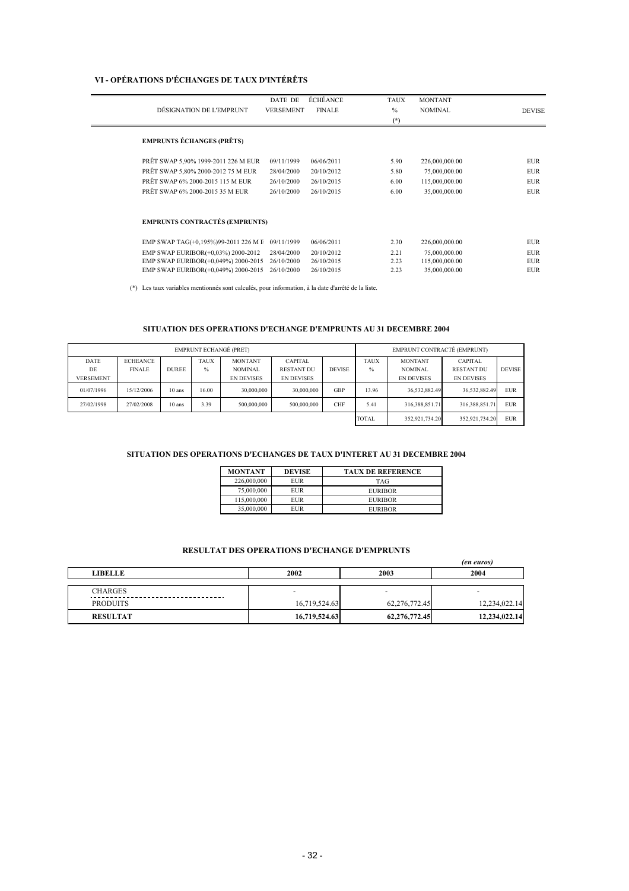#### **VI - OPÉRATIONS D'ÉCHANGES DE TAUX D'INTÉRÊTS**

 $\overline{\phantom{0}}$ J.

|                                       | DATE DE          | <b>ÉCHÉANCE</b> | <b>TAUX</b>   | <b>MONTANT</b> |               |
|---------------------------------------|------------------|-----------------|---------------|----------------|---------------|
| DÉSIGNATION DE L'EMPRUNT              | <b>VERSEMENT</b> | <b>FINALE</b>   | $\frac{0}{0}$ | <b>NOMINAL</b> | <b>DEVISE</b> |
|                                       |                  |                 | $(*)$         |                |               |
|                                       |                  |                 |               |                |               |
| <b>EMPRUNTS ÉCHANGES (PRÊTS)</b>      |                  |                 |               |                |               |
| PRÊT SWAP 5,90% 1999-2011 226 M EUR   | 09/11/1999       | 06/06/2011      | 5.90          | 226,000,000.00 | <b>EUR</b>    |
| PRÊT SWAP 5,80% 2000-2012 75 M EUR    | 28/04/2000       | 20/10/2012      | 5.80          | 75,000,000.00  | <b>EUR</b>    |
| PRÊT SWAP 6% 2000-2015 115 M EUR      | 26/10/2000       | 26/10/2015      | 6.00          | 115,000,000.00 | <b>EUR</b>    |
| PRÊT SWAP 6% 2000-2015 35 M EUR       | 26/10/2000       | 26/10/2015      | 6.00          | 35,000,000.00  | <b>EUR</b>    |
|                                       |                  |                 |               |                |               |
|                                       |                  |                 |               |                |               |
| <b>EMPRUNTS CONTRACTÉS (EMPRUNTS)</b> |                  |                 |               |                |               |
| EMP SWAP TAG(+0,195%)99-2011 226 M E  | 09/11/1999       | 06/06/2011      | 2.30          | 226,000,000.00 | <b>EUR</b>    |
| EMP SWAP EURIBOR(+0,03%) 2000-2012    | 28/04/2000       | 20/10/2012      | 2.21          | 75,000,000.00  | <b>EUR</b>    |
| EMP SWAP EURIBOR(+0,049%) 2000-2015   | 26/10/2000       | 26/10/2015      | 2.23          | 115,000,000.00 | <b>EUR</b>    |
| EMP SWAP EURIBOR(+0,049%) 2000-2015   | 26/10/2000       | 26/10/2015      | 2.23          | 35,000,000.00  | <b>EUR</b>    |
|                                       |                  |                 |               |                |               |

(\*) Les taux variables mentionnés sont calculés, pour information, à la date d'arrêté de la liste.

#### **SITUATION DES OPERATIONS D'ECHANGE D'EMPRUNTS AU 31 DECEMBRE 2004**

| <b>EMPRUNT ECHANGÉ (PRET)</b> |                 |              |             |                   |                   |               | EMPRUNT CONTRACTÉ (EMPRUNT) |                   |                   |               |
|-------------------------------|-----------------|--------------|-------------|-------------------|-------------------|---------------|-----------------------------|-------------------|-------------------|---------------|
| DATE                          | <b>ECHEANCE</b> |              | <b>TAUX</b> | <b>MONTANT</b>    | <b>CAPITAL</b>    |               | <b>TAUX</b>                 | <b>MONTANT</b>    | <b>CAPITAL</b>    |               |
| DE                            | <b>FINALE</b>   | <b>DUREE</b> | $\%$        | <b>NOMINAL</b>    | <b>RESTANT DU</b> | <b>DEVISE</b> | $\%$                        | <b>NOMINAL</b>    | <b>RESTANT DU</b> | <b>DEVISE</b> |
| <b>VERSEMENT</b>              |                 |              |             | <b>EN DEVISES</b> | <b>EN DEVISES</b> |               |                             | <b>EN DEVISES</b> | <b>EN DEVISES</b> |               |
| 01/07/1996                    | 15/12/2006      | 10 ans       | 16.00       | 30,000,000        | 30,000,000        | <b>GBP</b>    | 13.96                       | 36,532,882.49     | 36,532,882.49     | <b>EUR</b>    |
| 27/02/1998                    | 27/02/2008      | 10 ans       | 3.39        | 500,000,000       | 500,000,000       | <b>CHF</b>    | 5.41                        | 316,388,851.71    | 316,388,851.71    | <b>EUR</b>    |
|                               |                 |              |             |                   |                   |               | <b>TOTAL</b>                | 352.921.734.20    | 352.921.734.20    | <b>EUR</b>    |

#### **SITUATION DES OPERATIONS D'ECHANGES DE TAUX D'INTERET AU 31 DECEMBRE 2004**

| <b>MONTANT</b> | <b>DEVISE</b> | <b>TAUX DE REFERENCE</b> |
|----------------|---------------|--------------------------|
| 226,000,000    | EUR           | <b>TAG</b>               |
| 75,000,000     | EUR           | <b>EURIBOR</b>           |
| 115,000,000    | EUR           | <b>EURIBOR</b>           |
| 35.000.000     | EUR           | <b>EURIBOR</b>           |

#### **RESULTAT DES OPERATIONS D'ECHANGE D'EMPRUNTS**

|                    |                          |                          | <i>(en euros)</i> |
|--------------------|--------------------------|--------------------------|-------------------|
| <b>LIBELLE</b>     | 2002                     | 2003                     | 2004              |
|                    |                          |                          |                   |
| <b>CHARGES</b><br> | $\overline{\phantom{0}}$ | $\overline{\phantom{0}}$ | -                 |
| <b>PRODUITS</b>    | 16,719,524.63            | 62,276,772.45            | 12,234,022.14     |
| <b>RESULTAT</b>    | 16,719,524.63            | 62,276,772.45            | 12,234,022.14     |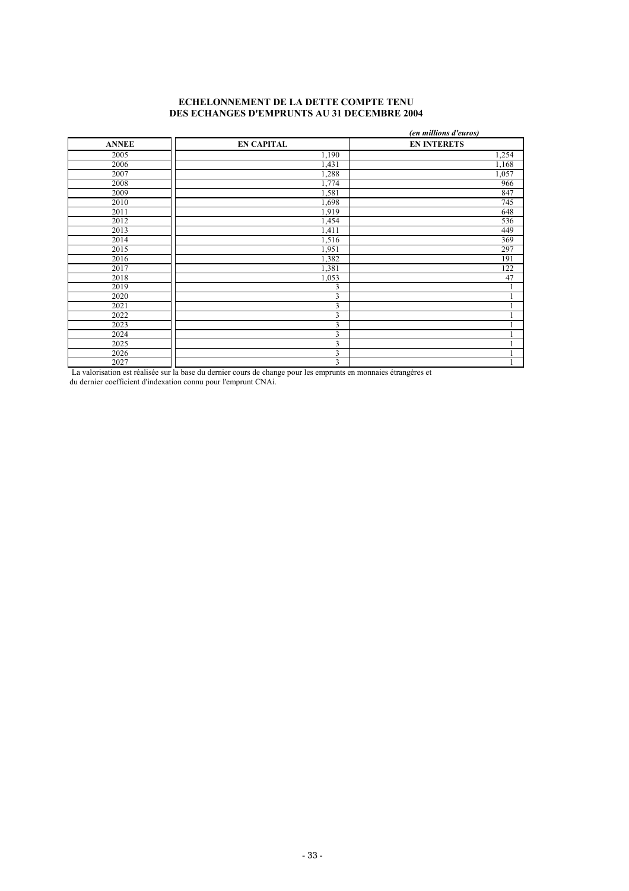#### **ECHELONNEMENT DE LA DETTE COMPTE TENU DES ECHANGES D'EMPRUNTS AU 31 DECEMBRE 2004**

|              |                         | (en millions d'euros) |
|--------------|-------------------------|-----------------------|
| <b>ANNEE</b> | <b>EN CAPITAL</b>       | <b>EN INTERETS</b>    |
| 2005         | 1,190                   | 1,254                 |
| 2006         | 1,431                   | 1,168                 |
| 2007         | 1,288                   | 1,057                 |
| 2008         | 1,774                   | 966                   |
| 2009         | 1,581                   | 847                   |
| 2010         | 1,698                   | 745                   |
| 2011         | 1,919                   | 648                   |
| 2012         | 1,454                   | 536                   |
| 2013         | 1,411                   | 449                   |
| 2014         | 1,516                   | 369                   |
| 2015         | 1,951                   | 297                   |
| 2016         | 1,382                   | 191                   |
| 2017         | 1,381                   | 122                   |
| 2018         | 1,053                   | 47                    |
| 2019         | 3                       |                       |
| 2020         | 3                       |                       |
| 2021         | 3                       |                       |
| 2022         | $\overline{\mathbf{3}}$ |                       |
| 2023         | 3                       |                       |
| 2024         | 3                       |                       |
| 2025         | 3                       |                       |
| 2026         | $\overline{\mathbf{3}}$ |                       |
| 2027         | 3                       |                       |

La valorisation est réalisée sur la base du dernier cours de change pour les emprunts en monnaies étrangères et

du dernier coefficient d'indexation connu pour l'emprunt CNAi.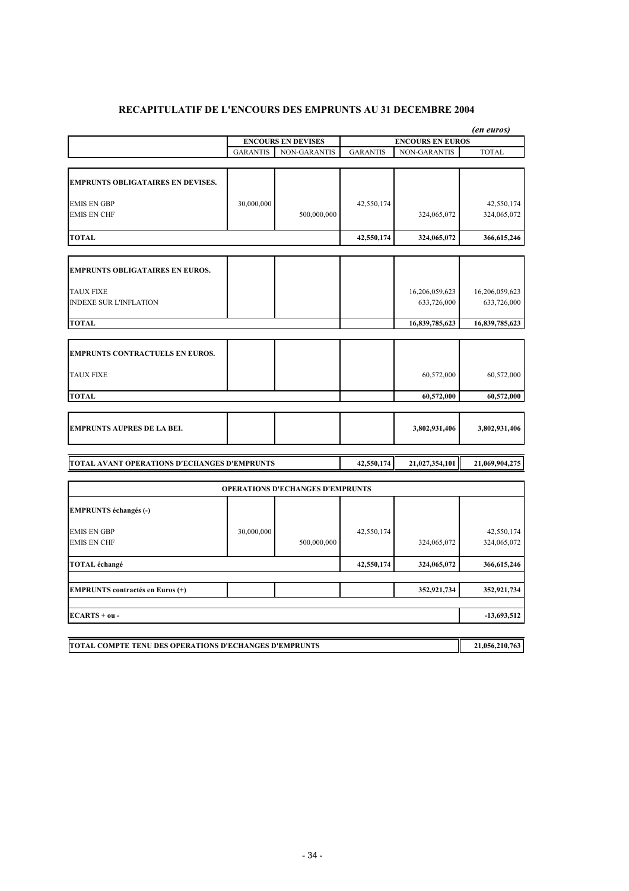|                                              |                 | <b>ENCOURS EN DEVISES</b>               |                 | <b>ENCOURS EN EUROS</b> | (en euros)     |
|----------------------------------------------|-----------------|-----------------------------------------|-----------------|-------------------------|----------------|
|                                              | <b>GARANTIS</b> | <b>NON-GARANTIS</b>                     | <b>GARANTIS</b> | <b>NON-GARANTIS</b>     | <b>TOTAL</b>   |
|                                              |                 |                                         |                 |                         |                |
| <b>EMPRUNTS OBLIGATAIRES EN DEVISES.</b>     |                 |                                         |                 |                         |                |
| <b>EMIS EN GBP</b>                           | 30,000,000      |                                         | 42,550,174      |                         | 42,550,174     |
| <b>EMIS EN CHF</b>                           |                 | 500,000,000                             |                 | 324,065,072             | 324,065,072    |
| <b>TOTAL</b>                                 |                 |                                         | 42,550,174      | 324,065,072             | 366,615,246    |
| <b>EMPRUNTS OBLIGATAIRES EN EUROS.</b>       |                 |                                         |                 |                         |                |
| <b>TAUX FIXE</b>                             |                 |                                         |                 | 16,206,059,623          | 16,206,059,623 |
| <b>INDEXE SUR L'INFLATION</b>                |                 |                                         |                 | 633,726,000             | 633,726,000    |
| <b>TOTAL</b>                                 |                 |                                         |                 | 16,839,785,623          | 16,839,785,623 |
| <b>EMPRUNTS CONTRACTUELS EN EUROS.</b>       |                 |                                         |                 |                         |                |
| <b>TAUX FIXE</b>                             |                 |                                         |                 | 60,572,000              | 60,572,000     |
| <b>TOTAL</b>                                 |                 |                                         |                 | 60,572,000              | 60,572,000     |
|                                              |                 |                                         |                 |                         |                |
| <b>EMPRUNTS AUPRES DE LA BEI.</b>            |                 |                                         |                 | 3,802,931,406           | 3,802,931,406  |
| TOTAL AVANT OPERATIONS D'ECHANGES D'EMPRUNTS |                 |                                         | 42,550,174      | 21,027,354,101          | 21,069,904,275 |
|                                              |                 |                                         |                 |                         |                |
|                                              |                 | <b>OPERATIONS D'ECHANGES D'EMPRUNTS</b> |                 |                         |                |
| <b>EMPRUNTS</b> échangés (-)                 |                 |                                         |                 |                         |                |
| <b>EMIS EN GBP</b>                           | 30,000,000      |                                         | 42,550,174      |                         | 42,550,174     |
| <b>EMIS EN CHF</b>                           |                 | 500,000,000                             |                 | 324,065,072             | 324,065,072    |
| <b>TOTAL</b> échangé                         |                 |                                         | 42,550,174      | 324,065,072             | 366, 615, 246  |
| <b>EMPRUNTS contractés en Euros (+)</b>      |                 |                                         |                 | 352,921,734             | 352,921,734    |
| $ECARTS + ou -$                              |                 |                                         |                 |                         | $-13,693,512$  |
|                                              |                 |                                         |                 |                         |                |

# **RECAPITULATIF DE L'ENCOURS DES EMPRUNTS AU 31 DECEMBRE 2004**

**TOTAL COMPTE TENU DES OPERATIONS D'ECHANGES D'EMPRUNTS** 21,056,210,763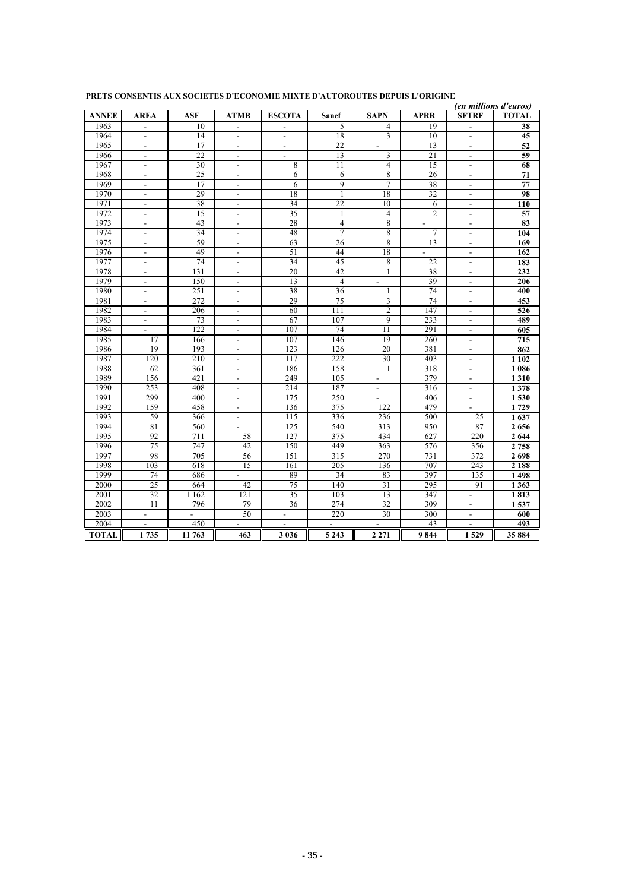|              |                          |                          |                          |                          |                 |                          |                 |                          | (en millions d'euros) |
|--------------|--------------------------|--------------------------|--------------------------|--------------------------|-----------------|--------------------------|-----------------|--------------------------|-----------------------|
| <b>ANNEE</b> | AREA                     | ASF                      | ATMB                     | <b>ESCOTA</b>            | <b>Sanef</b>    | <b>SAPN</b>              | <b>APRR</b>     | <b>SFTRF</b>             | <b>TOTAL</b>          |
| 1963         | $\blacksquare$           | 10                       | $\overline{a}$           | $\overline{\phantom{a}}$ | 5               | 4                        | 19              | $\blacksquare$           | 38                    |
| 1964         | $\overline{a}$           | 14                       | $\overline{a}$           | $\overline{a}$           | 18              | 3                        | 10              | $\overline{a}$           | 45                    |
| 1965         | $\blacksquare$           | 17                       | $\blacksquare$           | $\overline{\phantom{a}}$ | 22              | $\overline{\phantom{a}}$ | 13              | $\overline{\phantom{a}}$ | 52                    |
| 1966         | $\blacksquare$           | 22                       | $\blacksquare$           | $\blacksquare$           | 13              | 3                        | 21              | $\blacksquare$           | 59                    |
| 1967         | $\blacksquare$           | $\overline{30}$          | $\blacksquare$           | 8                        | $\overline{11}$ | $\overline{4}$           | $\overline{15}$ | $\overline{\phantom{a}}$ | 68                    |
| 1968         | $\overline{\phantom{a}}$ | 25                       | $\overline{\phantom{a}}$ | 6                        | 6               | 8                        | 26              | $\overline{\phantom{a}}$ | 71                    |
| 1969         | $\overline{\phantom{a}}$ | 17                       | $\blacksquare$           | 6                        | 9               | $\overline{7}$           | 38              | $\overline{\phantom{a}}$ | 77                    |
| 1970         | $\blacksquare$           | 29                       | $\blacksquare$           | 18                       | 1               | 18                       | $\overline{32}$ | $\blacksquare$           | 98                    |
| 1971         | $\overline{\phantom{a}}$ | 38                       | $\overline{\phantom{a}}$ | 34                       | 22              | 10                       | 6               | $\overline{\phantom{a}}$ | 110                   |
| 1972         | $\blacksquare$           | 15                       | $\overline{\phantom{a}}$ | 35                       | 1               | $\overline{4}$           | $\overline{2}$  | $\blacksquare$           | 57                    |
| 1973         | $\overline{a}$           | 43                       | $\overline{\phantom{a}}$ | 28                       | $\overline{4}$  | 8                        | $\blacksquare$  | $\blacksquare$           | 83                    |
| 1974         | $\overline{\phantom{a}}$ | 34                       | $\overline{\phantom{a}}$ | 48                       | $\overline{7}$  | 8                        | 7               | $\overline{\phantom{a}}$ | 104                   |
| 1975         | $\overline{\phantom{a}}$ | 59                       | $\blacksquare$           | 63                       | 26              | 8                        | 13              | $\overline{\phantom{a}}$ | 169                   |
| 1976         | $\blacksquare$           | 49                       | $\blacksquare$           | 51                       | 44              | 18                       | $\equiv$        | $\overline{\phantom{a}}$ | 162                   |
| 1977         | $\overline{\phantom{a}}$ | 74                       | $\overline{\phantom{a}}$ | 34                       | 45              | 8                        | 22              | $\blacksquare$           | 183                   |
| 1978         | $\blacksquare$           | 131                      | $\blacksquare$           | 20                       | 42              | $\mathbf{1}$             | 38              | $\overline{\phantom{a}}$ | 232                   |
| 1979         | $\overline{a}$           | 150                      | $\overline{a}$           | $\overline{13}$          | $\overline{4}$  | $\overline{a}$           | 39              | $\overline{a}$           | 206                   |
| 1980         | $\overline{\phantom{a}}$ | 251                      | $\overline{\phantom{a}}$ | 38                       | 36              | 1                        | 74              | $\overline{\phantom{a}}$ | 400                   |
| 1981         | $\overline{\phantom{a}}$ | 272                      | $\overline{\phantom{a}}$ | 29                       | 75              | 3                        | 74              | $\overline{\phantom{a}}$ | 453                   |
| 1982         | $\overline{a}$           | 206                      | $\overline{\phantom{a}}$ | 60                       | 111             | $\overline{2}$           | 147             | $\overline{\phantom{a}}$ | 526                   |
| 1983         | $\overline{\phantom{a}}$ | 73                       | $\overline{\phantom{a}}$ | 67                       | 107             | 9                        | 233             | $\overline{\phantom{a}}$ | 489                   |
| 1984         | $\blacksquare$           | 122                      | $\overline{\phantom{a}}$ | 107                      | 74              | 11                       | 291             | $\overline{\phantom{a}}$ | 605                   |
| 1985         | 17                       | 166                      | $\overline{a}$           | 107                      | 146             | 19                       | 260             | $\overline{a}$           | 715                   |
| 1986         | 19                       | 193                      | $\overline{\phantom{a}}$ | 123                      | 126             | 20                       | 381             | $\overline{\phantom{a}}$ | 862                   |
| 1987         | 120                      | 210                      | $\blacksquare$           | 117                      | 222             | 30                       | 403             | $\overline{\phantom{a}}$ | 1 1 0 2               |
| 1988         | 62                       | 361                      | $\mathbf{r}$             | 186                      | 158             | 1                        | 318             | $\overline{a}$           | 1 0 8 6               |
| 1989         | 156                      | 421                      | $\overline{\phantom{a}}$ | 249                      | 105             | $\overline{\phantom{a}}$ | 379             | $\overline{\phantom{a}}$ | 1310                  |
| 1990         | 253                      | 408                      | $\overline{a}$           | 214                      | 187             | $\overline{\phantom{a}}$ | 316             | $\blacksquare$           | 1378                  |
| 1991         | 299                      | 400                      | $\overline{a}$           | 175                      | 250             | $\overline{a}$           | 406             | $\overline{a}$           | 1530                  |
| 1992         | 159                      | 458                      | $\overline{\phantom{a}}$ | 136                      | 375             | 122                      | 479             | $\overline{\phantom{a}}$ | 1729                  |
| 1993         | 59                       | 366                      | $\blacksquare$           | 115                      | 336             | 236                      | 500             | 25                       | 1637                  |
| 1994         | 81                       | 560                      | $\overline{a}$           | 125                      | 540             | 313                      | 950             | 87                       | 2656                  |
| 1995         | 92                       | 711                      | 58                       | 127                      | 375             | 434                      | 627             | 220                      | 2 6 4 4               |
| 1996         | $\overline{75}$          | 747                      | 42                       | 150                      | 449             | 363                      | 576             | 356                      | 2 7 5 8               |
| 1997         | 98                       | $\overline{705}$         | 56                       | 151                      | 315             | 270                      | 731             | 372                      | 2698                  |
| 1998         | 103                      | 618                      | 15                       | 161                      | 205             | 136                      | 707             | 243                      | 2 1 8 8               |
| 1999         | 74                       | 686                      | $\overline{a}$           | 89                       | 34              | 83                       | 397             | 135                      | 1498                  |
| 2000         | 25                       | 664                      | 42                       | $\overline{75}$          | 140             | 31                       | 295             | 91                       | 1 3 6 3               |
| 2001         | 32                       | 1 1 6 2                  | 121                      | 35                       | 103             | 13                       | 347             | $\overline{\phantom{a}}$ | 1813                  |
| 2002         | $\overline{11}$          | 796                      | 79                       | 36                       | 274             | $\overline{32}$          | 309             |                          | 1537                  |
| 2003         | $\overline{\phantom{a}}$ | $\overline{\phantom{a}}$ | 50                       | $\overline{\phantom{a}}$ | 220             | 30                       | 300             | $\overline{\phantom{a}}$ | 600                   |
| 2004         | $\blacksquare$           | 450                      | $\blacksquare$           | $\overline{\phantom{a}}$ | $\overline{a}$  |                          | 43              | $\overline{\phantom{a}}$ | 493                   |
| <b>TOTAL</b> | 1735                     | 11 763                   | 463                      | 3 0 3 6                  | 5 2 4 3         | 2 2 7 1                  | 9844            | 1529                     | 35 884                |

#### **PRETS CONSENTIS AUX SOCIETES D'ECONOMIE MIXTE D'AUTOROUTES DEPUIS L'ORIGINE**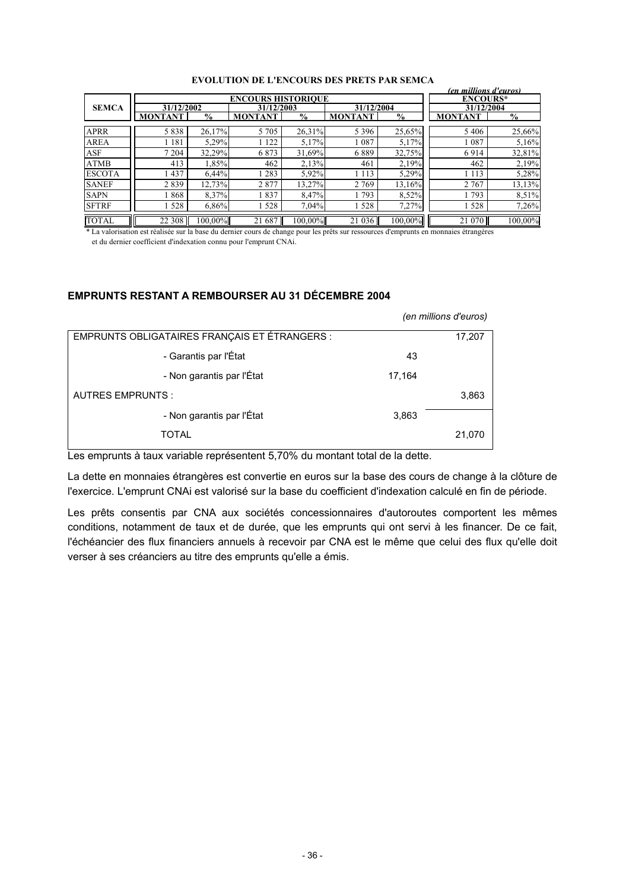|               |                |               |                           |                     |                |                           | (en millions d'euros) |                   |
|---------------|----------------|---------------|---------------------------|---------------------|----------------|---------------------------|-----------------------|-------------------|
|               |                |               | <b>ENCOURS HISTORIOUE</b> |                     |                |                           | <b>ENCOURS*</b>       |                   |
| <b>SEMCA</b>  | 31/12/2002     |               | 31/12/2003                |                     | 31/12/2004     |                           | 31/12/2004            |                   |
|               | <b>MONTANT</b> | $\frac{1}{2}$ | <b>MONTAN</b>             | $\sqrt[0]{\bullet}$ | <b>MONTANT</b> | $\overline{\mathbf{v}}_0$ | <b>MONTANT</b>        | $\sqrt[0]{\cdot}$ |
| APRR          | 5838           | 26,17%        | 5 7 0 5                   | 26,31%              | 5 3 9 6        | 25,65%                    | 5406                  | 25,66%            |
| <b>AREA</b>   | 1 1 8 1        | 5,29%         | 122                       | 5,17%               | 087            | 5,17%                     | 087                   | 5,16%             |
| ASF           | 7 204          | 32,29%        | 6873                      | 31,69%              | 6889           | 32,75%                    | 6914                  | 32,81%            |
| ATMB          | 413            | 1,85%         | 462                       | 2,13%               | 461            | 2,19%                     | 462                   | 2,19%             |
| <b>ESCOTA</b> | 1437           | 6,44%         | 283                       | 5,92%               | 1 1 1 3        | 5,29%                     | 1 1 1 3               | 5,28%             |
| <b>SANEF</b>  | 2839           | 12,73%        | 2877                      | 13,27%              | 2 7 6 9        | 13,16%                    | 2 7 6 7               | 13,13%            |
| <b>SAPN</b>   | 1868           | 8,37%         | 837                       | 8,47%               | 793            | 8,52%                     | 793                   | 8,51%             |
| <b>SFTRF</b>  | 528            | 6,86%         | 528                       | 7,04%               | 528            | 7,27%                     | 528                   | 7,26%             |
| TOTAL         | 22 308         | $100,00\%$    | 21 687                    | $100,00\%$          | 21 036         | 100,00%                   | 21 070                | 100,00%           |

#### **EVOLUTION DE L'ENCOURS DES PRETS PAR SEMCA**

\* La valorisation est réalisée sur la base du dernier cours de change pour les prêts sur ressources d'emprunts en monnaies étrangères et du dernier coefficient d'indexation connu pour l'emprunt CNAi.

# **EMPRUNTS RESTANT A REMBOURSER AU 31 DÉCEMBRE 2004**

|                                               |        | (en millions d'euros) |
|-----------------------------------------------|--------|-----------------------|
| EMPRUNTS OBLIGATAIRES FRANÇAIS ET ÉTRANGERS : |        | 17,207                |
| - Garantis par l'État                         | 43     |                       |
| - Non garantis par l'État                     | 17,164 |                       |
| <b>AUTRES EMPRUNTS:</b>                       |        | 3,863                 |
| - Non garantis par l'État                     | 3,863  |                       |
| TOTAL                                         |        | 21,070                |

Les emprunts à taux variable représentent 5,70% du montant total de la dette.

La dette en monnaies étrangères est convertie en euros sur la base des cours de change à la clôture de l'exercice. L'emprunt CNAi est valorisé sur la base du coefficient d'indexation calculé en fin de période.

Les prêts consentis par CNA aux sociétés concessionnaires d'autoroutes comportent les mêmes conditions, notamment de taux et de durée, que les emprunts qui ont servi à les financer. De ce fait, l'échéancier des flux financiers annuels à recevoir par CNA est le même que celui des flux qu'elle doit verser à ses créanciers au titre des emprunts qu'elle a émis.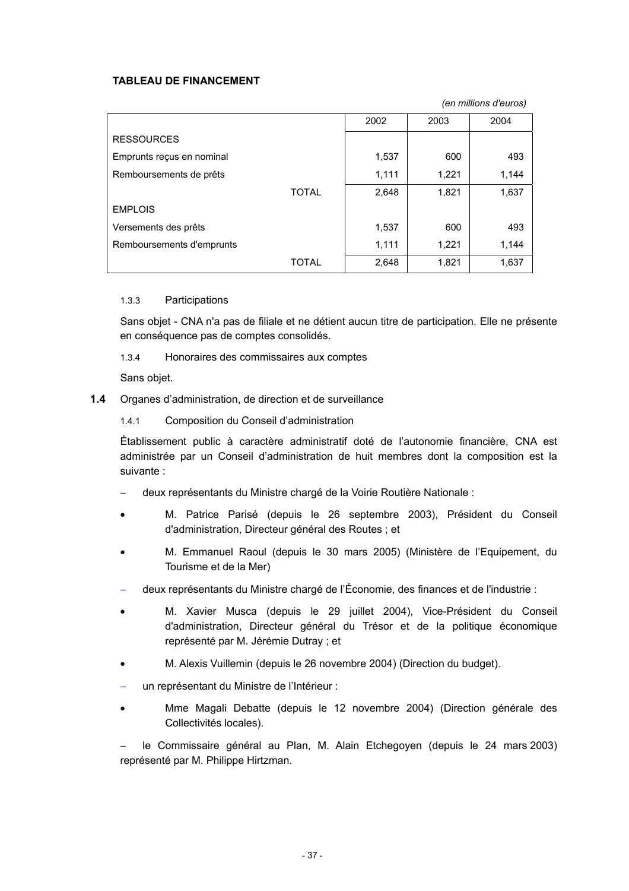# **TABLEAU DE FINANCEMENT**

*(en millions d'euros)* 

|                           | 2002  | 2003  | 2004  |
|---------------------------|-------|-------|-------|
| <b>RESSOURCES</b>         |       |       |       |
| Emprunts reçus en nominal | 1,537 | 600   | 493   |
| Remboursements de prêts   | 1,111 | 1,221 | 1,144 |
| <b>TOTAL</b>              | 2,648 | 1,821 | 1,637 |
| <b>EMPLOIS</b>            |       |       |       |
| Versements des prêts      | 1,537 | 600   | 493   |
| Remboursements d'emprunts | 1,111 | 1,221 | 1,144 |
| TOTAL                     | 2,648 | 1,821 | 1,637 |

#### 1.3.3 Participations

Sans objet - CNA n'a pas de filiale et ne détient aucun titre de participation. Elle ne présente en conséquence pas de comptes consolidés.

1.3.4 Honoraires des commissaires aux comptes

Sans objet.

- **1.4** Organes d'administration, de direction et de surveillance
	- 1.4.1 Composition du Conseil d'administration

Établissement public à caractère administratif doté de l'autonomie financière, CNA est administrée par un Conseil d'administration de huit membres dont la composition est la suivante :

- − deux représentants du Ministre chargé de la Voirie Routière Nationale :
- M. Patrice Parisé (depuis le 26 septembre 2003), Président du Conseil d'administration, Directeur général des Routes ; et
- M. Emmanuel Raoul (depuis le 30 mars 2005) (Ministère de l'Equipement, du Tourisme et de la Mer)
- − deux représentants du Ministre chargé de l'Économie, des finances et de l'industrie :
- M. Xavier Musca (depuis le 29 juillet 2004), Vice-Président du Conseil d'administration, Directeur général du Trésor et de la politique économique représenté par M. Jérémie Dutray ; et
- M. Alexis Vuillemin (depuis le 26 novembre 2004) (Direction du budget).
- un représentant du Ministre de l'Intérieur :
- Mme Magali Debatte (depuis le 12 novembre 2004) (Direction générale des Collectivités locales).

− le Commissaire général au Plan, M. Alain Etchegoyen (depuis le 24 mars 2003) représenté par M. Philippe Hirtzman.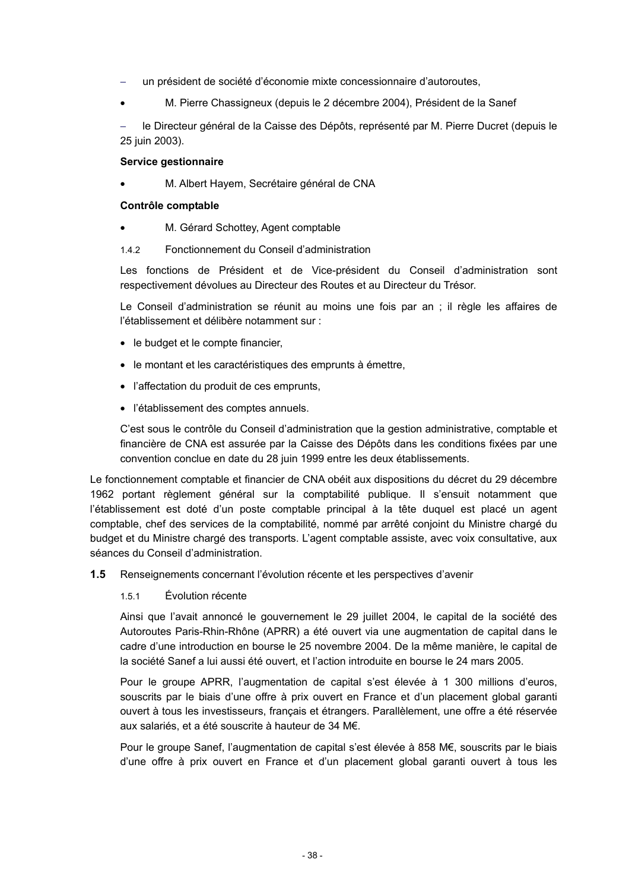- un président de société d'économie mixte concessionnaire d'autoroutes,
- M. Pierre Chassigneux (depuis le 2 décembre 2004), Président de la Sanef

le Directeur général de la Caisse des Dépôts, représenté par M. Pierre Ducret (depuis le 25 juin 2003).

#### **Service gestionnaire**

• M. Albert Hayem, Secrétaire général de CNA

#### **Contrôle comptable**

- M. Gérard Schottey, Agent comptable
- 1.4.2 Fonctionnement du Conseil d'administration

Les fonctions de Président et de Vice-président du Conseil d'administration sont respectivement dévolues au Directeur des Routes et au Directeur du Trésor.

Le Conseil d'administration se réunit au moins une fois par an ; il règle les affaires de l'établissement et délibère notamment sur :

- le budget et le compte financier,
- le montant et les caractéristiques des emprunts à émettre,
- l'affectation du produit de ces emprunts,
- l'établissement des comptes annuels.

C'est sous le contrôle du Conseil d'administration que la gestion administrative, comptable et financière de CNA est assurée par la Caisse des Dépôts dans les conditions fixées par une convention conclue en date du 28 juin 1999 entre les deux établissements.

Le fonctionnement comptable et financier de CNA obéit aux dispositions du décret du 29 décembre 1962 portant règlement général sur la comptabilité publique. Il s'ensuit notamment que l'établissement est doté d'un poste comptable principal à la tête duquel est placé un agent comptable, chef des services de la comptabilité, nommé par arrêté conjoint du Ministre chargé du budget et du Ministre chargé des transports. L'agent comptable assiste, avec voix consultative, aux séances du Conseil d'administration.

- **1.5** Renseignements concernant l'évolution récente et les perspectives d'avenir
	- 1.5.1 Évolution récente

Ainsi que l'avait annoncé le gouvernement le 29 juillet 2004, le capital de la société des Autoroutes Paris-Rhin-Rhône (APRR) a été ouvert via une augmentation de capital dans le cadre d'une introduction en bourse le 25 novembre 2004. De la même manière, le capital de la société Sanef a lui aussi été ouvert, et l'action introduite en bourse le 24 mars 2005.

Pour le groupe APRR, l'augmentation de capital s'est élevée à 1 300 millions d'euros, souscrits par le biais d'une offre à prix ouvert en France et d'un placement global garanti ouvert à tous les investisseurs, français et étrangers. Parallèlement, une offre a été réservée aux salariés, et a été souscrite à hauteur de 34 M€.

Pour le groupe Sanef, l'augmentation de capital s'est élevée à 858 M€, souscrits par le biais d'une offre à prix ouvert en France et d'un placement global garanti ouvert à tous les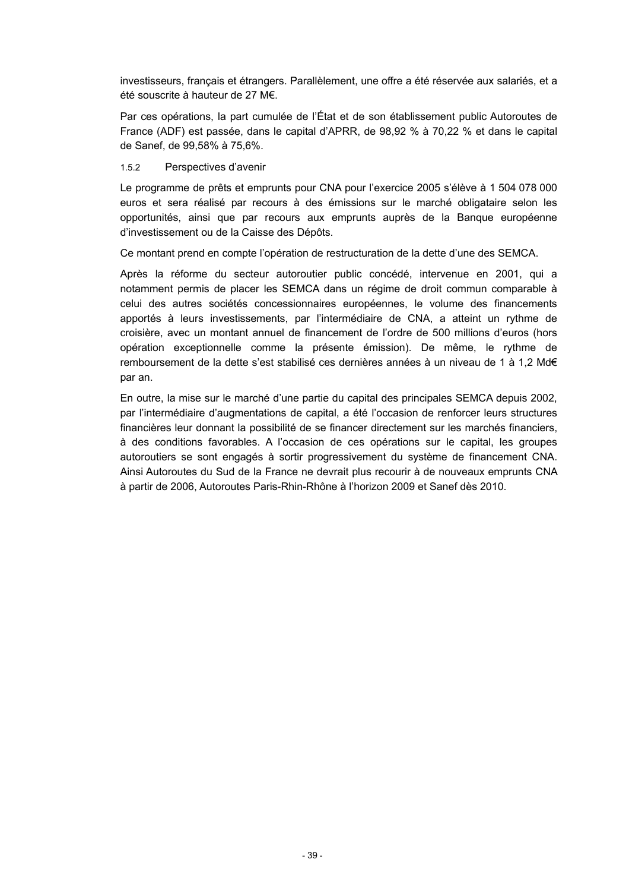investisseurs, français et étrangers. Parallèlement, une offre a été réservée aux salariés, et a été souscrite à hauteur de 27 M€.

Par ces opérations, la part cumulée de l'État et de son établissement public Autoroutes de France (ADF) est passée, dans le capital d'APRR, de 98,92 % à 70,22 % et dans le capital de Sanef, de 99,58% à 75,6%.

#### 1.5.2 Perspectives d'avenir

Le programme de prêts et emprunts pour CNA pour l'exercice 2005 s'élève à 1 504 078 000 euros et sera réalisé par recours à des émissions sur le marché obligataire selon les opportunités, ainsi que par recours aux emprunts auprès de la Banque européenne d'investissement ou de la Caisse des Dépôts.

Ce montant prend en compte l'opération de restructuration de la dette d'une des SEMCA.

Après la réforme du secteur autoroutier public concédé, intervenue en 2001, qui a notamment permis de placer les SEMCA dans un régime de droit commun comparable à celui des autres sociétés concessionnaires européennes, le volume des financements apportés à leurs investissements, par l'intermédiaire de CNA, a atteint un rythme de croisière, avec un montant annuel de financement de l'ordre de 500 millions d'euros (hors opération exceptionnelle comme la présente émission). De même, le rythme de remboursement de la dette s'est stabilisé ces dernières années à un niveau de 1 à 1,2 Md€ par an.

En outre, la mise sur le marché d'une partie du capital des principales SEMCA depuis 2002, par l'intermédiaire d'augmentations de capital, a été l'occasion de renforcer leurs structures financières leur donnant la possibilité de se financer directement sur les marchés financiers, à des conditions favorables. A l'occasion de ces opérations sur le capital, les groupes autoroutiers se sont engagés à sortir progressivement du système de financement CNA. Ainsi Autoroutes du Sud de la France ne devrait plus recourir à de nouveaux emprunts CNA à partir de 2006, Autoroutes Paris-Rhin-Rhône à l'horizon 2009 et Sanef dès 2010.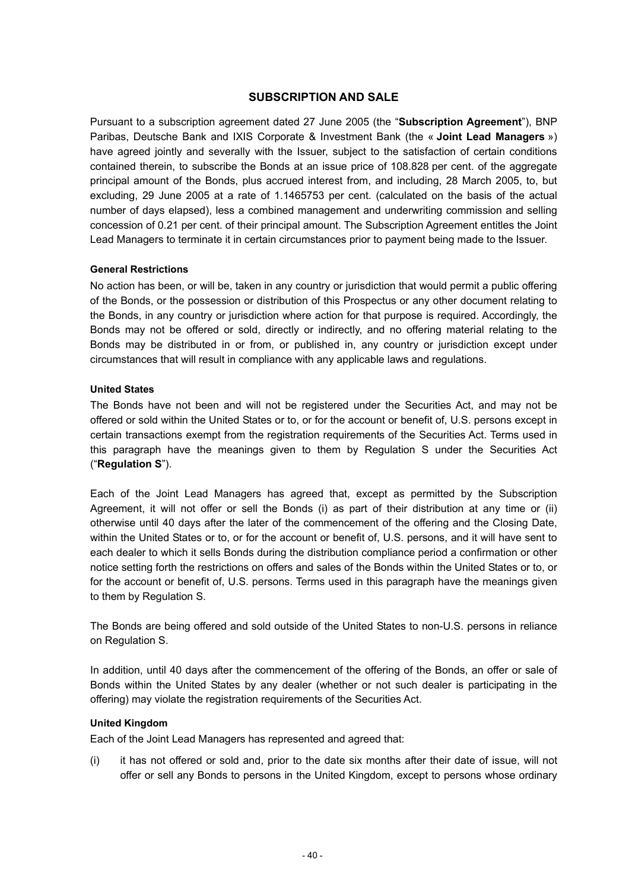# **SUBSCRIPTION AND SALE**

Pursuant to a subscription agreement dated 27 June 2005 (the "**Subscription Agreement**"), BNP Paribas, Deutsche Bank and IXIS Corporate & Investment Bank (the « **Joint Lead Managers** ») have agreed jointly and severally with the Issuer, subject to the satisfaction of certain conditions contained therein, to subscribe the Bonds at an issue price of 108.828 per cent. of the aggregate principal amount of the Bonds, plus accrued interest from, and including, 28 March 2005, to, but excluding, 29 June 2005 at a rate of 1.1465753 per cent. (calculated on the basis of the actual number of days elapsed), less a combined management and underwriting commission and selling concession of 0.21 per cent. of their principal amount. The Subscription Agreement entitles the Joint Lead Managers to terminate it in certain circumstances prior to payment being made to the Issuer.

#### **General Restrictions**

No action has been, or will be, taken in any country or jurisdiction that would permit a public offering of the Bonds, or the possession or distribution of this Prospectus or any other document relating to the Bonds, in any country or jurisdiction where action for that purpose is required. Accordingly, the Bonds may not be offered or sold, directly or indirectly, and no offering material relating to the Bonds may be distributed in or from, or published in, any country or jurisdiction except under circumstances that will result in compliance with any applicable laws and regulations.

#### **United States**

The Bonds have not been and will not be registered under the Securities Act, and may not be offered or sold within the United States or to, or for the account or benefit of, U.S. persons except in certain transactions exempt from the registration requirements of the Securities Act. Terms used in this paragraph have the meanings given to them by Regulation S under the Securities Act ("**Regulation S**").

Each of the Joint Lead Managers has agreed that, except as permitted by the Subscription Agreement, it will not offer or sell the Bonds (i) as part of their distribution at any time or (ii) otherwise until 40 days after the later of the commencement of the offering and the Closing Date, within the United States or to, or for the account or benefit of, U.S. persons, and it will have sent to each dealer to which it sells Bonds during the distribution compliance period a confirmation or other notice setting forth the restrictions on offers and sales of the Bonds within the United States or to, or for the account or benefit of, U.S. persons. Terms used in this paragraph have the meanings given to them by Regulation S.

The Bonds are being offered and sold outside of the United States to non-U.S. persons in reliance on Regulation S.

In addition, until 40 days after the commencement of the offering of the Bonds, an offer or sale of Bonds within the United States by any dealer (whether or not such dealer is participating in the offering) may violate the registration requirements of the Securities Act.

#### **United Kingdom**

Each of the Joint Lead Managers has represented and agreed that:

(i) it has not offered or sold and, prior to the date six months after their date of issue, will not offer or sell any Bonds to persons in the United Kingdom, except to persons whose ordinary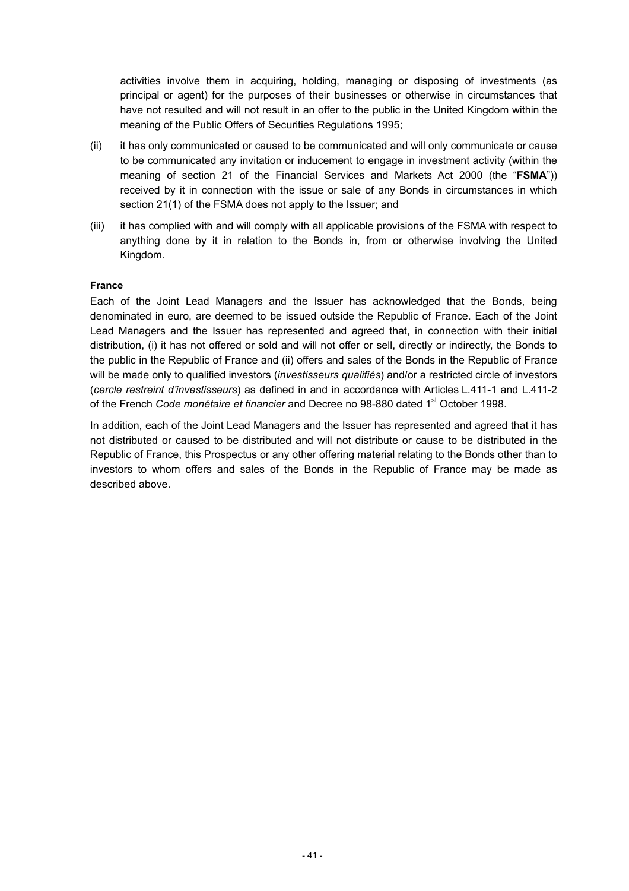activities involve them in acquiring, holding, managing or disposing of investments (as principal or agent) for the purposes of their businesses or otherwise in circumstances that have not resulted and will not result in an offer to the public in the United Kingdom within the meaning of the Public Offers of Securities Regulations 1995;

- (ii) it has only communicated or caused to be communicated and will only communicate or cause to be communicated any invitation or inducement to engage in investment activity (within the meaning of section 21 of the Financial Services and Markets Act 2000 (the "**FSMA**")) received by it in connection with the issue or sale of any Bonds in circumstances in which section 21(1) of the FSMA does not apply to the Issuer; and
- (iii) it has complied with and will comply with all applicable provisions of the FSMA with respect to anything done by it in relation to the Bonds in, from or otherwise involving the United Kingdom.

#### **France**

Each of the Joint Lead Managers and the Issuer has acknowledged that the Bonds, being denominated in euro, are deemed to be issued outside the Republic of France. Each of the Joint Lead Managers and the Issuer has represented and agreed that, in connection with their initial distribution, (i) it has not offered or sold and will not offer or sell, directly or indirectly, the Bonds to the public in the Republic of France and (ii) offers and sales of the Bonds in the Republic of France will be made only to qualified investors (*investisseurs qualifiés*) and/or a restricted circle of investors (*cercle restreint d'investisseurs*) as defined in and in accordance with Articles L.411-1 and L.411-2 of the French *Code monétaire et financier* and Decree no 98-880 dated 1<sup>st</sup> October 1998.

In addition, each of the Joint Lead Managers and the Issuer has represented and agreed that it has not distributed or caused to be distributed and will not distribute or cause to be distributed in the Republic of France, this Prospectus or any other offering material relating to the Bonds other than to investors to whom offers and sales of the Bonds in the Republic of France may be made as described above.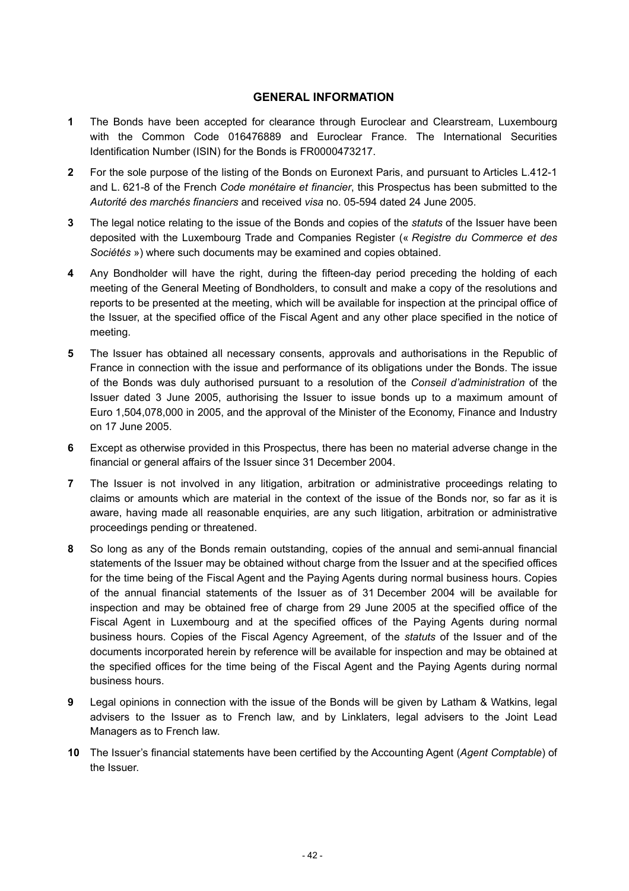# **GENERAL INFORMATION**

- **1** The Bonds have been accepted for clearance through Euroclear and Clearstream, Luxembourg with the Common Code 016476889 and Euroclear France. The International Securities Identification Number (ISIN) for the Bonds is FR0000473217.
- **2** For the sole purpose of the listing of the Bonds on Euronext Paris, and pursuant to Articles L.412-1 and L. 621-8 of the French *Code monétaire et financier*, this Prospectus has been submitted to the *Autorité des marchés financiers* and received *visa* no. 05-594 dated 24 June 2005.
- **3** The legal notice relating to the issue of the Bonds and copies of the *statuts* of the Issuer have been deposited with the Luxembourg Trade and Companies Register (« *Registre du Commerce et des Sociétés* ») where such documents may be examined and copies obtained.
- **4** Any Bondholder will have the right, during the fifteen-day period preceding the holding of each meeting of the General Meeting of Bondholders, to consult and make a copy of the resolutions and reports to be presented at the meeting, which will be available for inspection at the principal office of the Issuer, at the specified office of the Fiscal Agent and any other place specified in the notice of meeting.
- **5** The Issuer has obtained all necessary consents, approvals and authorisations in the Republic of France in connection with the issue and performance of its obligations under the Bonds. The issue of the Bonds was duly authorised pursuant to a resolution of the *Conseil d'administration* of the Issuer dated 3 June 2005, authorising the Issuer to issue bonds up to a maximum amount of Euro 1,504,078,000 in 2005, and the approval of the Minister of the Economy, Finance and Industry on 17 June 2005.
- **6** Except as otherwise provided in this Prospectus, there has been no material adverse change in the financial or general affairs of the Issuer since 31 December 2004.
- **7** The Issuer is not involved in any litigation, arbitration or administrative proceedings relating to claims or amounts which are material in the context of the issue of the Bonds nor, so far as it is aware, having made all reasonable enquiries, are any such litigation, arbitration or administrative proceedings pending or threatened.
- **8** So long as any of the Bonds remain outstanding, copies of the annual and semi-annual financial statements of the Issuer may be obtained without charge from the Issuer and at the specified offices for the time being of the Fiscal Agent and the Paying Agents during normal business hours. Copies of the annual financial statements of the Issuer as of 31 December 2004 will be available for inspection and may be obtained free of charge from 29 June 2005 at the specified office of the Fiscal Agent in Luxembourg and at the specified offices of the Paying Agents during normal business hours. Copies of the Fiscal Agency Agreement, of the *statuts* of the Issuer and of the documents incorporated herein by reference will be available for inspection and may be obtained at the specified offices for the time being of the Fiscal Agent and the Paying Agents during normal business hours.
- **9** Legal opinions in connection with the issue of the Bonds will be given by Latham & Watkins, legal advisers to the Issuer as to French law, and by Linklaters, legal advisers to the Joint Lead Managers as to French law.
- **10** The Issuer's financial statements have been certified by the Accounting Agent (*Agent Comptable*) of the Issuer.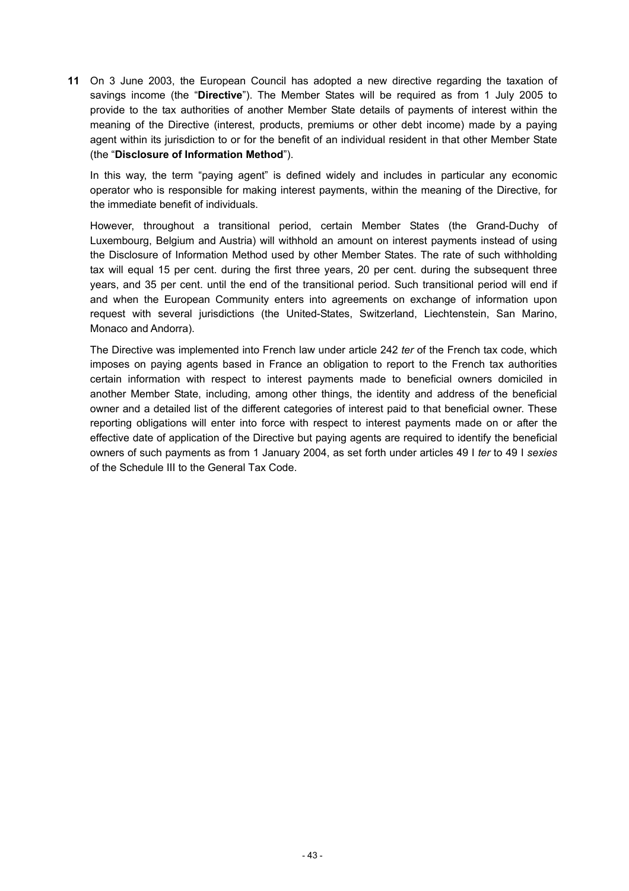**11** On 3 June 2003, the European Council has adopted a new directive regarding the taxation of savings income (the "**Directive**"). The Member States will be required as from 1 July 2005 to provide to the tax authorities of another Member State details of payments of interest within the meaning of the Directive (interest, products, premiums or other debt income) made by a paying agent within its jurisdiction to or for the benefit of an individual resident in that other Member State (the "**Disclosure of Information Method**").

In this way, the term "paying agent" is defined widely and includes in particular any economic operator who is responsible for making interest payments, within the meaning of the Directive, for the immediate benefit of individuals.

However, throughout a transitional period, certain Member States (the Grand-Duchy of Luxembourg, Belgium and Austria) will withhold an amount on interest payments instead of using the Disclosure of Information Method used by other Member States. The rate of such withholding tax will equal 15 per cent. during the first three years, 20 per cent. during the subsequent three years, and 35 per cent. until the end of the transitional period. Such transitional period will end if and when the European Community enters into agreements on exchange of information upon request with several jurisdictions (the United-States, Switzerland, Liechtenstein, San Marino, Monaco and Andorra).

The Directive was implemented into French law under article 242 *ter* of the French tax code, which imposes on paying agents based in France an obligation to report to the French tax authorities certain information with respect to interest payments made to beneficial owners domiciled in another Member State, including, among other things, the identity and address of the beneficial owner and a detailed list of the different categories of interest paid to that beneficial owner. These reporting obligations will enter into force with respect to interest payments made on or after the effective date of application of the Directive but paying agents are required to identify the beneficial owners of such payments as from 1 January 2004, as set forth under articles 49 I *ter* to 49 I *sexies* of the Schedule III to the General Tax Code.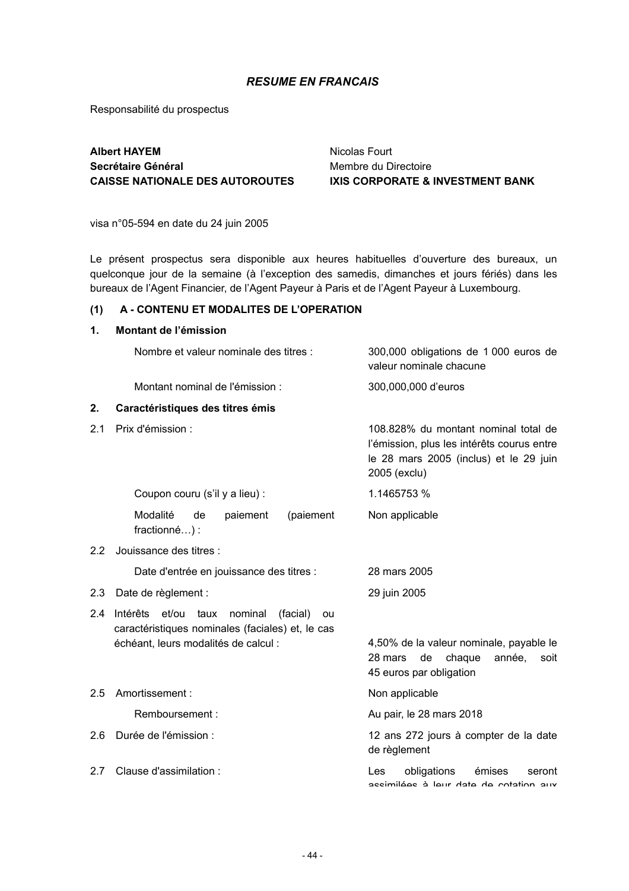# *RESUME EN FRANCAIS*

Responsabilité du prospectus

# **Albert HAYEM Secrétaire Général CAISSE NATIONALE DES AUTOROUTES**

Nicolas Fourt Membre du Directoire **IXIS CORPORATE & INVESTMENT BANK**

visa n°05-594 en date du 24 juin 2005

Le présent prospectus sera disponible aux heures habituelles d'ouverture des bureaux, un quelconque jour de la semaine (à l'exception des samedis, dimanches et jours fériés) dans les bureaux de l'Agent Financier, de l'Agent Payeur à Paris et de l'Agent Payeur à Luxembourg.

## **(1) A - CONTENU ET MODALITES DE L'OPERATION**

#### **1. Montant de l'émission**

|         | Nombre et valeur nominale des titres :                                                                                                             | 300,000 obligations de 1 000 euros de<br>valeur nominale chacune                                                                             |  |
|---------|----------------------------------------------------------------------------------------------------------------------------------------------------|----------------------------------------------------------------------------------------------------------------------------------------------|--|
|         | Montant nominal de l'émission :                                                                                                                    | 300,000,000 d'euros                                                                                                                          |  |
| 2.      | Caractéristiques des titres émis                                                                                                                   |                                                                                                                                              |  |
| 2.1     | Prix d'émission :                                                                                                                                  | 108.828% du montant nominal total de<br>l'émission, plus les intérêts courus entre<br>le 28 mars 2005 (inclus) et le 29 juin<br>2005 (exclu) |  |
|         | Coupon couru (s'il y a lieu) :                                                                                                                     | 1.1465753 %                                                                                                                                  |  |
|         | Modalité<br>(paiement<br>de<br>paiement<br>fractionné) :                                                                                           | Non applicable                                                                                                                               |  |
| $2.2\,$ | Jouissance des titres :                                                                                                                            |                                                                                                                                              |  |
|         | Date d'entrée en jouissance des titres :                                                                                                           | 28 mars 2005                                                                                                                                 |  |
| 2.3     | Date de règlement :                                                                                                                                | 29 juin 2005                                                                                                                                 |  |
| 2.4     | et/ou<br>Intérêts<br>taux<br>nominal<br>(facial)<br>ou<br>caractéristiques nominales (faciales) et, le cas<br>échéant, leurs modalités de calcul : | 4,50% de la valeur nominale, payable le<br>28 mars<br>de<br>chaque<br>année,<br>soit<br>45 euros par obligation                              |  |
| 2.5     | Amortissement:                                                                                                                                     | Non applicable                                                                                                                               |  |
|         | Remboursement:                                                                                                                                     | Au pair, le 28 mars 2018                                                                                                                     |  |
| 2.6     | Durée de l'émission :                                                                                                                              | 12 ans 272 jours à compter de la date<br>de règlement                                                                                        |  |
| 2.7     | Clause d'assimilation :                                                                                                                            | obligations<br>émises<br>Les<br>seront<br>vile noitetos ab ateb vilal é saàlimisse                                                           |  |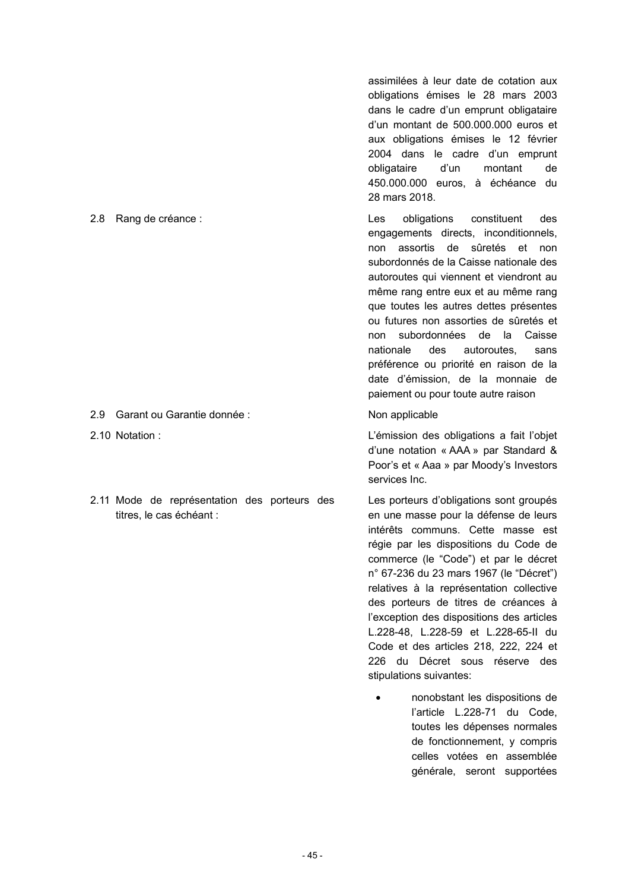- 2.9 Garant ou Garantie donnée : Non applicable
- 
- 2.11 Mode de représentation des porteurs des titres, le cas échéant :

assimilées à leur date de cotation aux obligations émises le 28 mars 2003 dans le cadre d'un emprunt obligataire d'un montant de 500.000.000 euros et aux obligations émises le 12 février 2004 dans le cadre d'un emprunt obligataire d'un montant de 450.000.000 euros, à échéance du 28 mars 2018.

2.8 Rang de créance : Les obligations constituent des engagements directs, inconditionnels, non assortis de sûretés et non subordonnés de la Caisse nationale des autoroutes qui viennent et viendront au même rang entre eux et au même rang que toutes les autres dettes présentes ou futures non assorties de sûretés et non subordonnées de la Caisse nationale des autoroutes, sans préférence ou priorité en raison de la date d'émission, de la monnaie de paiement ou pour toute autre raison

2.10 Notation : L'émission des obligations a fait l'objet d'une notation « AAA » par Standard & Poor's et « Aaa » par Moody's Investors services Inc.

> Les porteurs d'obligations sont groupés en une masse pour la défense de leurs intérêts communs. Cette masse est régie par les dispositions du Code de commerce (le "Code") et par le décret n° 67-236 du 23 mars 1967 (le "Décret") relatives à la représentation collective des porteurs de titres de créances à l'exception des dispositions des articles L.228-48, L.228-59 et L.228-65-II du Code et des articles 218, 222, 224 et 226 du Décret sous réserve des stipulations suivantes:

• nonobstant les dispositions de l'article L.228-71 du Code, toutes les dépenses normales de fonctionnement, y compris celles votées en assemblée générale, seront supportées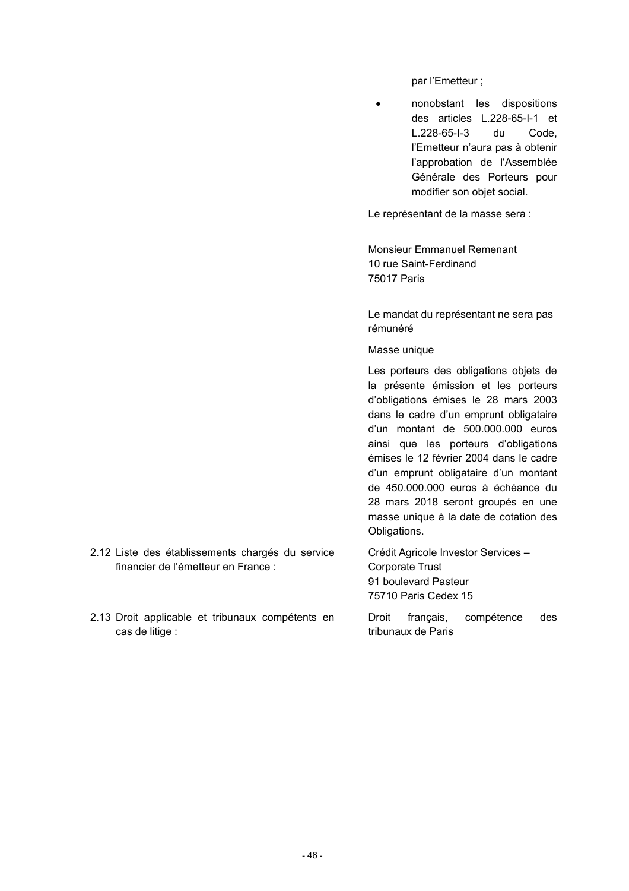par l'Emetteur ;

• nonobstant les dispositions des articles L.228-65-I-1 et L.228-65-I-3 du Code, l'Emetteur n'aura pas à obtenir l'approbation de l'Assemblée Générale des Porteurs pour modifier son objet social.

Le représentant de la masse sera :

Monsieur Emmanuel Remenant 10 rue Saint-Ferdinand 75017 Paris

Le mandat du représentant ne sera pas rémunéré

Masse unique

Les porteurs des obligations objets de la présente émission et les porteurs d'obligations émises le 28 mars 2003 dans le cadre d'un emprunt obligataire d'un montant de 500.000.000 euros ainsi que les porteurs d'obligations émises le 12 février 2004 dans le cadre d'un emprunt obligataire d'un montant de 450.000.000 euros à échéance du 28 mars 2018 seront groupés en une masse unique à la date de cotation des Obligations.

Crédit Agricole Investor Services – Corporate Trust 91 boulevard Pasteur 75710 Paris Cedex 15

Droit français, compétence des tribunaux de Paris

- 2.12 Liste des établissements chargés du service financier de l'émetteur en France :
- 2.13 Droit applicable et tribunaux compétents en cas de litige :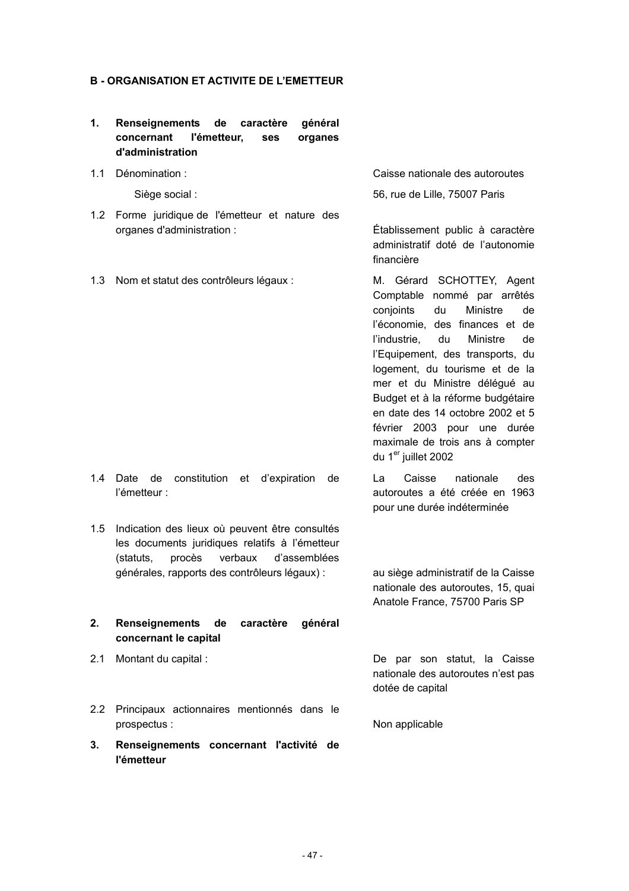#### **B - ORGANISATION ET ACTIVITE DE L'EMETTEUR**

- **1. Renseignements de caractère général concernant l'émetteur, ses organes d'administration**
- 

- 1.2 Forme juridique de l'émetteur et nature des organes d'administration : Établissement public à caractère
- 1.3 Nom et statut des contrôleurs légaux : M. Gérard SCHOTTEY, Agent

1.1 Dénomination : Caisse nationale des autoroutes

Siège social : 56, rue de Lille, 75007 Paris

administratif doté de l'autonomie financière

Comptable nommé par arrêtés conjoints du Ministre de l'économie, des finances et de l'industrie, du Ministre de l'Equipement, des transports, du logement, du tourisme et de la mer et du Ministre délégué au Budget et à la réforme budgétaire en date des 14 octobre 2002 et 5 février 2003 pour une durée maximale de trois ans à compter du 1<sup>er</sup> juillet 2002

La Caisse nationale des autoroutes a été créée en 1963 pour une durée indéterminée

générales, rapports des contrôleurs légaux) : au siège administratif de la Caisse nationale des autoroutes, 15, quai Anatole France, 75700 Paris SP

**2. Renseignements de caractère général concernant le capital** 

1.4 Date de constitution et d'expiration de

1.5 Indication des lieux où peuvent être consultés les documents juridiques relatifs à l'émetteur (statuts, procès verbaux d'assemblées

l'émetteur :

2.1 Montant du capital : De par son statut, la Caisse nationale des autoroutes n'est pas dotée de capital

- 2.2 Principaux actionnaires mentionnés dans le prospectus : Non applicable
- **3. Renseignements concernant l'activité de l'émetteur**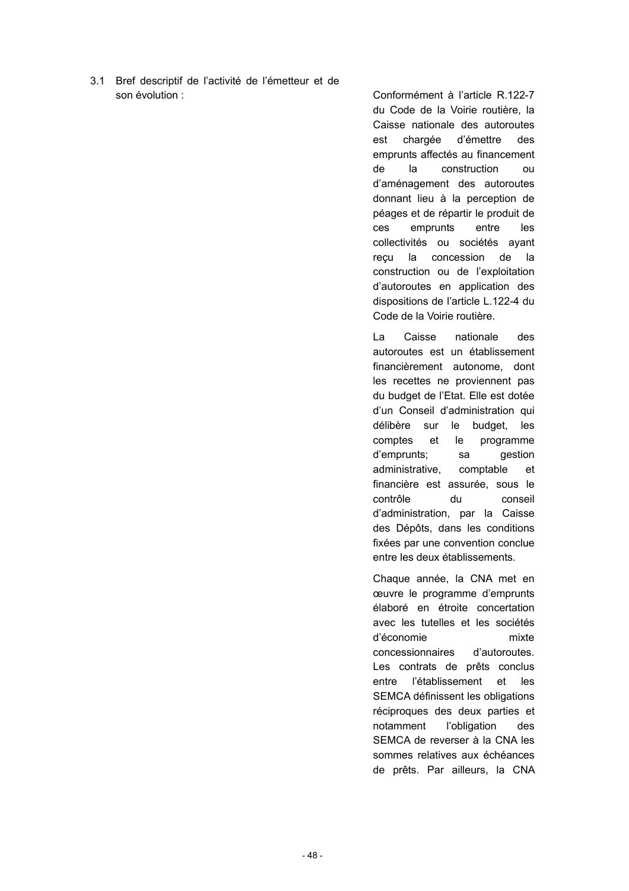3.1 Bref descriptif de l'activité de l'émetteur et de son évolution : Conformément à l'article R.122-7

du Code de la Voirie routière, la Caisse nationale des autoroutes est chargée d'émettre des emprunts affectés au financement de la construction ou d'aménagement des autoroutes donnant lieu à la perception de péages et de répartir le produit de ces emprunts entre les collectivités ou sociétés ayant reçu la concession de la construction ou de l'exploitation d'autoroutes en application des dispositions de l'article L.122-4 du Code de la Voirie routière.

La Caisse nationale des autoroutes est un établissement financièrement autonome, dont les recettes ne proviennent pas du budget de l'Etat. Elle est dotée d'un Conseil d'administration qui délibère sur le budget, les comptes et le programme d'emprunts; sa gestion administrative, comptable et financière est assurée, sous le contrôle du conseil d'administration, par la Caisse des Dépôts, dans les conditions fixées par une convention conclue entre les deux établissements.

Chaque année, la CNA met en œuvre le programme d'emprunts élaboré en étroite concertation avec les tutelles et les sociétés d'économie mixte concessionnaires d'autoroutes. Les contrats de prêts conclus entre l'établissement et les SEMCA définissent les obligations réciproques des deux parties et notamment l'obligation des SEMCA de reverser à la CNA les sommes relatives aux échéances de prêts. Par ailleurs, la CNA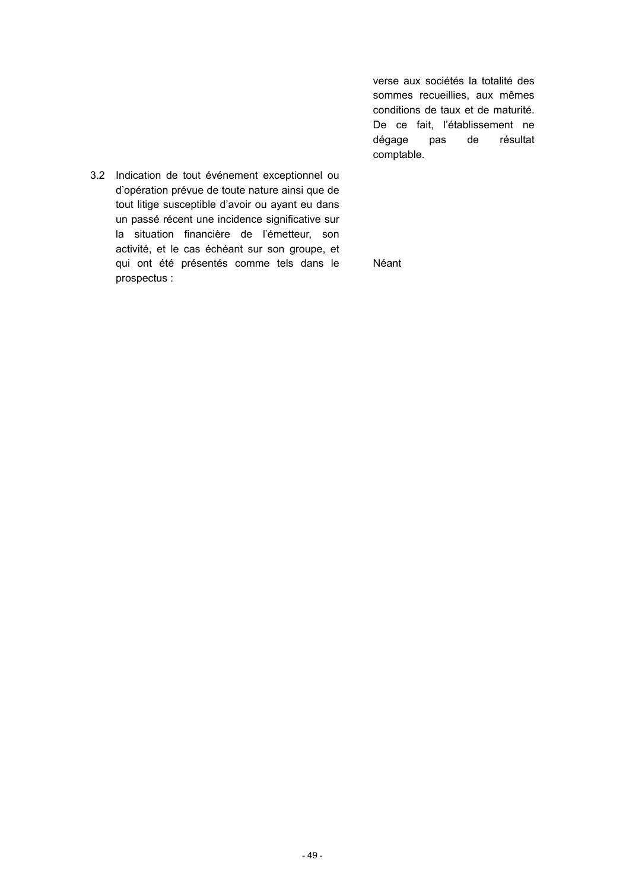verse aux sociétés la totalité des sommes recueillies, aux mêmes conditions de taux et de maturité. De ce fait, l'établissement ne dégage pas de résultat comptable.

3.2 Indication de tout événement exceptionnel ou d'opération prévue de toute nature ainsi que de tout litige susceptible d'avoir ou ayant eu dans un passé récent une incidence significative sur la situation financière de l'émetteur, son activité, et le cas échéant sur son groupe, et qui ont été présentés comme tels dans le prospectus :

Néant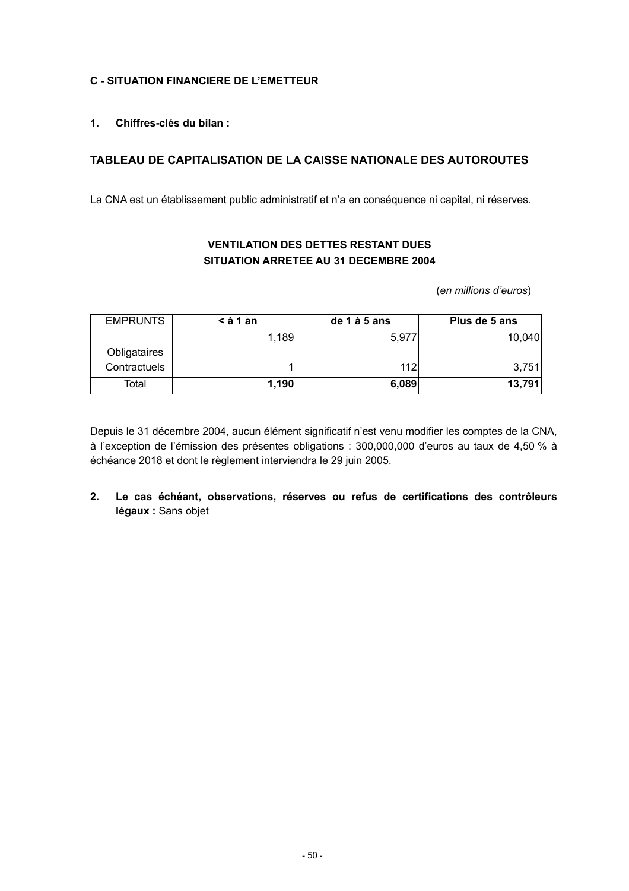# **C - SITUATION FINANCIERE DE L'EMETTEUR**

**1. Chiffres-clés du bilan :**

# **TABLEAU DE CAPITALISATION DE LA CAISSE NATIONALE DES AUTOROUTES**

La CNA est un établissement public administratif et n'a en conséquence ni capital, ni réserves.

# **VENTILATION DES DETTES RESTANT DUES SITUATION ARRETEE AU 31 DECEMBRE 2004**

(*en millions d'euros*)

| <b>EMPRUNTS</b> | $\leq$ à 1 an | de 1 à 5 ans | Plus de 5 ans |
|-----------------|---------------|--------------|---------------|
|                 | 1,189         | 5.977        | 10,040        |
| Obligataires    |               |              |               |
| Contractuels    |               | 112l         | 3,751         |
| Total           | 1,190         | 6,089        | 13,791        |

Depuis le 31 décembre 2004, aucun élément significatif n'est venu modifier les comptes de la CNA, à l'exception de l'émission des présentes obligations : 300,000,000 d'euros au taux de 4,50 % à échéance 2018 et dont le règlement interviendra le 29 juin 2005.

**2. Le cas échéant, observations, réserves ou refus de certifications des contrôleurs légaux :** Sans objet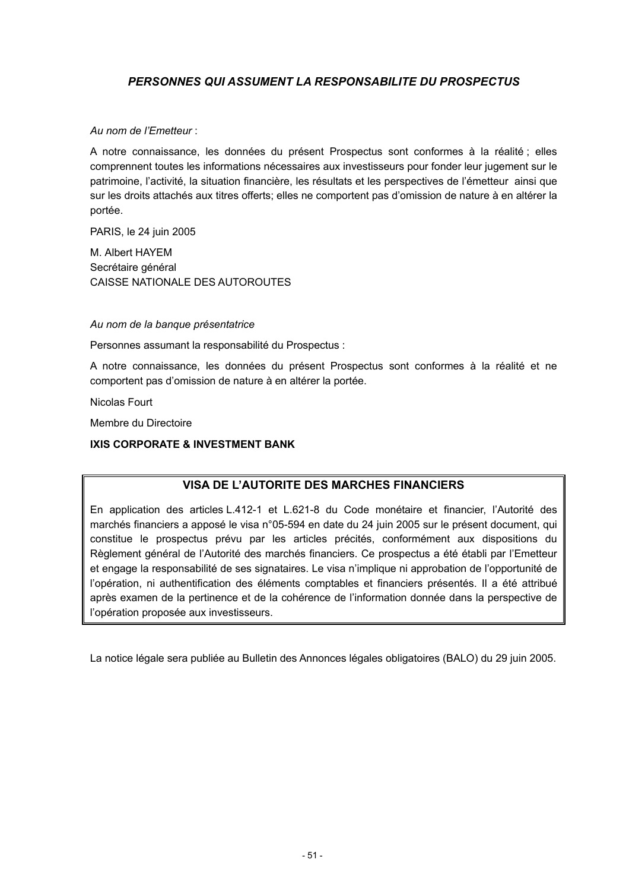# *PERSONNES QUI ASSUMENT LA RESPONSABILITE DU PROSPECTUS*

### *Au nom de l'Emetteur* :

A notre connaissance, les données du présent Prospectus sont conformes à la réalité ; elles comprennent toutes les informations nécessaires aux investisseurs pour fonder leur jugement sur le patrimoine, l'activité, la situation financière, les résultats et les perspectives de l'émetteur ainsi que sur les droits attachés aux titres offerts; elles ne comportent pas d'omission de nature à en altérer la portée.

PARIS, le 24 juin 2005

M. Albert HAYEM Secrétaire général CAISSE NATIONALE DES AUTOROUTES

*Au nom de la banque présentatrice*

Personnes assumant la responsabilité du Prospectus :

A notre connaissance, les données du présent Prospectus sont conformes à la réalité et ne comportent pas d'omission de nature à en altérer la portée.

Nicolas Fourt

Membre du Directoire

### **IXIS CORPORATE & INVESTMENT BANK**

# **VISA DE L'AUTORITE DES MARCHES FINANCIERS**

En application des articles L.412-1 et L.621-8 du Code monétaire et financier, l'Autorité des marchés financiers a apposé le visa n°05-594 en date du 24 juin 2005 sur le présent document, qui constitue le prospectus prévu par les articles précités, conformément aux dispositions du Règlement général de l'Autorité des marchés financiers. Ce prospectus a été établi par l'Emetteur et engage la responsabilité de ses signataires. Le visa n'implique ni approbation de l'opportunité de l'opération, ni authentification des éléments comptables et financiers présentés. Il a été attribué après examen de la pertinence et de la cohérence de l'information donnée dans la perspective de l'opération proposée aux investisseurs.

La notice légale sera publiée au Bulletin des Annonces légales obligatoires (BALO) du 29 juin 2005.